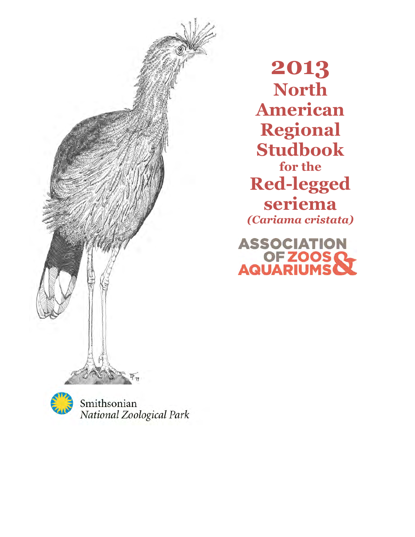

2013 North American Regional Studbook for the Red-legged seriema (Cariama cristata)

ASSOCIATION<br>OF ZOOS C



Smithsonian National Zoological Park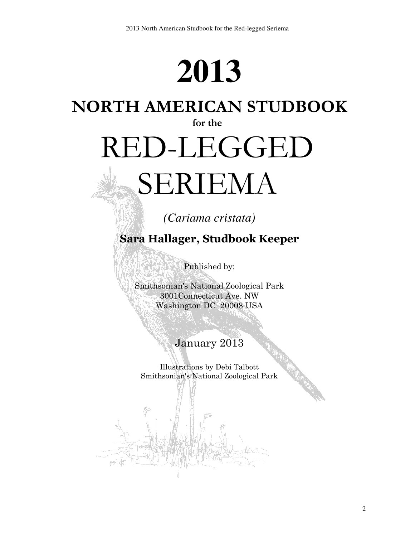## **2013**

## NORTH AMERICAN STUDBOOK

#### for the

# RED-LEGGED

## SERIEMA

## *(Cariama cristata)*

## Sara Hallager, Studbook Keeper

Published by:

Smithsonian's National Zoological Park 3001Connecticut Ave. NW Washington DC 20008 USA

## January 2013

Illustrations by Debi Talbott Smithsonian's National Zoological Park

2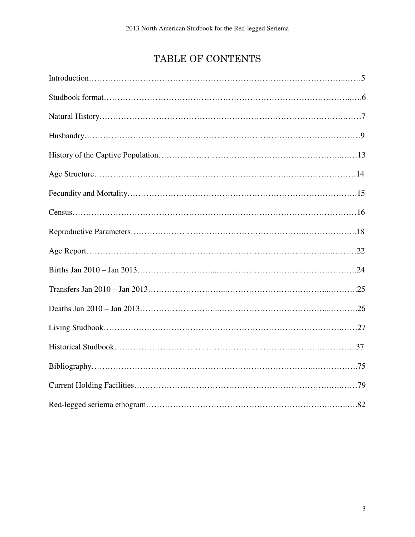## TABLE OF CONTENTS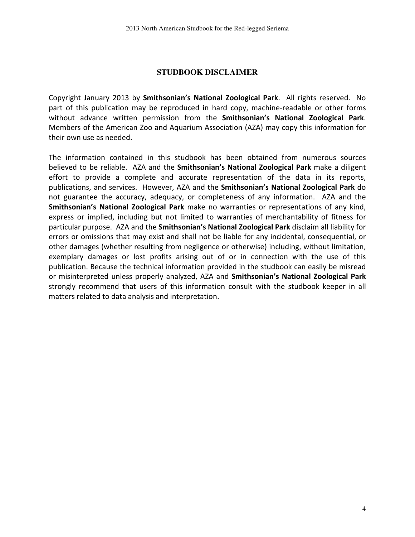#### **STUDBOOK DISCLAIMER**

Copyright January 2013 by Smithsonian's National Zoological Park. All rights reserved. No part of this publication may be reproduced in hard copy, machine-readable or other forms without advance written permission from the Smithsonian's National Zoological Park. Members of the American Zoo and Aquarium Association (AZA) may copy this information for their own use as needed.

The information contained in this studbook has been obtained from numerous sources believed to be reliable. AZA and the Smithsonian's National Zoological Park make a diligent effort to provide a complete and accurate representation of the data in its reports, publications, and services. However, AZA and the Smithsonian's National Zoological Park do not guarantee the accuracy, adequacy, or completeness of any information. AZA and the Smithsonian's National Zoological Park make no warranties or representations of any kind, express or implied, including but not limited to warranties of merchantability of fitness for particular purpose. AZA and the Smithsonian's National Zoological Park disclaim all liability for errors or omissions that may exist and shall not be liable for any incidental, consequential, or other damages (whether resulting from negligence or otherwise) including, without limitation, exemplary damages or lost profits arising out of or in connection with the use of this publication. Because the technical information provided in the studbook can easily be misread or misinterpreted unless properly analyzed, AZA and Smithsonian's National Zoological Park strongly recommend that users of this information consult with the studbook keeper in all matters related to data analysis and interpretation.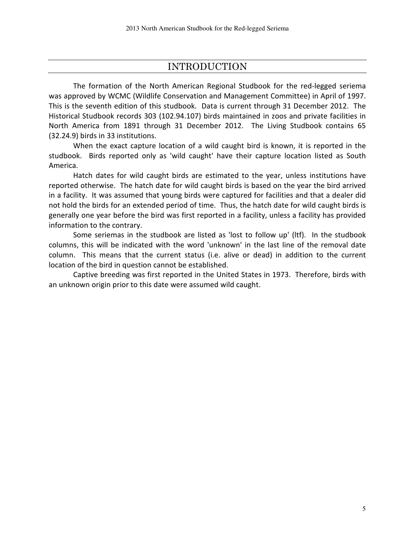#### INTRODUCTION

The formation of the North American Regional Studbook for the red-legged seriema was approved by WCMC (Wildlife Conservation and Management Committee) in April of 1997. This is the seventh edition of this studbook. Data is current through 31 December 2012. The Historical Studbook records 303 (102.94.107) birds maintained in zoos and private facilities in North America from 1891 through 31 December 2012. The Living Studbook contains 65 (32.24.9) birds in 33 institutions.

 When the exact capture location of a wild caught bird is known, it is reported in the studbook. Birds reported only as 'wild caught' have their capture location listed as South America.

 Hatch dates for wild caught birds are estimated to the year, unless institutions have reported otherwise. The hatch date for wild caught birds is based on the year the bird arrived in a facility. It was assumed that young birds were captured for facilities and that a dealer did not hold the birds for an extended period of time. Thus, the hatch date for wild caught birds is generally one year before the bird was first reported in a facility, unless a facility has provided information to the contrary.

 Some seriemas in the studbook are listed as 'lost to follow up' (ltf). In the studbook columns, this will be indicated with the word 'unknown' in the last line of the removal date column. This means that the current status (i.e. alive or dead) in addition to the current location of the bird in question cannot be established.

 Captive breeding was first reported in the United States in 1973. Therefore, birds with an unknown origin prior to this date were assumed wild caught.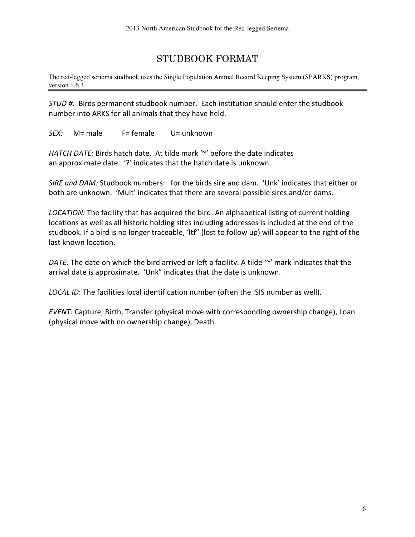#### STUDBOOK FORMAT

The red-legged seriema studbook uses the Single Population Animal Record Keeping System (SPARKS) program, version 1.6.4.

STUD #: Birds permanent studbook number. Each institution should enter the studbook number into ARKS for all animals that they have held.

SEX: M= male F= female U= unknown

HATCH DATE: Birds hatch date. At tilde mark " before the date indicates an approximate date. '?' indicates that the hatch date is unknown.

SIRE and DAM: Studbook numbers for the birds sire and dam. 'Unk' indicates that either or both are unknown. 'Mult' indicates that there are several possible sires and/or dams.

LOCATION: The facility that has acquired the bird. An alphabetical listing of current holding locations as well as all historic holding sites including addresses is included at the end of the studbook. If a bird is no longer traceable, 'ltf" (lost to follow up) will appear to the right of the last known location.

DATE: The date on which the bird arrived or left a facility. A tilde "" mark indicates that the arrival date is approximate. 'Unk" indicates that the date is unknown.

LOCAL ID: The facilities local identification number (often the ISIS number as well).

EVENT: Capture, Birth, Transfer (physical move with corresponding ownership change), Loan (physical move with no ownership change), Death.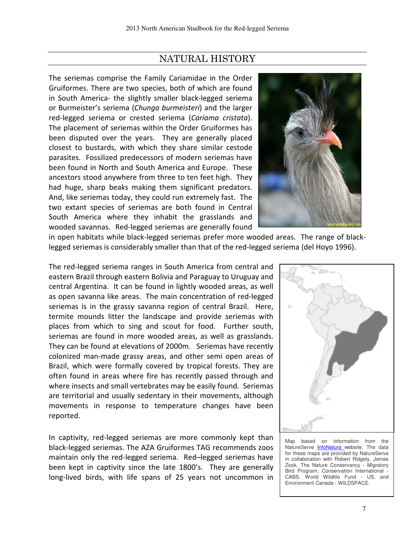### NATURAL HISTORY

The seriemas comprise the Family Cariamidae in the Order Gruiformes. There are two species, both of which are found in South America- the slightly smaller black-legged seriema or Burmeister's seriema (Chunga burmeisteri) and the larger red-legged seriema or crested seriema (Cariama cristata). The placement of seriemas within the Order Gruiformes has been disputed over the years. They are generally placed closest to bustards, with which they share similar cestode parasites. Fossilized predecessors of modern seriemas have been found in North and South America and Europe. These ancestors stood anywhere from three to ten feet high. They had huge, sharp beaks making them significant predators. And, like seriemas today, they could run extremely fast. The two extant species of seriemas are both found in Central South America where they inhabit the grasslands and wooded savannas. Red-legged seriemas are generally found



in open habitats while black-legged seriemas prefer more wooded areas. The range of blacklegged seriemas is considerably smaller than that of the red-legged seriema (del Hoyo 1996).

The red-legged seriema ranges in South America from central and eastern Brazil through eastern Bolivia and Paraguay to Uruguay and central Argentina. It can be found in lightly wooded areas, as well as open savanna like areas. The main concentration of red-legged seriemas is in the grassy savanna region of central Brazil. Here, termite mounds litter the landscape and provide seriemas with places from which to sing and scout for food. Further south, seriemas are found in more wooded areas, as well as grasslands. They can be found at elevations of 2000m. Seriemas have recently colonized man-made grassy areas, and other semi open areas of Brazil, which were formally covered by tropical forests. They are often found in areas where fire has recently passed through and where insects and small vertebrates may be easily found. Seriemas are territorial and usually sedentary in their movements, although movements in response to temperature changes have been reported.

In captivity, red-legged seriemas are more commonly kept than black-legged seriemas. The AZA Gruiformes TAG recommends zoos maintain only the red-legged seriema. Red–legged seriemas have been kept in captivity since the late 1800's. They are generally long-lived birds, with life spans of 25 years not uncommon in



Map based on information from the NatureServe InfoNatura website. The data for these maps are provided by NatureServe in collaboration with Robert Ridgely, James Zook, The Nature Conservancy - Migratory Bird Program, Conservation International - CABS, World Wildlife Fund - US, and Environment Canada - WILDSPACE.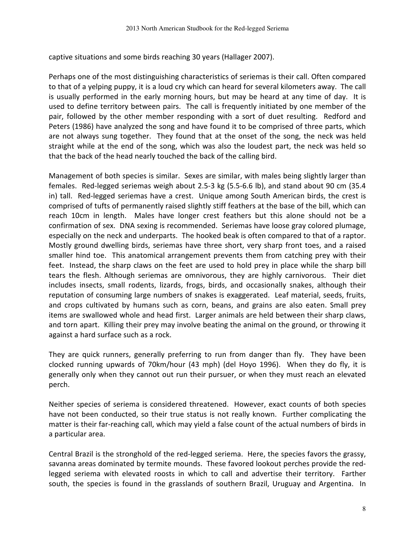captive situations and some birds reaching 30 years (Hallager 2007).

Perhaps one of the most distinguishing characteristics of seriemas is their call. Often compared to that of a yelping puppy, it is a loud cry which can heard for several kilometers away. The call is usually performed in the early morning hours, but may be heard at any time of day. It is used to define territory between pairs. The call is frequently initiated by one member of the pair, followed by the other member responding with a sort of duet resulting. Redford and Peters (1986) have analyzed the song and have found it to be comprised of three parts, which are not always sung together. They found that at the onset of the song, the neck was held straight while at the end of the song, which was also the loudest part, the neck was held so that the back of the head nearly touched the back of the calling bird.

Management of both species is similar. Sexes are similar, with males being slightly larger than females. Red-legged seriemas weigh about 2.5-3 kg (5.5-6.6 lb), and stand about 90 cm (35.4 in) tall. Red-legged seriemas have a crest. Unique among South American birds, the crest is comprised of tufts of permanently raised slightly stiff feathers at the base of the bill, which can reach 10cm in length. Males have longer crest feathers but this alone should not be a confirmation of sex. DNA sexing is recommended. Seriemas have loose gray colored plumage, especially on the neck and underparts. The hooked beak is often compared to that of a raptor. Mostly ground dwelling birds, seriemas have three short, very sharp front toes, and a raised smaller hind toe. This anatomical arrangement prevents them from catching prey with their feet. Instead, the sharp claws on the feet are used to hold prey in place while the sharp bill tears the flesh. Although seriemas are omnivorous, they are highly carnivorous. Their diet includes insects, small rodents, lizards, frogs, birds, and occasionally snakes, although their reputation of consuming large numbers of snakes is exaggerated. Leaf material, seeds, fruits, and crops cultivated by humans such as corn, beans, and grains are also eaten. Small prey items are swallowed whole and head first. Larger animals are held between their sharp claws, and torn apart. Killing their prey may involve beating the animal on the ground, or throwing it against a hard surface such as a rock.

They are quick runners, generally preferring to run from danger than fly. They have been clocked running upwards of 70km/hour (43 mph) (del Hoyo 1996). When they do fly, it is generally only when they cannot out run their pursuer, or when they must reach an elevated perch.

Neither species of seriema is considered threatened. However, exact counts of both species have not been conducted, so their true status is not really known. Further complicating the matter is their far-reaching call, which may yield a false count of the actual numbers of birds in a particular area.

Central Brazil is the stronghold of the red-legged seriema. Here, the species favors the grassy, savanna areas dominated by termite mounds. These favored lookout perches provide the redlegged seriema with elevated roosts in which to call and advertise their territory. Farther south, the species is found in the grasslands of southern Brazil, Uruguay and Argentina. In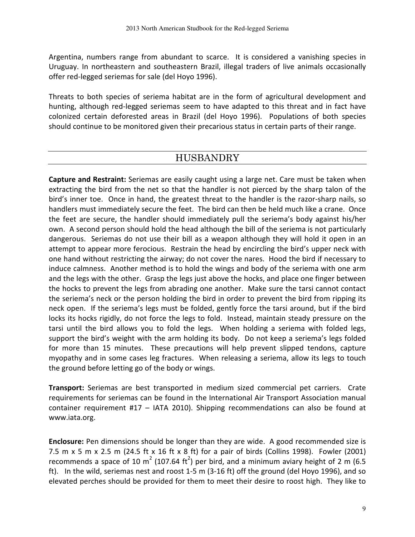Argentina, numbers range from abundant to scarce. It is considered a vanishing species in Uruguay. In northeastern and southeastern Brazil, illegal traders of live animals occasionally offer red-legged seriemas for sale (del Hoyo 1996).

Threats to both species of seriema habitat are in the form of agricultural development and hunting, although red-legged seriemas seem to have adapted to this threat and in fact have colonized certain deforested areas in Brazil (del Hoyo 1996). Populations of both species should continue to be monitored given their precarious status in certain parts of their range.

### HUSBANDRY

Capture and Restraint: Seriemas are easily caught using a large net. Care must be taken when extracting the bird from the net so that the handler is not pierced by the sharp talon of the bird's inner toe. Once in hand, the greatest threat to the handler is the razor-sharp nails, so handlers must immediately secure the feet. The bird can then be held much like a crane. Once the feet are secure, the handler should immediately pull the seriema's body against his/her own. A second person should hold the head although the bill of the seriema is not particularly dangerous. Seriemas do not use their bill as a weapon although they will hold it open in an attempt to appear more ferocious. Restrain the head by encircling the bird's upper neck with one hand without restricting the airway; do not cover the nares. Hood the bird if necessary to induce calmness. Another method is to hold the wings and body of the seriema with one arm and the legs with the other. Grasp the legs just above the hocks, and place one finger between the hocks to prevent the legs from abrading one another. Make sure the tarsi cannot contact the seriema's neck or the person holding the bird in order to prevent the bird from ripping its neck open. If the seriema's legs must be folded, gently force the tarsi around, but if the bird locks its hocks rigidly, do not force the legs to fold. Instead, maintain steady pressure on the tarsi until the bird allows you to fold the legs. When holding a seriema with folded legs, support the bird's weight with the arm holding its body. Do not keep a seriema's legs folded for more than 15 minutes. These precautions will help prevent slipped tendons, capture myopathy and in some cases leg fractures. When releasing a seriema, allow its legs to touch the ground before letting go of the body or wings.

Transport: Seriemas are best transported in medium sized commercial pet carriers. Crate requirements for seriemas can be found in the International Air Transport Association manual container requirement #17 – IATA 2010). Shipping recommendations can also be found at www.iata.org.

Enclosure: Pen dimensions should be longer than they are wide. A good recommended size is 7.5 m x 5 m x 2.5 m (24.5 ft x 16 ft x 8 ft) for a pair of birds (Collins 1998). Fowler (2001) recommends a space of 10 m<sup>2</sup> (107.64 ft<sup>2</sup>) per bird, and a minimum aviary height of 2 m (6.5 ft). In the wild, seriemas nest and roost 1-5 m (3-16 ft) off the ground (del Hoyo 1996), and so elevated perches should be provided for them to meet their desire to roost high. They like to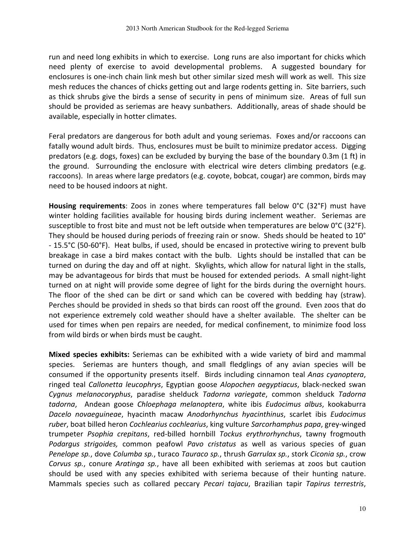run and need long exhibits in which to exercise. Long runs are also important for chicks which need plenty of exercise to avoid developmental problems. A suggested boundary for enclosures is one-inch chain link mesh but other similar sized mesh will work as well. This size mesh reduces the chances of chicks getting out and large rodents getting in. Site barriers, such as thick shrubs give the birds a sense of security in pens of minimum size. Areas of full sun should be provided as seriemas are heavy sunbathers. Additionally, areas of shade should be available, especially in hotter climates.

Feral predators are dangerous for both adult and young seriemas. Foxes and/or raccoons can fatally wound adult birds. Thus, enclosures must be built to minimize predator access. Digging predators (e.g. dogs, foxes) can be excluded by burying the base of the boundary 0.3m (1 ft) in the ground. Surrounding the enclosure with electrical wire deters climbing predators (e.g. raccoons). In areas where large predators (e.g. coyote, bobcat, cougar) are common, birds may need to be housed indoors at night.

Housing requirements: Zoos in zones where temperatures fall below 0°C (32°F) must have winter holding facilities available for housing birds during inclement weather. Seriemas are susceptible to frost bite and must not be left outside when temperatures are below 0°C (32°F). They should be housed during periods of freezing rain or snow. Sheds should be heated to 10° - 15.5°C (50-60°F). Heat bulbs, if used, should be encased in protective wiring to prevent bulb breakage in case a bird makes contact with the bulb. Lights should be installed that can be turned on during the day and off at night. Skylights, which allow for natural light in the stalls, may be advantageous for birds that must be housed for extended periods. A small night-light turned on at night will provide some degree of light for the birds during the overnight hours. The floor of the shed can be dirt or sand which can be covered with bedding hay (straw). Perches should be provided in sheds so that birds can roost off the ground. Even zoos that do not experience extremely cold weather should have a shelter available. The shelter can be used for times when pen repairs are needed, for medical confinement, to minimize food loss from wild birds or when birds must be caught.

Mixed species exhibits: Seriemas can be exhibited with a wide variety of bird and mammal species. Seriemas are hunters though, and small fledglings of any avian species will be consumed if the opportunity presents itself. Birds including cinnamon teal Anas cyanoptera, ringed teal Callonetta leucophrys, Egyptian goose Alopochen aegyptiacus, black-necked swan Cygnus melanocoryphus, paradise shelduck Tadorna variegate, common shelduck Tadorna tadorna, Andean goose Chloephaga melanoptera, white ibis Eudocimus albus, kookaburra Dacelo novaeguineae, hyacinth macaw Anodorhynchus hyacinthinus, scarlet ibis Eudocimus ruber, boat billed heron Cochlearius cochlearius, king vulture Sarcorhamphus papa, grey-winged trumpeter Psophia crepitans, red-billed hornbill Tockus erythrorhynchus, tawny frogmouth Podargus strigoides, common peafowl Pavo cristatus as well as various species of guan Penelope sp., dove Columba sp., turaco Tauraco sp., thrush Garrulax sp., stork Ciconia sp., crow Corvus sp., conure Aratinga sp., have all been exhibited with seriemas at zoos but caution should be used with any species exhibited with seriema because of their hunting nature. Mammals species such as collared peccary Pecari tajacu, Brazilian tapir Tapirus terrestris,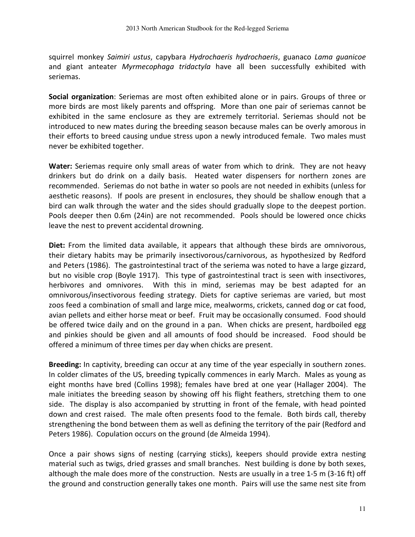squirrel monkey Saimiri ustus, capybara Hydrochaeris hydrochaeris, guanaco Lama quanicoe and giant anteater Myrmecophaga tridactyla have all been successfully exhibited with seriemas.

Social organization: Seriemas are most often exhibited alone or in pairs. Groups of three or more birds are most likely parents and offspring. More than one pair of seriemas cannot be exhibited in the same enclosure as they are extremely territorial. Seriemas should not be introduced to new mates during the breeding season because males can be overly amorous in their efforts to breed causing undue stress upon a newly introduced female. Two males must never be exhibited together.

Water: Seriemas require only small areas of water from which to drink. They are not heavy drinkers but do drink on a daily basis. Heated water dispensers for northern zones are recommended. Seriemas do not bathe in water so pools are not needed in exhibits (unless for aesthetic reasons). If pools are present in enclosures, they should be shallow enough that a bird can walk through the water and the sides should gradually slope to the deepest portion. Pools deeper then 0.6m (24in) are not recommended. Pools should be lowered once chicks leave the nest to prevent accidental drowning.

Diet: From the limited data available, it appears that although these birds are omnivorous, their dietary habits may be primarily insectivorous/carnivorous, as hypothesized by Redford and Peters (1986). The gastrointestinal tract of the seriema was noted to have a large gizzard, but no visible crop (Boyle 1917). This type of gastrointestinal tract is seen with insectivores, herbivores and omnivores. With this in mind, seriemas may be best adapted for an omnivorous/insectivorous feeding strategy. Diets for captive seriemas are varied, but most zoos feed a combination of small and large mice, mealworms, crickets, canned dog or cat food, avian pellets and either horse meat or beef. Fruit may be occasionally consumed. Food should be offered twice daily and on the ground in a pan. When chicks are present, hardboiled egg and pinkies should be given and all amounts of food should be increased. Food should be offered a minimum of three times per day when chicks are present.

Breeding: In captivity, breeding can occur at any time of the year especially in southern zones. In colder climates of the US, breeding typically commences in early March. Males as young as eight months have bred (Collins 1998); females have bred at one year (Hallager 2004). The male initiates the breeding season by showing off his flight feathers, stretching them to one side. The display is also accompanied by strutting in front of the female, with head pointed down and crest raised. The male often presents food to the female. Both birds call, thereby strengthening the bond between them as well as defining the territory of the pair (Redford and Peters 1986). Copulation occurs on the ground (de Almeida 1994).

Once a pair shows signs of nesting (carrying sticks), keepers should provide extra nesting material such as twigs, dried grasses and small branches. Nest building is done by both sexes, although the male does more of the construction. Nests are usually in a tree 1-5 m (3-16 ft) off the ground and construction generally takes one month. Pairs will use the same nest site from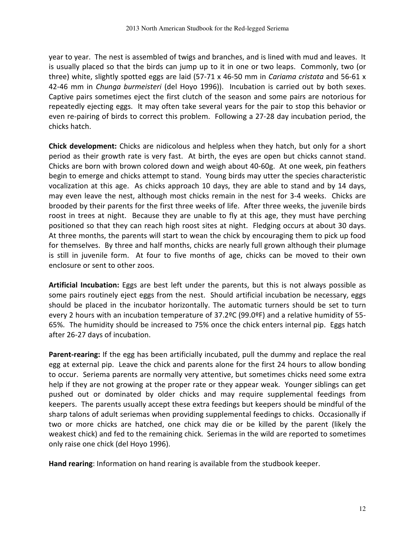year to year. The nest is assembled of twigs and branches, and is lined with mud and leaves. It is usually placed so that the birds can jump up to it in one or two leaps. Commonly, two (or three) white, slightly spotted eggs are laid (57-71  $\times$  46-50 mm in *Cariama cristata* and 56-61  $\times$ 42-46 mm in Chunga burmeisteri (del Hoyo 1996)). Incubation is carried out by both sexes. Captive pairs sometimes eject the first clutch of the season and some pairs are notorious for repeatedly ejecting eggs. It may often take several years for the pair to stop this behavior or even re-pairing of birds to correct this problem. Following a 27-28 day incubation period, the chicks hatch.

Chick development: Chicks are nidicolous and helpless when they hatch, but only for a short period as their growth rate is very fast. At birth, the eyes are open but chicks cannot stand. Chicks are born with brown colored down and weigh about 40-60g. At one week, pin feathers begin to emerge and chicks attempt to stand. Young birds may utter the species characteristic vocalization at this age. As chicks approach 10 days, they are able to stand and by 14 days, may even leave the nest, although most chicks remain in the nest for 3-4 weeks. Chicks are brooded by their parents for the first three weeks of life. After three weeks, the juvenile birds roost in trees at night. Because they are unable to fly at this age, they must have perching positioned so that they can reach high roost sites at night. Fledging occurs at about 30 days. At three months, the parents will start to wean the chick by encouraging them to pick up food for themselves. By three and half months, chicks are nearly full grown although their plumage is still in juvenile form. At four to five months of age, chicks can be moved to their own enclosure or sent to other zoos.

Artificial Incubation: Eggs are best left under the parents, but this is not always possible as some pairs routinely eject eggs from the nest. Should artificial incubation be necessary, eggs should be placed in the incubator horizontally. The automatic turners should be set to turn every 2 hours with an incubation temperature of 37.2ºC (99.0ºF) and a relative humidity of 55- 65%. The humidity should be increased to 75% once the chick enters internal pip. Eggs hatch after 26-27 days of incubation.

Parent-rearing: If the egg has been artificially incubated, pull the dummy and replace the real egg at external pip. Leave the chick and parents alone for the first 24 hours to allow bonding to occur. Seriema parents are normally very attentive, but sometimes chicks need some extra help if they are not growing at the proper rate or they appear weak. Younger siblings can get pushed out or dominated by older chicks and may require supplemental feedings from keepers. The parents usually accept these extra feedings but keepers should be mindful of the sharp talons of adult seriemas when providing supplemental feedings to chicks. Occasionally if two or more chicks are hatched, one chick may die or be killed by the parent (likely the weakest chick) and fed to the remaining chick. Seriemas in the wild are reported to sometimes only raise one chick (del Hoyo 1996).

Hand rearing: Information on hand rearing is available from the studbook keeper.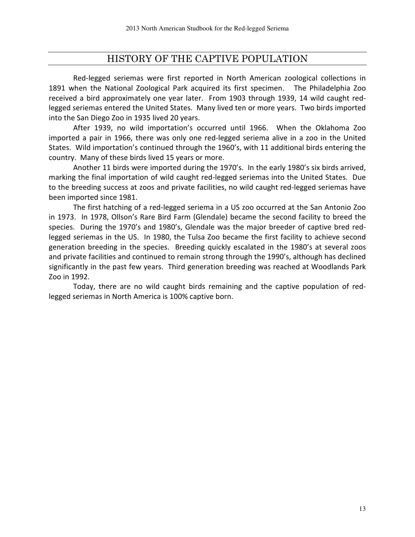#### HISTORY OF THE CAPTIVE POPULATION

Red-legged seriemas were first reported in North American zoological collections in 1891 when the National Zoological Park acquired its first specimen. The Philadelphia Zoo received a bird approximately one year later. From 1903 through 1939, 14 wild caught redlegged seriemas entered the United States. Many lived ten or more years. Two birds imported into the San Diego Zoo in 1935 lived 20 years.

 After 1939, no wild importation's occurred until 1966. When the Oklahoma Zoo imported a pair in 1966, there was only one red-legged seriema alive in a zoo in the United States. Wild importation's continued through the 1960's, with 11 additional birds entering the country. Many of these birds lived 15 years or more.

Another 11 birds were imported during the 1970's. In the early 1980's six birds arrived, marking the final importation of wild caught red-legged seriemas into the United States. Due to the breeding success at zoos and private facilities, no wild caught red-legged seriemas have been imported since 1981.

The first hatching of a red-legged seriema in a US zoo occurred at the San Antonio Zoo in 1973. In 1978, Ollson's Rare Bird Farm (Glendale) became the second facility to breed the species. During the 1970's and 1980's, Glendale was the major breeder of captive bred redlegged seriemas in the US. In 1980, the Tulsa Zoo became the first facility to achieve second generation breeding in the species. Breeding quickly escalated in the 1980's at several zoos and private facilities and continued to remain strong through the 1990's, although has declined significantly in the past few years. Third generation breeding was reached at Woodlands Park Zoo in 1992.

Today, there are no wild caught birds remaining and the captive population of redlegged seriemas in North America is 100% captive born.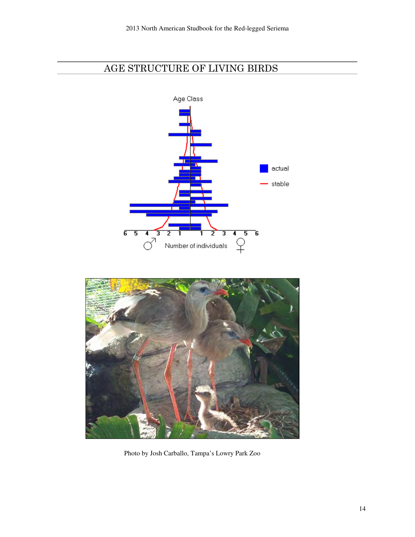## AGE STRUCTURE OF LIVING BIRDS





Photo by Josh Carballo, Tampa's Lowry Park Zoo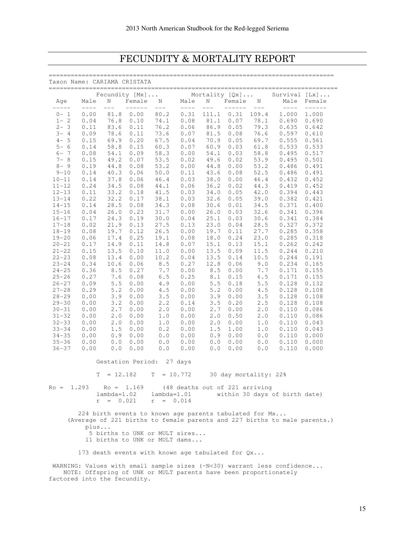## FECUNDITY & MORTALITY REPORT

| Taxon Name: CARIAMA CRISTATA |                                 |                              | ----------              |                                                          |                                 |                          |                                              |            |                                                                           |                        |
|------------------------------|---------------------------------|------------------------------|-------------------------|----------------------------------------------------------|---------------------------------|--------------------------|----------------------------------------------|------------|---------------------------------------------------------------------------|------------------------|
| Aqe<br>$--- - - -$           | Male<br>$\qquad \qquad - - - -$ | Ν<br>$\qquad \qquad - -$     | Female<br>$- - - - - -$ | Fecundity [Mx]<br>$\frac{N}{---}$<br>$---$               | Male<br>$\qquad \qquad - - - -$ | N<br>$\qquad \qquad - -$ | Mortality $[Qx] \ldots$<br>Female<br>------- | N<br>$---$ | Survival $[Lx]$<br>Male                                                   | Female<br>$------ - -$ |
| $0 - 1$                      | 0.00                            | 81.8                         | 0.00                    | 80.2                                                     | 0.31                            | 111.1                    | 0.31                                         | 109.4      | $--- - -$<br>1,000                                                        | 1.000                  |
| $1 - 2$                      | 0.04                            | 76.8                         | 0.10                    | 74.1                                                     | 0.08                            | 81.1                     | 0.07                                         | 78.1       | 0.690                                                                     | 0.690                  |
| $2 - 3$                      | 0.11                            | 83.6                         | 0.11                    | 76.2                                                     | 0.06                            | 86.9                     | 0.05                                         | 79.3       | 0.635                                                                     | 0.642                  |
| $3 - 4$                      | 0.09                            | 78.6                         | 0.11                    | 73.6                                                     | 0.07                            | 81.5                     | 0.08                                         | 76.6       | 0.597                                                                     | 0.610                  |
| $4 - 5$                      | 0.15                            | 69.9                         | 0.20                    | 67.5                                                     | 0.04                            | 70.9                     | 0.05                                         | 69.7       | 0.555                                                                     | 0.561                  |
| $5 - 6$                      | 0.14                            | 58.8                         | 0.15                    | 60.3                                                     | 0.07                            | 60.9                     | 0.03                                         | 61.8       | 0.533                                                                     | 0.533                  |
| $6 - 7$                      | 0.08                            | 54.1                         | 0.09                    | 58.3                                                     | 0.00                            | 54.1                     | 0.03                                         | 58.8       | 0.495                                                                     | 0.517                  |
| $7 - 8$                      | 0.15                            | 49.2                         | 0.07                    | 53.5                                                     | 0.02                            | 49.6                     | 0.02                                         | 53.9       | 0.495                                                                     | 0.501                  |
| $8 - 9$                      | 0.19                            | 44.8                         | 0.08                    | 53.2                                                     | 0.00                            | 44.8                     | 0.00                                         | 53.2       | 0.486                                                                     | 0.491                  |
| $9 - 10$                     | 0.14                            | 40.3                         | 0.06                    | 50.0                                                     | 0.11                            | 43.6                     | 0.08                                         | 52.5       | 0.486                                                                     | 0.491                  |
| $10 - 11$                    | 0.14                            | 37.8                         | 0.06                    | 46.4                                                     | 0.03                            | 38.0                     | 0.00                                         | 46.4       | 0.432                                                                     | 0.452                  |
| $11 - 12$                    | 0.24                            | 34.5                         | 0.08                    | 44.1                                                     | 0.06                            | 36.2                     | 0.02                                         | 44.3       | 0.419                                                                     | 0.452                  |
| $12 - 13$                    | 0.11                            | 33.2                         | 0.18                    | 41.5                                                     | 0.03                            | 34.0                     | 0.05                                         | 42.0       | 0.394                                                                     | 0.443                  |
| $13 - 14$                    | 0.22                            | 32.2                         | 0.17                    | 38.1                                                     | 0.03                            | 32.6                     | 0.05                                         | 39.0       | 0.382                                                                     | 0.421                  |
| $14 - 15$                    | 0.14                            | 28.5                         | 0.08                    | 34.3                                                     | 0.08                            | 30.6                     | 0.01                                         | 34.5       | 0.371                                                                     | 0.400                  |
| $15 - 16$                    | 0.04                            | 26.0                         | 0.23                    | 31.7                                                     | 0.00                            | 26.0                     | 0.03                                         | 32.6       | 0.341                                                                     | 0.396                  |
| $16 - 17$                    | 0.17                            | 24.3                         | 0.19                    | 30.0                                                     | 0.04                            | 25.1                     | 0.03                                         | 30.6       | 0.341                                                                     | 0.384                  |
| $17 - 18$                    | 0.02                            | 21.9                         | 0.13                    | 27.5                                                     | 0.13                            | 23.0                     | 0.04                                         | 28.5       | 0.327                                                                     | 0.372                  |
| $18 - 19$                    | 0.08                            | 19.7                         | 0.12                    | 26.5                                                     | 0.00                            | 19.7                     | 0.11                                         | 27.7       | 0.285                                                                     | 0.358                  |
|                              |                                 |                              |                         |                                                          |                                 | 18.0                     |                                              |            | 0.285                                                                     |                        |
| $19 - 20$                    | 0.06                            | 17.4                         | 0.25                    | 19.1                                                     | 0.08                            |                          | 0.24                                         | 23.0       |                                                                           | 0.318                  |
| $20 - 21$                    | 0.17                            | 14.9                         | 0.11                    | 14.8                                                     | 0.07                            | 15.1                     | 0.13                                         | 15.1       | 0.262                                                                     | 0.242                  |
| $21 - 22$                    | 0.15                            | 13.5                         | 0.10                    | 11.0                                                     | 0.00                            | 13.5                     | 0.09                                         | 11.5       | 0.244                                                                     | 0.210                  |
| $22 - 23$                    | 0.08                            | 13.4                         | 0.00                    | 10.2                                                     | 0.04                            | 13.5                     | 0.14                                         | 10.5       | 0.244                                                                     | 0.191                  |
| $23 - 24$                    | 0.34                            | 10.6                         | 0.06                    | 8.5                                                      | 0.27                            | 12.8                     | 0.06                                         | 9.0        | 0.234                                                                     | 0.165                  |
| $24 - 25$                    | 0.36                            | 8.5                          | 0.27                    | 7.7                                                      | 0.00                            | 8.5                      | 0.00                                         | 7.7        | 0.171                                                                     | 0.155                  |
| $25 - 26$                    | 0.27                            | 7.6                          | 0.08                    | $6.5$                                                    | 0.25                            | 8.1                      | 0.15                                         | $6.5$      | 0.171                                                                     | 0.155                  |
| $26 - 27$                    | 0.09                            | $5.5$                        | 0.00                    | 4.9                                                      | 0.00                            | 5.5                      | 0.18                                         | $5.5$      | 0.128                                                                     | 0.132                  |
| $27 - 28$                    | 0.29                            | 5.2                          | 0.00                    | $4.5$                                                    | 0.00                            | 5.2                      | 0.00                                         | 4.5        | 0.128                                                                     | 0.108                  |
| $28 - 29$                    | 0.00                            | 3.9                          | 0.00                    | 3.5                                                      | 0.00                            | 3.9                      | 0.00                                         | 3.5        | 0.128                                                                     | 0.108                  |
| $29 - 30$                    | 0.00                            | 3.2                          | 0.00                    | 2.2                                                      | 0.14                            | 3.5                      | 0.20                                         | 2.5        | 0.128                                                                     | 0.108                  |
| $30 - 31$                    | 0.00                            | 2.7                          | 0.00                    | 2.0                                                      | 0.00                            | 2.7                      | 0.00                                         | 2.0        | 0.110                                                                     | 0.086                  |
| $31 - 32$                    | 0.00                            | 2.0                          | 0.00                    | $1.0$                                                    | 0.00                            | 2.0                      | 0.50                                         | 2.0        | 0.110                                                                     | 0.086                  |
| $32 - 33$                    | 0.00                            | 2.0                          | 0.00                    | 1.0                                                      | 0.00                            | 2.0                      | 0.00                                         | 1.0        | 0.110                                                                     | 0.043                  |
| $33 - 34$                    | 0.00                            | 1.5                          | 0.00                    | 0.2                                                      | 0.00                            | 1.5                      | 1.00                                         | 1.0        | 0.110                                                                     | 0.043                  |
| $34 - 35$                    | 0.00                            | 0.9                          | 0.00                    | $0.0$                                                    | 0.00                            | 0.9                      | 0.00                                         | 0.0        | 0.110                                                                     | 0.000                  |
| $35 - 36$                    | 0.00                            | 0.0                          | 0.00                    | 0.0                                                      | 0.00                            | 0.0                      | 0.00                                         | 0.0        | 0.110                                                                     | 0.000                  |
| $36 - 37$                    | 0.00                            | 0.0                          | 0.00                    | $0.0$                                                    | 0.00                            | 0.0                      | 0.00                                         | 0.0        | 0.110                                                                     | 0.000                  |
|                              |                                 |                              |                         | Gestation Period: 27 days                                |                                 |                          |                                              |            |                                                                           |                        |
|                              | T                               |                              |                         | $= 12.182$ T = 10.772 30 day mortality: 22%              |                                 |                          |                                              |            |                                                                           |                        |
| $Ro = 1.293$                 |                                 |                              |                         | $\sim$ Ro = 1.169 (48 deaths out of 221 arriving         |                                 |                          |                                              |            |                                                                           |                        |
|                              |                                 | $lambda=1.02$<br>$r = 0.021$ |                         | lambda=1.01<br>$r = 0.014$                               |                                 |                          |                                              |            | within 30 days of birth date)                                             |                        |
|                              |                                 |                              |                         | 224 birth events to known age parents tabulated for Mx   |                                 |                          |                                              |            |                                                                           |                        |
|                              |                                 |                              |                         |                                                          |                                 |                          |                                              |            | (Average of 221 births to female parents and 227 births to male parents.) |                        |
|                              | plus                            |                              |                         |                                                          |                                 |                          |                                              |            |                                                                           |                        |
|                              |                                 |                              |                         | 5 births to UNK or MULT sires                            |                                 |                          |                                              |            |                                                                           |                        |
|                              |                                 |                              |                         | 11 births to UNK or MULT dams                            |                                 |                          |                                              |            |                                                                           |                        |
|                              |                                 |                              |                         | 173 death events with known age tabulated for $Qx \dots$ |                                 |                          |                                              |            |                                                                           |                        |
|                              |                                 |                              |                         |                                                          |                                 |                          |                                              |            | WARNING: Values with small sample sizes (~N<30) warrant less confidence   |                        |
|                              |                                 |                              |                         |                                                          |                                 |                          |                                              |            | NOTE: Offspring of UNK or MULT parents have been proportionately          |                        |
|                              | factored into the fecundity.    |                              |                         |                                                          |                                 |                          |                                              |            |                                                                           |                        |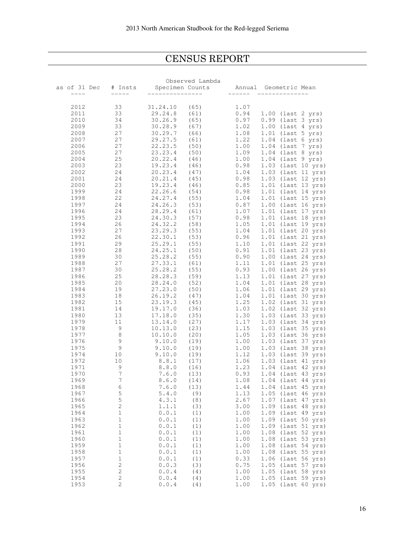## CENSUS REPORT

Ξ

|              |                      | Observed Lambda         |         |                       |
|--------------|----------------------|-------------------------|---------|-----------------------|
| as of 31 Dec |                      | # Insts Specimen Counts |         | Annual Geometric Mean |
| $--- - -$    | $\cdots\cdots\cdots$ | _______________         | ------- | --------------        |
|              |                      |                         |         |                       |
| 2012         | 33                   | 31.24.10<br>(65)        | 1.07    |                       |
| 2011         | 33                   | 29.24.8<br>(61)         | 0.94    | 1.00 (last 2 yrs)     |
|              | 34                   | 30.26.9<br>(65)         | 0.97    | 0.99 (last 3 yrs)     |
| 2010         |                      |                         |         |                       |
| 2009         | 33                   | 30.28.9<br>(67)         | 1.02    | $1.00$ (last 4 yrs)   |
| 2008         | 27                   | 30.29.7<br>(66)         | 1.08    | $1.01$ (last 5 yrs)   |
| 2007         | 27                   | 29.27.5<br>(61)         | 1.22    | $1.04$ (last 6 yrs)   |
| 2006         | 27                   | 22.23.5<br>(50)         | 1.00    | $1.04$ (last 7 yrs)   |
| 2005         | 27                   | 23.23.4<br>(50)         | 1.09    | $1.04$ (last 8 yrs)   |
| 2004         | 25                   | 20.22.4<br>(46)         | 1.00    | $1.04$ (last 9 yrs)   |
| 2003         | 23                   | 19.23.4<br>(46)         | 0.98    | 1.03 (last 10 yrs)    |
| 2002         | 24                   | 20.23.4<br>(47)         | 1.04    | 1.03 (last 11 yrs)    |
| 2001         | 24                   | 20.21.4<br>(45)         | 0.98    | 1.03 (last 12 yrs)    |
| 2000         | 23                   | 19.23.4<br>(46)         | 0.85    | 1.01 (last 13 yrs)    |
| 1999         | 24                   | 22.26.6<br>(54)         | 0.98    | 1.01 (last 14 yrs)    |
|              |                      |                         |         |                       |
| 1998         | 22                   | 24.27.4<br>(55)         | 1.04    | 1.01 (last 15 yrs)    |
| 1997         | 24                   | 24.26.3<br>(53)         | 0.87    | 1.00 (last 16 yrs)    |
| 1996         | 24                   | (61)<br>28.29.4         | 1.07    | 1.01 (last 17 yrs)    |
| 1995         | 23                   | 24.30.3<br>(57)         | 0.98    | 1.01 (last 18 yrs)    |
| 1994         | 26                   | 24.32.2<br>(58)         | 1.05    | 1.01 (last 19 yrs)    |
| 1993         | 27                   | (55)<br>23.29.3         | 1.04    | 1.01 (last 20 yrs)    |
| 1992         | 26                   | 22.30.1<br>(53)         | 0.96    | 1.01 (last 21 yrs)    |
| 1991         | 29                   | 25.29.1<br>(55)         | 1.10    | 1.01 (last 22 yrs)    |
| 1990         | 28                   | 24.25.1<br>(50)         | 0.91    | 1.01 (last 23 yrs)    |
| 1989         | 30                   | (55)<br>25.28.2         | 0.90    | 1.00 (last 24 yrs)    |
| 1988         | 27                   | 27.33.1<br>(61)         | 1.11    | 1.01 (last 25 yrs)    |
| 1987         | 30                   | 25.28.2<br>(55)         | 0.93    | 1.00 (last 26 yrs)    |
| 1986         | 25                   | (59)<br>28.28.3         | 1.13    | 1.01 (last 27 yrs)    |
| 1985         | 20                   | (52)<br>28.24.0         | 1.04    | 1.01 (last 28 yrs)    |
| 1984         | 19                   | 27.23.0<br>(50)         | 1.06    | 1.01 (last 29 yrs)    |
|              |                      |                         |         |                       |
| 1983         | 18                   | 26.19.2<br>(47)         | 1.04    | 1.01 (last 30 yrs)    |
| 1982         | 15                   | 23.19.3<br>(45)         | 1.25    | 1.02 (last 31 yrs)    |
| 1981         | 14                   | 19.17.0<br>(36)         | 1.03    | 1.02 (last 32 yrs)    |
| 1980         | 13                   | 17.18.0<br>(35)         | 1.30    | 1.03 (last 33 yrs)    |
| 1979         | 11                   | (27)<br>13.14.0         | 1.17    | 1.03 (last 34 yrs)    |
| 1978         | 9                    | 10.13.0<br>(23)         | 1.15    | 1.03 (last 35 yrs)    |
| 1977         | 8                    | 10.10.0<br>(20)         | 1.05    | 1.03 (last 36 yrs)    |
| 1976         | 9                    | 9.10.0<br>(19)          | 1.00    | 1.03 (last 37 yrs)    |
| 1975         | $\overline{9}$       | 9.10.0<br>(19)          | 1.00    | 1.03 (last 38 yrs)    |
| 1974         | 10                   | 9.10.0<br>(19)          | 1.12    | 1.03 (last 39 yrs)    |
| 1972         | 10                   | 8.8.1<br>(17)           | 1.06    | 1.03 (last 41 yrs)    |
| 1971         | 9                    | 8.8.0<br>(16)           | 1.23    | 1.04 (last 42 yrs)    |
| 1970         | $\overline{7}$       | 7.6.0<br>(13)           | 0.93    | 1.04 (last 43 yrs)    |
| 1969         | $\overline{7}$       | 8.6.0<br>(14)           | 1.08    | 1.04 (last 44 yrs)    |
| 1968         | 6                    | 7.6.0<br>(13)           | 1.44    | 1.04 (last 45 yrs)    |
| 1967         | $\mathsf S$          | 5.4.0<br>(9)            | 1.13    | 1.05 (last 46 yrs)    |
| 1966         | $\mathsf S$          | 4.3.1<br>(8)            | 2.67    | 1.07 (last 47 yrs)    |
| 1965         | $\sqrt{2}$           | 1.1.1<br>(3)            | 3.00    | 1.09 (last 48 yrs)    |
| 1964         | $1\,$                |                         |         |                       |
|              |                      | 0.0.1<br>(1)            | 1.00    | 1.09 (last 49 yrs)    |
| 1963         | $1\,$                | 0.0.1<br>(1)            | 1.00    | 1.09 (last 50 yrs)    |
| 1962         | $1\,$                | 0.0.1<br>(1)            | 1.00    | 1.09 (last 51 yrs)    |
| 1961         | $1\,$                | 0.0.1<br>(1)            | 1.00    | 1.08 (last 52 yrs)    |
| 1960         | $1\,$                | 0.0.1<br>(1)            | 1.00    | 1.08 (last 53 yrs)    |
| 1959         | $1\,$                | 0.0.1<br>(1)            | 1.00    | 1.08 (last 54 yrs)    |
| 1958         | $1\,$                | 0.0.1<br>(1)            | 1.00    | 1.08 (last 55 yrs)    |
| 1957         | $1\,$                | 0.0.1<br>(1)            | 0.33    | 1.06 (last 56 yrs)    |
| 1956         | $\sqrt{2}$           | 0.0.3<br>(3)            | 0.75    | 1.05 (last 57 yrs)    |
| 1955         | $\sqrt{2}$           | 0.0.4<br>(4)            | 1.00    | 1.05 (last 58 yrs)    |
| 1954         | 2                    | 0.0.4<br>(4)            | 1.00    | 1.05 (last 59 yrs)    |
| 1953         | $\sqrt{2}$           | 0.0.4<br>(4)            | 1.00    | 1.05 (last 60 yrs)    |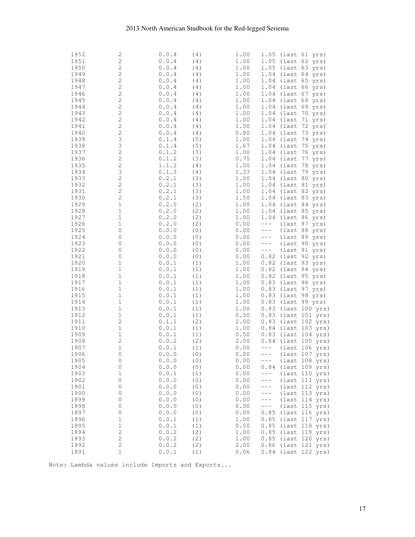#### 2013 North American Studbook for the Red-legged Seriema

| 1952 | 2                   | 0.0.4 | (4) | 1.00         |        | 1.05 (last 61 yrs)               |
|------|---------------------|-------|-----|--------------|--------|----------------------------------|
| 1951 | $\sqrt{2}$          | 0.0.4 | (4) | 1.00         |        | 1.05 (last 62 yrs)               |
| 1950 | $\overline{c}$      | 0.0.4 | (4) | 1.00         |        | 1.05 (last 63 yrs)               |
| 1949 | $\mathbf{2}$        | 0.0.4 | (4) | 1.00         |        | 1.04 (last 64 yrs)               |
| 1948 | $\mathbf{2}$        | 0.0.4 | (4) | 1.00         |        | 1.04 (last 65 yrs)               |
| 1947 | $\mathbf{2}$        | 0.0.4 | (4) | 1.00         |        | 1.04 (last 66 yrs)               |
| 1946 | $\mathbf{2}$        | 0.0.4 | (4) | 1.00         |        | 1.04 (last 67 yrs)               |
| 1945 | $\mathbf{2}$        | 0.0.4 | (4) | 1.00         |        | 1.04 (last 68 yrs)               |
| 1944 | $\mathbf{2}$        | 0.0.4 | (4) | $1\,.\,0\,0$ |        | 1.04 (last 69 yrs)               |
| 1943 | $\mathbf{2}$        | 0.0.4 | (4) | $1\,.\,0\,0$ |        | 1.04 (last 70 yrs)               |
| 1942 | $\mathbf{2}$        | 0.0.4 | (4) | 1.00         |        | 1.04 (last 71 yrs)               |
| 1941 | $\mathbf{2}$        | 0.0.4 | (4) | 1.00         |        | 1.04 (last 72 yrs)               |
| 1940 | $\mathbf 2$         | 0.0.4 | (4) | 0.80         |        | 1.04 (last 73 yrs)               |
| 1939 | 3                   | 0.1.4 | (5) | 1.00         |        | 1.04 (last 74 yrs)               |
| 1938 | 3                   | 0.1.4 | (5) | 1.67         |        | 1.04 (last 75 yrs)               |
| 1937 | $\mathbf{2}$        | 0.1.2 | (3) | 1.00         |        | 1.04 (last 76 yrs)               |
| 1936 | $\mathbf{2}$        | 0.1.2 | (3) | 0.75         |        | 1.04 (last 77 yrs)               |
| 1935 | $\mathbf 2$         | 1.1.2 | (4) | 1.00         |        | 1.04 (last 78 yrs)               |
| 1934 | 3                   | 0.1.3 | (4) | 1.33         |        | 1.04 (last 79 yrs)               |
| 1933 | $\mathbf{2}$        | 0.2.1 | (3) | 1.00         |        | 1.04 (last 80 yrs)               |
| 1932 | $\mathbf{2}$        | 0.2.1 | (3) | 1.00         |        | 1.04 (last 81 yrs)               |
| 1931 | $\mathbf{2}$        | 0.2.1 | (3) | 1.00         |        | 1.04 (last 82 yrs)               |
| 1930 | $\mathbf{2}$        | 0.2.1 | (3) | 1.50         |        | 1.04 (last 83 yrs)               |
| 1929 | $\mathbf 1$         | 0.2.0 | (2) | $1\,.\,0\,0$ |        | 1.04 (last 84 yrs)               |
| 1928 | $\mathbf 1$         | 0.2.0 | (2) | 1.00         |        | 1.04 (last 85 yrs)               |
| 1927 | $\mathbf{1}$        | 0.2.0 | (2) | 1.00         |        | 1.04 (last 86 yrs)               |
| 1926 | $\mathbf 1$         | 0.2.0 | (2) | 0.00         | $---$  | (last 87 yrs)                    |
| 1925 | 0                   | 0.0.0 | (0) | 0.00         | $---$  | (last 88 yrs)                    |
| 1924 | 0                   | 0.0.0 | (0) | 0.00         | $---$  | (last 89 yrs)                    |
| 1923 | 0                   | 0.0.0 | (0) | 0.00         | $---$  | $ulast 90 yrs)$                  |
| 1922 | 0                   | 0.0.0 | (0) | 0.00         | $---$  | (last 91 yrs)                    |
| 1921 | 0                   | 0.0.0 | (0) | 0.00         |        | 0.82 (last 92 yrs)               |
| 1920 | $\mathbf 1$         | 0.0.1 | (1) | 1.00         |        | 0.82 (last 93 yrs)               |
| 1919 | $\mathbf 1$         | 0.0.1 | (1) | 1.00         |        | 0.82 (last 94 yrs)               |
| 1918 | $\mathbf 1$         | 0.0.1 | (1) | $1\,.\,0\,0$ |        | 0.82 (last 95 yrs)               |
| 1917 | $\mathbf 1$         | 0.0.1 | (1) | 1.00         |        | 0.83 (last 96 yrs)               |
| 1916 | $\mathbf 1$         | 0.0.1 | (1) | 1.00         |        | 0.83 (last 97 yrs)               |
| 1915 | $\mathbf 1$         | 0.0.1 | (1) | 1.00         |        | 0.83 (last 98 yrs)               |
| 1914 | $\mathbf 1$         | 0.0.1 | (1) | 1.00         |        | 0.83 (last 99 yrs)               |
| 1913 | $\mathbf 1$         | 0.0.1 | (1) | 1.00         |        | 0.83 (last 100 yrs)              |
| 1912 | $\mathbf 1$         | 0.0.1 | (1) | 0.50         |        | 0.83 (last 101 yrs)              |
| 1911 | $\mathbf{2}$        | 0.1.1 | (2) | 2.00         |        | 0.83 (last 102 yrs)              |
| 1910 | $\mathbf 1$         | 0.0.1 | (1) | 1.00         |        | 0.84 (last 103 yrs)              |
| 1909 | $\mathbf 1$         | 0.0.1 | (1) | 0.50         |        | 0.83 (last 104 yrs)              |
| 1908 | $\mathbf{2}$        | 0.0.2 | (2) | 2.00         |        | 0.84 (last 105 yrs)              |
| 1907 | $\mathbf 1$         | 0.0.1 | (1) | 0.00         | $---$  | (last 106 yrs)                   |
| 1906 | $\circ$             | 0.0.0 | (0) | 0.00         | $---$  | (last 107 yrs)                   |
| 1905 | 0                   | 0.0.0 | (0) | 0.00         | $---$  | (last 108 yrs)                   |
| 1904 | 0                   | 0.0.0 | (0) | 0.00         | 0.84   | (last 109 yrs)                   |
| 1903 | $1\,$               | 0.0.1 | (1) | 0.00         | $---$  | (last 110 yrs)                   |
| 1902 | 0                   | 0.0.0 | (0) | 0.00         | $---$  | $(\text{last } 111 \text{ yrs})$ |
| 1901 | $\mathsf{O}\xspace$ | 0.0.0 | (0) | 0.00         | $-- -$ | $(\text{last } 112 \text{ yrs})$ |
| 1900 | 0                   | 0.0.0 | (0) | 0.00         | $---$  | $(\text{last } 113 \text{ yrs})$ |
| 1899 | 0                   | 0.0.0 | (0) | 0.00         | $---$  | $(\text{last } 114 \text{ yrs})$ |
| 1898 | 0                   | 0.0.0 | (0) | 0.00         | $---$  | $(\text{last } 115 \text{ yrs})$ |
| 1897 | $\mathsf{O}\xspace$ | 0.0.0 | (0) | 0.00         | 0.85   | (last 116 yrs)                   |
| 1896 | $\mathbf 1$         | 0.0.1 | (1) | 1.00         | 0.85   | (last 117 yrs)                   |
| 1895 | $\mathbf 1$         | 0.0.1 | (1) | 0.50         |        | 0.85 (last 118 yrs)              |
| 1894 | $\sqrt{2}$          | 0.0.2 | (2) | 1.00         |        | 0.85 (last 119 yrs)              |
| 1893 | $\sqrt{2}$          | 0.0.2 | (2) | 1.00         |        | 0.85 (last 120 yrs)              |
| 1892 | $\sqrt{2}$          | 0.0.2 | (2) | 2.00         |        | 0.86 (last 121 yrs)              |
| 1891 | $1\,$               | 0.0.1 | (1) | 0.06         |        | 0.84 (last 122 yrs)              |
|      |                     |       |     |              |        |                                  |

Note: Lambda values include Imports and Exports...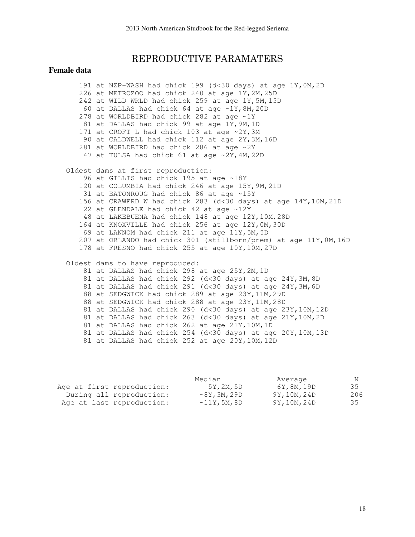## REPRODUCTIVE PARAMATERS

#### **Female data**

|  | 191 at NZP-WASH had chick 199 (d<30 days) at age 1Y, OM, 2D       |
|--|-------------------------------------------------------------------|
|  | 226 at METROZOO had chick 240 at age 1Y, 2M, 25D                  |
|  | 242 at WILD WRLD had chick 259 at age 1Y, 5M, 15D                 |
|  | 60 at DALLAS had chick 64 at age ~1Y, 8M, 20D                     |
|  | 278 at WORLDBIRD had chick 282 at age ~1Y                         |
|  | 81 at DALLAS had chick 99 at age 1Y, 9M, 1D                       |
|  | 171 at CROFT L had chick 103 at age ~2Y, 3M                       |
|  | 90 at CALDWELL had chick 112 at age 2Y, 3M, 16D                   |
|  | 281 at WORLDBIRD had chick 286 at age ~2Y                         |
|  | 47 at TULSA had chick 61 at age ~2Y, 4M, 22D                      |
|  | Oldest dams at first reproduction:                                |
|  | 196 at GILLIS had chick 195 at age ~18Y                           |
|  | 120 at COLUMBIA had chick 246 at age 15Y, 9M, 21D                 |
|  | 31 at BATONROUG had chick 86 at age ~15Y                          |
|  | 156 at CRAWFRD W had chick 283 (d<30 days) at age 14Y, 10M, 21D   |
|  | 22 at GLENDALE had chick 42 at age ~12Y                           |
|  | 48 at LAKEBUENA had chick 148 at age 12Y, 10M, 28D                |
|  | 164 at KNOXVILLE had chick 256 at age 12Y, OM, 30D                |
|  | 69 at LANNOM had chick 211 at age 11Y, 5M, 5D                     |
|  | 207 at ORLANDO had chick 301 (stillborn/prem) at age 11Y, OM, 16D |
|  | 178 at FRESNO had chick 255 at age 10Y, 10M, 27D                  |
|  | Oldest dams to have reproduced:                                   |
|  | 81 at DALLAS had chick 298 at age 25Y, 2M, 1D                     |
|  | 81 at DALLAS had chick 292 (d<30 days) at age 24Y, 3M, 8D         |
|  | 81 at DALLAS had chick 291 (d<30 days) at age 24Y, 3M, 6D         |
|  | 88 at SEDGWICK had chick 289 at age 23Y, 11M, 29D                 |
|  | 88 at SEDGWICK had chick 288 at age 23Y, 11M, 28D                 |
|  | 81 at DALLAS had chick 290 (d<30 days) at age 23Y, 10M, 12D       |
|  | 81 at DALLAS had chick 263 (d<30 days) at age 21Y, 10M, 2D        |
|  | 81 at DALLAS had chick 262 at age 21Y, 10M, 1D                    |
|  | 81 at DALLAS had chick 254 (d<30 days) at age 20Y, 10M, 13D       |
|  | 81 at DALLAS had chick 252 at age 20Y, 10M, 12D                   |

|                            | Median            | Average      | N   |
|----------------------------|-------------------|--------------|-----|
| Age at first reproduction: | 5Y, 2M, 5D        | 6Y,8M,19D    | 35  |
| During all reproduction:   | $\sim$ 8Y,3M,29D  | 9Y, 10M, 24D | 206 |
| Age at last reproduction:  | $~\sim$ 11Y,5M,8D | 9Y, 10M, 24D | 35  |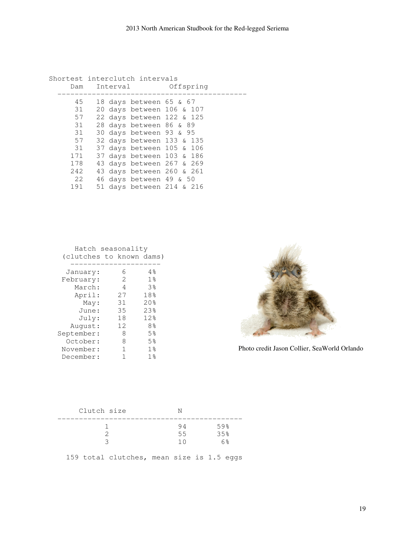|          | Shortest interclutch intervals |                             |                                                        |
|----------|--------------------------------|-----------------------------|--------------------------------------------------------|
| Dam      | Interval                       |                             | Offspring                                              |
| 45       |                                | 18 days between $65$ & $67$ |                                                        |
| 31<br>57 |                                |                             | 20 days between 106 & 107<br>22 days between 122 & 125 |
| 31       |                                | 28 days between 86 & 89     |                                                        |
| 31       |                                | 30 days between 93 & 95     |                                                        |
| 57       |                                |                             | 32 days between 133 & 135                              |
| 31       |                                |                             | 37 days between 105 & 106                              |
| 171      |                                |                             | 37 days between 103 & 186                              |
| 178      |                                |                             | 43 days between 267 & 269                              |
| 242      |                                |                             | 43 days between 260 & 261                              |
| 2.2      |                                | 46 days between 49 & 50     |                                                        |
| 191      |                                |                             | 51 days between 214 & 216                              |
|          |                                |                             |                                                        |

 Hatch seasonality (clutches to known dams) --------------------- January: 6 4% February: 2 1% March:  $4$  3% April: 27 18% May: 31 20%<br>June: 35 23% June: 35 23%<br>July: 18 12% July: 18 12%<br>
12 12 12%

 August: 12 8% September: 8 5% October: 8 5% November: 1 1% December: 1 1%



Photo credit Jason Collier, SeaWorld Orlando

| Clutch size |                 |                  |
|-------------|-----------------|------------------|
|             | 94<br>55<br>1 O | 59%<br>35%<br>6% |
|             |                 |                  |

159 total clutches, mean size is 1.5 eggs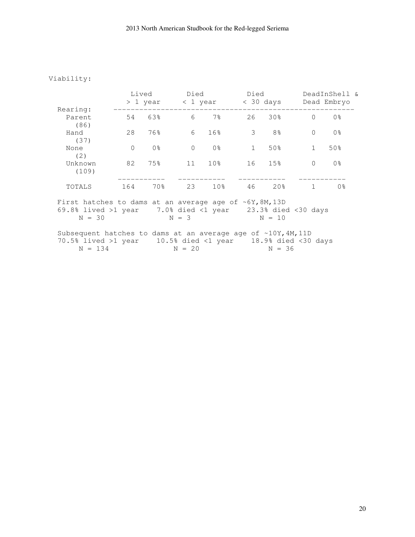#### Viability:

|                                                                                                                                                 | Lived    | > 1 year       | Died<br>< 1 year |                 | Died<br>$<$ 30 days |                |          | DeadInShell &<br>Dead Embryo |  |
|-------------------------------------------------------------------------------------------------------------------------------------------------|----------|----------------|------------------|-----------------|---------------------|----------------|----------|------------------------------|--|
| Rearing:<br>Parent                                                                                                                              | 54       | 63%            | 6                | $7\%$           | 26                  | 30%            | $\Omega$ | 0 <sup>°</sup>               |  |
| (86)                                                                                                                                            |          |                |                  |                 |                     |                |          |                              |  |
| Hand<br>(37)                                                                                                                                    | 28       | 76%            | 6                | 16%             | 3                   | 8 <sup>°</sup> | $\Omega$ | 0 <sup>°</sup>               |  |
| None<br>(2)                                                                                                                                     | $\Omega$ | 0 <sub>8</sub> | 0                | 0 <sup>8</sup>  | $\mathbf{1}$        | 50%            |          | 50%                          |  |
| Unknown<br>(109)                                                                                                                                | 82       | 75%            | 11               | 10 <sub>8</sub> | 16                  | 15%            | $\Omega$ | 0 <sup>°</sup>               |  |
| TOTALS                                                                                                                                          | 164      | 70%            | 23               | 10 <sub>8</sub> | 46                  | 20%            |          | 0 <sup>°</sup>               |  |
| First hatches to dams at an average age of $\sim 6Y$ , 8M, 13D<br>69.8% lived >1 year $-7.0$ % died <1 year $-23.3$ % died <30 days<br>$N = 30$ |          |                | $N = 3$          |                 |                     | $N = 10$       |          |                              |  |

Subsequent hatches to dams at an average age of  $\sim 10Y$ , 4M, 11D 70.5% lived >1 year 10.5% died <1 year 18.9% died <30 days  $N = 134$   $N = 20$   $N = 36$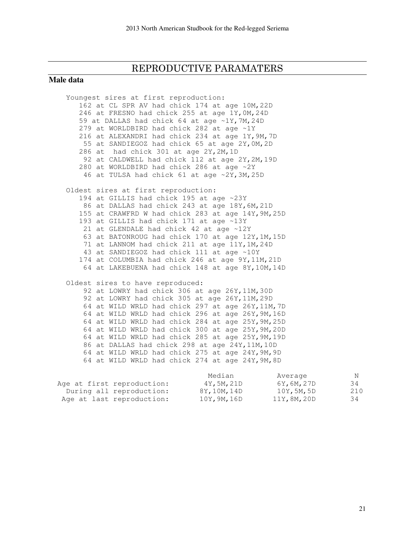#### REPRODUCTIVE PARAMATERS

#### **Male data**

 Youngest sires at first reproduction: 162 at CL SPR AV had chick 174 at age 10M,22D 246 at FRESNO had chick 255 at age 1Y,0M,24D 59 at DALLAS had chick 64 at age ~1Y,7M,24D 279 at WORLDBIRD had chick 282 at age ~1Y 216 at ALEXANDRI had chick 234 at age 1Y,9M,7D 55 at SANDIEGOZ had chick 65 at age 2Y,0M,2D 286 at had chick 301 at age 2Y,2M,1D 92 at CALDWELL had chick 112 at age 2Y,2M,19D 280 at WORLDBIRD had chick 286 at age ~2Y 46 at TULSA had chick 61 at age ~2Y,3M,25D Oldest sires at first reproduction: 194 at GILLIS had chick 195 at age ~23Y 86 at DALLAS had chick 243 at age 18Y,6M,21D 155 at CRAWFRD W had chick 283 at age 14Y,9M,25D 193 at GILLIS had chick 171 at age ~13Y 21 at GLENDALE had chick 42 at age ~12Y 63 at BATONROUG had chick 170 at age 12Y,1M,15D 71 at LANNOM had chick 211 at age 11Y,1M,24D 43 at SANDIEGOZ had chick 111 at age ~10Y 174 at COLUMBIA had chick 246 at age 9Y,11M,21D 64 at LAKEBUENA had chick 148 at age 8Y,10M,14D Oldest sires to have reproduced: 92 at LOWRY had chick 306 at age 26Y,11M,30D 92 at LOWRY had chick 305 at age 26Y, 11M, 29D 64 at WILD WRLD had chick 297 at age 26Y,11M,7D 64 at WILD WRLD had chick 296 at age 26Y,9M,16D 64 at WILD WRLD had chick 284 at age 25Y,9M,25D 64 at WILD WRLD had chick 300 at age 25Y,9M,20D 64 at WILD WRLD had chick 285 at age 25Y,9M,19D 86 at DALLAS had chick 298 at age 24Y,11M,10D 64 at WILD WRLD had chick 275 at age 24Y,9M,9D 64 at WILD WRLD had chick 274 at age 24Y,9M,8D Median Merket Average Number of Number and Average Number 2012

| 4Y,5M,21D  | 34                                     |
|------------|----------------------------------------|
| 8Y,10M,14D | 210                                    |
| 10Y,9M,16D | 34                                     |
|            | 6Y,6M,27D<br>10Y,5M,5D<br>11Y, 8M, 20D |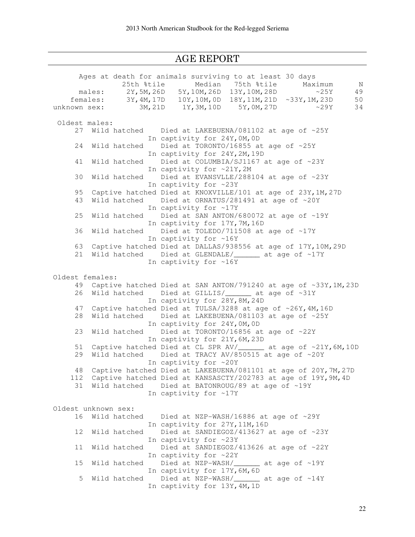## AGE REPORT

|    |                     | Ages at death for animals surviving to at least 30 days                |
|----|---------------------|------------------------------------------------------------------------|
|    |                     | 25th %tile<br>Median 75th %tile<br>Maximum<br>$\mathbb N$              |
|    |                     | males: 2Y, 5M, 26D 5Y, 10M, 26D 13Y, 10M, 28D<br>$\sim$ 25Y<br>49      |
|    |                     | 18Y, 11M, 21D ~33Y, 1M, 23D<br>females: 3Y, 4M, 17D 10Y, 10M, 0D<br>50 |
|    | unknown sex:        | 3M, 21D 1Y, 3M, 10D 5Y, 0M, 27D<br>$\sim$ 29Y<br>34                    |
|    |                     |                                                                        |
|    | Oldest males:       |                                                                        |
| 27 |                     | Wild hatched Died at LAKEBUENA/081102 at age of ~25Y                   |
|    |                     | In captivity for 24Y, OM, OD                                           |
| 24 | Wild hatched        | Died at TORONTO/16855 at age of ~25Y                                   |
|    |                     | In captivity for 24Y, 2M, 19D                                          |
| 41 | Wild hatched        | Died at COLUMBIA/SJ1167 at age of ~23Y                                 |
|    |                     | In captivity for ~21Y, 2M                                              |
|    |                     |                                                                        |
| 30 | Wild hatched        | Died at EVANSVLLE/288104 at age of ~23Y                                |
|    |                     | In captivity for ~23Y                                                  |
| 95 |                     | Captive hatched Died at KNOXVILLE/101 at age of 23Y, 1M, 27D           |
| 43 | Wild hatched        | Died at ORNATUS/281491 at age of ~20Y                                  |
|    |                     | In captivity for ~17Y                                                  |
| 25 | Wild hatched        | Died at SAN ANTON/680072 at age of ~19Y                                |
|    |                     | In captivity for 17Y, 7M, 16D                                          |
| 36 | Wild hatched        | Died at TOLEDO/711508 at age of ~17Y                                   |
|    |                     | In captivity for ~16Y                                                  |
| 63 |                     | Captive hatched Died at DALLAS/938556 at age of 17Y, 10M, 29D          |
| 21 |                     |                                                                        |
|    |                     | In captivity for ~16Y                                                  |
|    |                     |                                                                        |
|    | Oldest females:     |                                                                        |
| 49 |                     | Captive hatched Died at SAN ANTON/791240 at age of ~33Y, 1M, 23D       |
|    |                     |                                                                        |
| 26 | Wild hatched        | Died at GILLIS/________ at age of ~31Y                                 |
|    |                     | In captivity for 28Y, 8M, 24D                                          |
| 47 |                     | Captive hatched Died at TULSA/3288 at age of ~26Y, 4M, 16D             |
| 28 | Wild hatched        | Died at LAKEBUENA/081103 at age of ~25Y                                |
|    |                     | In captivity for 24Y, OM, OD                                           |
| 23 | Wild hatched        | Died at TORONTO/16856 at age of ~22Y                                   |
|    |                     | In captivity for 21Y, 6M, 23D                                          |
| 51 |                     | Captive hatched Died at CL SPR AV/_______ at age of ~21Y, 6M, 10D      |
| 29 | Wild hatched        | Died at TRACY AV/850515 at age of ~20Y                                 |
|    |                     | In captivity for ~20Y                                                  |
| 48 |                     | Captive hatched Died at LAKEBUENA/081101 at age of 20Y, 7M, 27D        |
|    |                     | 112 Captive hatched Died at KANSASCTY/202783 at age of 19Y, 9M, 4D     |
| 31 | Wild hatched        | Died at BATONROUG/89 at age of ~19Y                                    |
|    |                     | In captivity for ~17Y                                                  |
|    |                     |                                                                        |
|    | Oldest unknown sex: |                                                                        |
|    |                     |                                                                        |
| 16 | Wild hatched        | Died at NZP-WASH/16886 at age of ~29Y                                  |
|    |                     | In captivity for 27Y, 11M, 16D                                         |
| 12 | Wild hatched        | Died at SANDIEGOZ/413627 at age of ~23Y                                |
|    |                     | In captivity for ~23Y                                                  |
| 11 | Wild hatched        | Died at SANDIEGOZ/413626 at age of ~22Y                                |
|    |                     | In captivity for ~22Y                                                  |
| 15 | Wild hatched        | Died at NZP-WASH/________ at age of ~19Y                               |
|    |                     | In captivity for 17Y, 6M, 6D                                           |
| 5  | Wild hatched        | Died at NZP-WASH/________ at age of ~14Y                               |
|    |                     | In captivity for 13Y, 4M, 1D                                           |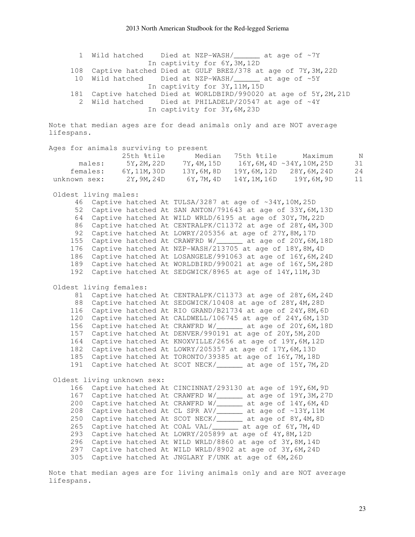|  | 1 Wild hatched Died at NZP-WASH/ ______ at age of ~7Y              |
|--|--------------------------------------------------------------------|
|  | In captivity for 6Y, 3M, 12D                                       |
|  | 108 Captive hatched Died at GULF BREZ/378 at age of 7Y, 3M, 22D    |
|  | 10 Wild hatched Died at NZP-WASH/ ______ at age of ~5Y             |
|  | In captivity for 3Y, 11M, 15D                                      |
|  | 181 Captive hatched Died at WORLDBIRD/990020 at age of 5Y, 2M, 21D |
|  | 2 Wild hatched Died at PHILADELP/20547 at age of ~4Y               |
|  | In captivity for 3Y, 6M, 23D                                       |

Note that median ages are for dead animals only and are NOT average lifespans.

|                            |          | Ages for animals surviving to present |           |              |                                  |    |
|----------------------------|----------|---------------------------------------|-----------|--------------|----------------------------------|----|
|                            |          | 25th %tile                            | Median    | 75th %tile   | Maximum                          | N  |
|                            | males:   | 5Y,2M,22D                             | 7Y,4M,15D |              | $16Y, 6M, 4D \sim 34Y, 10M, 25D$ | 31 |
|                            | females: | 6Y, 11M, 30D                          | 13Y,6M,8D | 19Y,6M,12D   | 28Y, 6M, 24D                     | 24 |
| unknown sex:               |          | 2Y, 9M, 24D                           | 6Y,7M,4D  | 14Y, 1M, 16D | 19Y,6M,9D                        | 11 |
| $0.1$ deat $1.1$ ma meless |          |                                       |           |              |                                  |    |

Oldest living males:

 46 Captive hatched At TULSA/3287 at age of ~34Y,10M,25D 52 Captive hatched At SAN ANTON/791643 at age of 33Y,6M,13D 64 Captive hatched At WILD WRLD/6195 at age of 30Y,7M,22D 86 Captive hatched At CENTRALPK/C11372 at age of 28Y,4M,30D 92 Captive hatched At LOWRY/205356 at age of 27Y,8M,17D 155 Captive hatched At CRAWFRD W/\_\_\_\_\_\_ at age of 20Y,6M,18D 176 Captive hatched At NZP-WASH/213705 at age of 18Y,8M,4D 186 Captive hatched At LOSANGELE/991063 at age of 16Y,6M,24D 189 Captive hatched At WORLDBIRD/990021 at age of 16Y,5M,28D 192 Captive hatched At SEDGWICK/8965 at age of 14Y,11M,3D

Oldest living females:

 81 Captive hatched At CENTRALPK/C11373 at age of 28Y,6M,24D 88 Captive hatched At SEDGWICK/10408 at age of 28Y,4M,28D 116 Captive hatched At RIO GRAND/B21734 at age of 24Y,8M,6D 120 Captive hatched At CALDWELL/106745 at age of 24Y,6M,13D 156 Captive hatched At CRAWFRD W/\_\_\_\_\_\_ at age of 20Y,6M,18D 157 Captive hatched At DENVER/990191 at age of 20Y,5M,20D 164 Captive hatched At KNOXVILLE/2656 at age of 19Y,6M,12D 182 Captive hatched At LOWRY/205357 at age of 17Y,6M,13D 185 Captive hatched At TORONTO/39385 at age of 16Y,7M,18D 191 Captive hatched At SCOT NECK/\_\_\_\_\_\_ at age of 15Y,7M,2D

Oldest living unknown sex:

 166 Captive hatched At CINCINNAT/293130 at age of 19Y,6M,9D 167 Captive hatched At CRAWFRD W/\_\_\_\_\_\_ at age of 19Y,3M,27D 200 Captive hatched At CRAWFRD W/\_\_\_\_\_\_ at age of 14Y,6M,4D 208 Captive hatched At CL SPR AV/\_\_\_\_\_\_ at age of ~13Y,11M 250 Captive hatched At SCOT NECK/\_\_\_\_\_\_ at age of 8Y,4M,8D 265 Captive hatched At COAL VAL/\_\_\_\_\_\_ at age of 6Y,7M,4D 293 Captive hatched At LOWRY/205899 at age of 4Y,8M,12D 296 Captive hatched At WILD WRLD/8860 at age of 3Y,8M,14D 297 Captive hatched At WILD WRLD/8902 at age of 3Y,6M,24D 305 Captive hatched At JNGLARY F/UNK at age of 6M,26D

Note that median ages are for living animals only and are NOT average lifespans.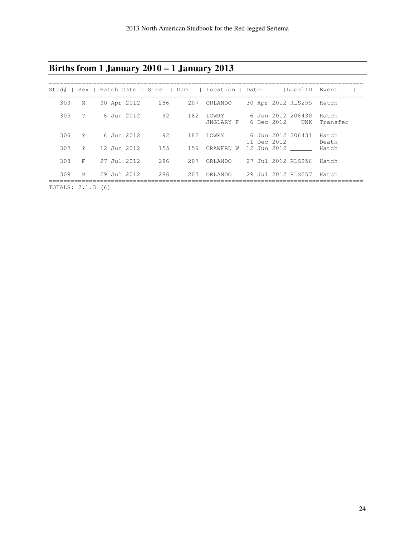## **Births from 1 January 2010 – 1 January 2013**

| Stud#          |                |  |                 |     |     | Sex   Hatch Date   Sire   Dam   Location   Date |  |             | lLocalIDI Event                 |                   |
|----------------|----------------|--|-----------------|-----|-----|-------------------------------------------------|--|-------------|---------------------------------|-------------------|
| 303            | M              |  | 30 Apr 2012     | 286 | 207 | ORLANDO                                         |  |             | 30 Apr 2012 RLS255              | Hatch             |
| 305            | $\overline{?}$ |  | 6 Jun 2012      | 92  | 182 | LOWRY<br>JNGLARY F                              |  | 6 Dec 2012  | 6 Jun 2012 206430<br><b>UNK</b> | Hatch<br>Transfer |
| 306            | $\ddot{ }$     |  | 6 Jun 2012      | 92  | 182 | LOWRY                                           |  | 11 Dec 2012 | 6 Jun 2012 206431               | Hatch<br>Death    |
| 307            | $\overline{2}$ |  | 12 Jun 2012     | 155 | 156 | CRAWFRD W                                       |  |             | 12 Jun 2012                     | Hatch             |
| 308            | F              |  | $27$ Jul 2012   | 286 | 207 | ORLANDO                                         |  |             | 27 Jul 2012 RLS256              | Hatch             |
| 309            | M              |  | $29$ Jul $2012$ | 286 | 207 | ORLANDO                                         |  |             | 29 Jul 2012 RLS257              | Hatch             |
| $\blacksquare$ |                |  |                 |     |     |                                                 |  |             |                                 |                   |

TOTALS: 2.1.3 (6)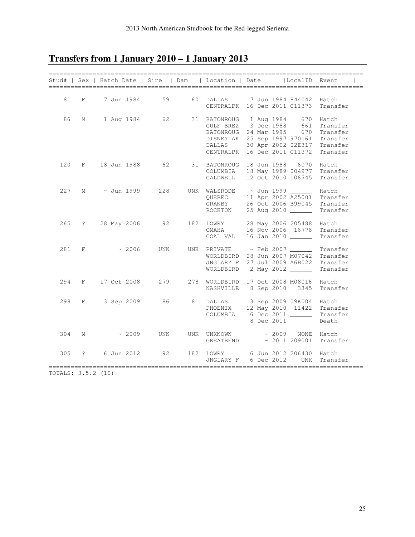## **Transfers from 1 January 2010 – 1 January 2013**

|     |             |            |             | -----------------------------<br>Stud#   Sex   Hatch Date   Sire   Dam | ---------------------<br>  Location   Date                                                                                              |  |            | LocalID  Event                                                        | ________________________                                          |
|-----|-------------|------------|-------------|------------------------------------------------------------------------|-----------------------------------------------------------------------------------------------------------------------------------------|--|------------|-----------------------------------------------------------------------|-------------------------------------------------------------------|
| 81  | F           |            | 7 Jun 1984  | 59                                                                     | 60 DALLAS<br>CENTRALPK                                                                                                                  |  |            | 7 Jun 1984 844042<br>16 Dec 2011 C11373                               | Hatch<br>Transfer                                                 |
| 86  | М           |            | 1 Aug 1984  | 62                                                                     | 31 BATONROUG 1 Aug 1984 670<br>GULF BREZ 3 Dec 1988 661<br>BATONROUG 24 Mar 1995<br>DISNEY AK 25 Sep 1997 970161<br>DALLAS<br>CENTRALPK |  |            | 670<br>670<br>30 Apr 2002 02E317<br>16 Dec 2011 C11372                | Hatch<br>Transfer<br>Transfer<br>Transfer<br>Transfer<br>Transfer |
| 120 | $F \sim$    |            |             | 18 Jun 1988 62                                                         | 31 BATONROUG 18 Jun 1988 6070<br>COLUMBIA<br>CALDWELL                                                                                   |  |            | 18 May 1989 004977<br>12 Oct 2010 106745                              | Hatch<br>Transfer<br>Transfer                                     |
| 227 | М           |            | ~ Jun 1999  | 228                                                                    | UNK WALSRODE<br>QUEBEC<br>GRANBY<br>ROCKTON                                                                                             |  |            | ~ Jun 1999<br>11 Apr 2002 A25001<br>26 Oct 2006 B99045<br>25 Aug 2010 | Hatch<br>Transfer<br>Transfer<br>Transfer                         |
| 265 | $\ddot{?}$  |            | 28 May 2006 | 92                                                                     | 182 LOWRY 28 May 2006 205488<br>OMAHA 16 Nov 2006 16778<br>OMAHA<br>COAL VAL                                                            |  |            | 16 Nov 2006 16778<br>16 Jan 2010                                      | Hatch<br>Transfer<br>Transfer                                     |
| 281 | F           |            | $\sim 2006$ | UNK                                                                    | UNK PRIVATE ~ Feb 2007 _______ Transfer<br>WORLDBIRD 28 Jun 2007 M07042<br>JNGLARY F 27 Jul 2009 A6B022<br>WORLDBIRD 2 May 2012         |  |            |                                                                       | Transfer<br>Transfer<br>Transfer                                  |
| 294 | F           |            | 17 Oct 2008 |                                                                        | 279 278 WORLDBIRD 17 Oct 2008 M08016<br>NASHVILLE                                                                                       |  |            | 8 Sep 2010 3345                                                       | Hatch<br>Transfer                                                 |
| 298 | F           | 3 Sep 2009 |             | 86                                                                     | 81 DALLAS<br>PHOENIX 12 May 2010 11422<br>COLUMBIA                                                                                      |  | 8 Dec 2011 | 3 Sep 2009 09K004<br>6 Dec 2011 ______                                | Hatch<br>Transfer<br>Transfer<br>Death                            |
| 304 | М           |            | $\sim 2009$ | UNK                                                                    | UNK UNKNOWN<br><b>GREATBEND</b>                                                                                                         |  |            | ~ 2009 NONE Hatch<br>$\sim 2011 209001$                               | Transfer                                                          |
| 305 | $\tilde{ }$ |            | 6 Jun 2012  | 92                                                                     | 182 LOWRY<br>JNGLARY F                                                                                                                  |  | 6 Dec 2012 | 6 Jun 2012 206430<br>UNK                                              | Hatch<br>Transfer                                                 |

TOTALS: 3.5.2 (10)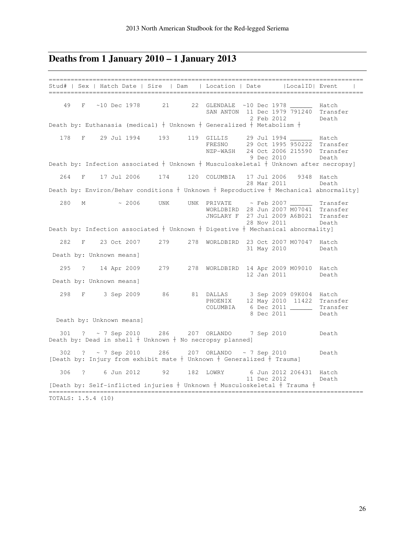#### **Deaths from 1 January 2010 – 1 January 2013**

====================================================================================== Stud# | Sex | Hatch Date | Sire | Dam | Location | Date |LocalID| Event | ====================================================================================== 49 F ~10 Dec 1978 21 22 GLENDALE ~10 Dec 1978 \_\_\_\_\_\_ Hatch SAN ANTON 11 Dec 1979 791240 Transfer<br>
2 Feb 2012 Death 2 Feb 2012 Death Death by: Euthanasia (medical) Unknown Generalized Metabolism 178 F 29 Jul 1994 193 119 GILLIS 29 Jul 1994 \_\_\_\_\_\_ Hatch FRESNO 29 Oct 1995 950222 Transfer NZP-WASH 24 Oct 2006 215590 Transfer 9 Dec 2010 Death Death by: Infection associated  $+$  Unknown  $+$  Musculoskeletal  $+$  Unknown after necropsy] 264 F 17 Jul 2006 174 120 COLUMBIA 17 Jul 2006 9348 Hatch 28 Mar 2011 Death Death by: Environ/Behav conditions Unknown Reproductive Mechanical abnormality]  $280$  M  $\sim$  2006 UNK UNK PRIVATE  $\sim$  Feb 2007 Transfer WORLDBIRD 28 Jun 2007 M07041 Transfer JNGLARY F 27 Jul 2009 A6B021 Transfer Death by: Infection associated † Unknown † Digestive † Mechanical abnormality]<br>Death by: Infection associated † Unknown † Digestive † Mechanical abnormality] 282 F 23 Oct 2007 279 278 WORLDBIRD 23 Oct 2007 M07047 Hatch 31 May 2010 Death Death by: Unknown means] 295 ? 14 Apr 2009 279 278 WORLDBIRD 14 Apr 2009 M09010 Hatch 12 Jan 2011 Death Death by: Unknown means] 298 F 3 Sep 2009 86 81 DALLAS 3 Sep 2009 09K004 Hatch PHOENIX 12 May 2010 11422 Transfer COLUMBIA 6 Dec 2011 \_\_\_\_\_\_ Transfer extended by the state of the state of the state of the state of the state of the state of the state of the state of the state of the state of the state of the state of the state of the state of the state of the state of th Death by: Unknown means] 301 ? ~ 7 Sep 2010 286 207 ORLANDO 7 Sep 2010 Death Death by: Dead in shell  $\dagger$  Unknown  $\dagger$  No necropsy planned] 302 ? ~ 7 Sep 2010 286 207 ORLANDO ~ 7 Sep 2010 Death [Death by: Injury from exhibit mate  $\dagger$  Unknown  $\dagger$  Generalized  $\dagger$  Trauma] 306 ? 6 Jun 2012 92 182 LOWRY 6 Jun 2012 206431 Hatch 11 Dec 2012 Death [Death by: Self-inflicted injuries  $+$  Unknown  $+$  Musculoskeletal  $+$  Trauma  $+$ ====================================================================================== TOTALS: 1.5.4 (10)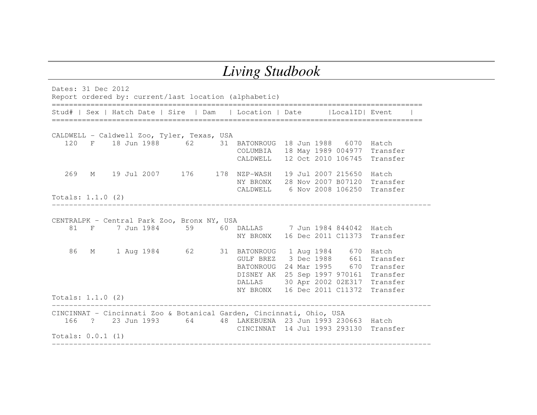## *Living Studbook*

Dates: 31 Dec 2012 Report ordered by: current/last location (alphabetic) ====================================================================================== Stud# | Sex | Hatch Date | Sire | Dam | Location | Date | LocalID| Event ====================================================================================== CALDWELL - Caldwell Zoo, Tyler, Texas, USA 120 F 18 Jun 1988 62 31 BATONROUG 18 Jun 1988 6070 Hatch COLUMBIA 18 May 1989 004977 Transfer CALDWELL 12 Oct 2010 106745 Transfer 269 M 19 Jul 2007 176 178 NZP-WASH 19 Jul 2007 215650 Hatch NY BRONX 28 Nov 2007 B07120 Transfer CALDWELL 6 Nov 2008 106250 Transfer Totals: 1.1.0 (2) ---------------------------------------------------------------------------------------- CENTRALPK – Central Park Zoo, Bronx NY, USA 81 F 7 Jun 1984 59 60 DALLAS 7 Jun 1984 844042 Hatch NY BRONX 16 Dec 2011 C11373 Transfer 86 M 1 Aug 1984 62 31 BATONROUG 1 Aug 1984 670 Hatch GULF BREZ 3 Dec 1988 661 Transfer BATONROUG 24 Mar 1995 670 Transfer DISNEY AK 25 Sep 1997 970161 Transfer DALLAS 30 Apr 2002 02E317 Transfer NY BRONX 16 Dec 2011 C11372 Transfer Totals: 1.1.0 (2) ---------------------------------------------------------------------------------------- CINCINNAT - Cincinnati Zoo & Botanical Garden, Cincinnati, Ohio, USA 166 ? 23 Jun 1993 64 48 LAKEBUENA 23 Jun 1993 230663 Hatch CINCINNAT 14 Jul 1993 293130 Transfer Totals: 0.0.1 (1) ----------------------------------------------------------------------------------------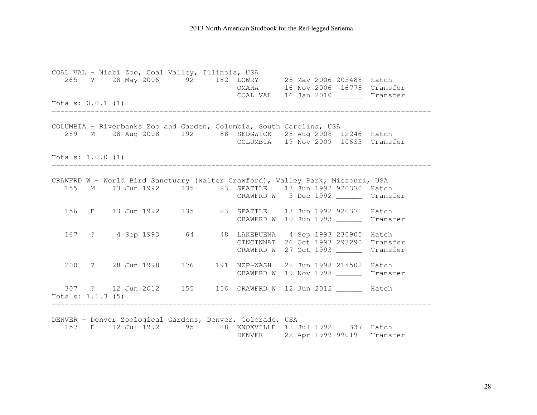#### 2013 North American Studbook for the Red-legged Seriema

COAL VAL - Niabi Zoo, Coal Valley, Illinois, USA 265 ? 28 May 2006 92 182 LOWRY 28 May 2006 205488 Hatch OMAHA 16 Nov 2006 16778 Transfer COAL VAL 16 Jan 2010 \_\_\_\_\_\_ Transfer Totals: 0.0.1 (1) ---------------------------------------------------------------------------------------- COLUMBIA - Riverbanks Zoo and Garden, Columbia, South Carolina, USA 289 M 28 Aug 2008 192 88 SEDGWICK 28 Aug 2008 12246 Hatch COLUMBIA 19 Nov 2009 10633 Transfer Totals: 1.0.0 (1) ---------------------------------------------------------------------------------------- CRAWFRD W - World Bird Sanctuary (walter Crawford), Valley Park, Missouri, USA 155 M 13 Jun 1992 135 83 SEATTLE 13 Jun 1992 920370 Hatch CRAWFRD W 3 Dec 1992 \_\_\_\_\_\_ Transfer 156 F 13 Jun 1992 135 83 SEATTLE 13 Jun 1992 920371 Hatch CRAWFRD W 10 Jun 1993 \_\_\_\_\_\_ Transfer 167 ? 4 Sep 1993 64 48 LAKEBUENA 4 Sep 1993 230905 Hatch CINCINNAT 26 Oct 1993 293290 Transfer CRAWFRD W 27 Oct 1993 \_\_\_\_\_\_ Transfer 200 ? 28 Jun 1998 176 191 NZP-WASH 28 Jun 1998 214502 Hatch CRAWFRD W 19 Nov 1998 \_\_\_\_\_\_ Transfer 307 ? 12 Jun 2012 155 156 CRAWFRD W 12 Jun 2012 \_\_\_\_\_\_ Hatch Totals: 1.1.3 (5) ---------------------------------------------------------------------------------------- DENVER - Denver Zoological Gardens, Denver, Colorado, USA 157 F 12 Jul 1992 95 88 KNOXVILLE 12 Jul 1992 337 Hatch DENVER 22 Apr 1999 990191 Transfer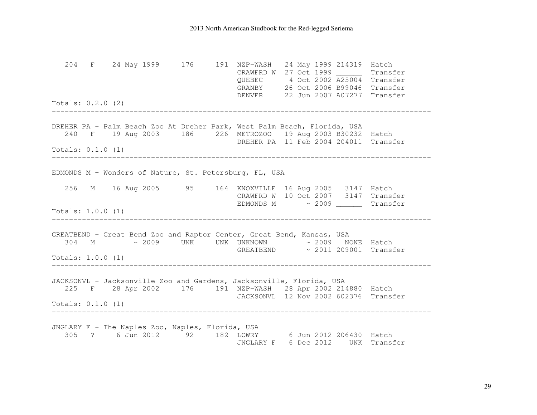204 F 24 May 1999 176 191 NZP-WASH 24 May 1999 214319 Hatch CRAWFRD W 27 Oct 1999 \_\_\_\_\_\_ Transfer QUEBEC 4 Oct 2002 A25004 Transfer GRANBY 26 Oct 2006 B99046 Transfer DENVER 22 Jun 2007 A07277 Transfer Totals: 0.2.0 (2) ---------------------------------------------------------------------------------------- DREHER PA - Palm Beach Zoo At Dreher Park, West Palm Beach, Florida, USA 240 F 19 Aug 2003 186 226 METROZOO 19 Aug 2003 B30232 Hatch DREHER PA 11 Feb 2004 204011 Transfer Totals: 0.1.0 (1) ---------------------------------------------------------------------------------------- EDMONDS M – Wonders of Nature, St. Petersburg, FL, USA 256 M 16 Aug 2005 95 164 KNOXVILLE 16 Aug 2005 3147 Hatch CRAWFRD W 10 Oct 2007 3147 Transfer EDMONDS M ~ 2009 \_\_\_\_\_\_ Transfer Totals: 1.0.0 (1) ---------------------------------------------------------------------------------------- GREATBEND - Great Bend Zoo and Raptor Center, Great Bend, Kansas, USA 304 M ~ 2009 UNK UNK UNKNOWN ~ 2009 NONE Hatch GREATBEND ~ 2011 209001 Transfer Totals: 1.0.0 (1) ---------------------------------------------------------------------------------------- JACKSONVL - Jacksonville Zoo and Gardens, Jacksonville, Florida, USA 225 F 28 Apr 2002 176 191 NZP-WASH 28 Apr 2002 214880 Hatch JACKSONVL 12 Nov 2002 602376 Transfer Totals: 0.1.0 (1) ---------------------------------------------------------------------------------------- JNGLARY F - The Naples Zoo, Naples, Florida, USA 305 ? 6 Jun 2012 92 182 LOWRY 6 Jun 2012 206430 Hatch JNGLARY F 6 Dec 2012 UNK Transfer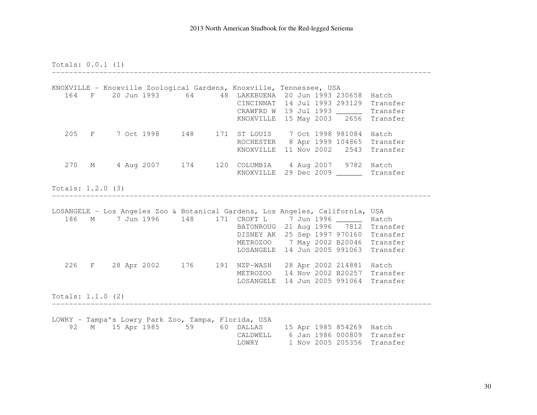Totals: 0.0.1 (1)

 ---------------------------------------------------------------------------------------- KNOXVILLE - Knoxville Zoological Gardens, Knoxville, Tennessee, USA 164 F 20 Jun 1993 64 48 LAKEBUENA 20 Jun 1993 230658 Hatch CINCINNAT 14 Jul 1993 293129 Transfer CRAWFRD W 19 Jul 1993 \_\_\_\_\_\_ Transfer KNOXVILLE 15 May 2003 2656 Transfer 205 F 7 Oct 1998 148 171 ST LOUIS 7 Oct 1998 981084 Hatch ROCHESTER 8 Apr 1999 104865 Transfer KNOXVILLE 11 Nov 2002 2543 Transfer 270 M 4 Aug 2007 174 120 COLUMBIA 4 Aug 2007 9782 Hatch KNOXVILLE 29 Dec 2009 \_\_\_\_\_\_ Transfer Totals: 1.2.0 (3) ---------------------------------------------------------------------------------------- LOSANGELE - Los Angeles Zoo & Botanical Gardens, Los Angeles, California, USA 186 M 7 Jun 1996 148 171 CROFT L 7 Jun 1996 \_\_\_\_\_\_ Hatch BATONROUG 21 Aug 1996 7812 Transfer DISNEY AK 25 Sep 1997 970160 Transfer METROZOO 7 May 2002 B20046 Transfer LOSANGELE 14 Jun 2005 991063 Transfer 226 F 28 Apr 2002 176 191 NZP-WASH 28 Apr 2002 214881 Hatch METROZOO 14 Nov 2002 B20257 Transfer LOSANGELE 14 Jun 2005 991064 Transfer Totals: 1.1.0 (2) ---------------------------------------------------------------------------------------- LOWRY - Tampa's Lowry Park Zoo, Tampa, Florida, USA 92 M 15 Apr 1985 59 60 DALLAS 15 Apr 1985 854269 Hatch CALDWELL 6 Jan 1986 000809 Transfer LOWRY 1 Nov 2005 205356 Transfer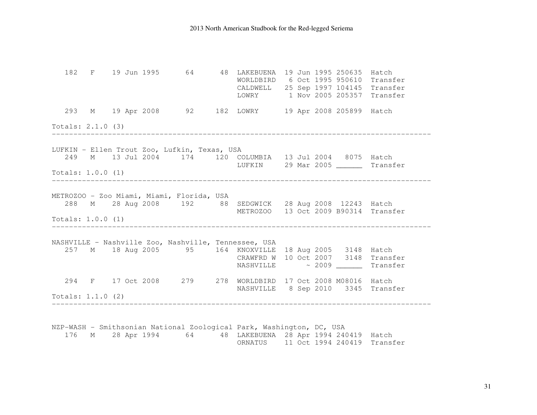182 F 19 Jun 1995 64 48 LAKEBUENA 19 Jun 1995 250635 Hatch WORLDBIRD 6 Oct 1995 950610 Transfer CALDWELL 25 Sep 1997 104145 Transfer LOWRY 1 Nov 2005 205357 Transfer 293 M 19 Apr 2008 92 182 LOWRY 19 Apr 2008 205899 Hatch Totals: 2.1.0 (3) ---------------------------------------------------------------------------------------- LUFKIN - Ellen Trout Zoo, Lufkin, Texas, USA 249 M 13 Jul 2004 174 120 COLUMBIA 13 Jul 2004 8075 Hatch LUFKIN 29 Mar 2005 \_\_\_\_\_\_ Transfer Totals: 1.0.0 (1) ---------------------------------------------------------------------------------------- METROZOO - Zoo Miami, Miami, Florida, USA 288 M 28 Aug 2008 192 88 SEDGWICK 28 Aug 2008 12243 Hatch METROZOO 13 Oct 2009 B90314 Transfer Totals: 1.0.0 (1) ---------------------------------------------------------------------------------------- NASHVILLE – Nashville Zoo, Nashville, Tennessee, USA 257 M 18 Aug 2005 95 164 KNOXVILLE 18 Aug 2005 3148 Hatch CRAWFRD W 10 Oct 2007 3148 Transfer NASHVILLE ~ 2009 \_\_\_\_\_\_ Transfer 294 F 17 Oct 2008 279 278 WORLDBIRD 17 Oct 2008 M08016 Hatch NASHVILLE 8 Sep 2010 3345 Transfer Totals: 1.1.0 (2) ---------------------------------------------------------------------------------------- NZP-WASH - Smithsonian National Zoological Park, Washington, DC, USA 176 M 28 Apr 1994 64 48 LAKEBUENA 28 Apr 1994 240419 Hatch ORNATUS 11 Oct 1994 240419 Transfer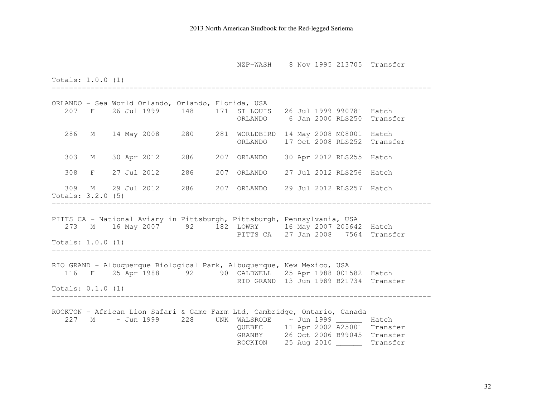NZP-WASH 8 Nov 1995 213705 Transfer

Totals: 1.0.0 (1)

ORLANDO - Sea World Orlando, Orlando, Florida, USA 207 F 26 Jul 1999 148 171 ST LOUIS 26 Jul 1999 990781 Hatch ORLANDO 6 Jan 2000 RLS250 Transfer 286 M 14 May 2008 280 281 WORLDBIRD 14 May 2008 M08001 Hatch ORLANDO 17 Oct 2008 RLS252 Transfer 303 M 30 Apr 2012 286 207 ORLANDO 30 Apr 2012 RLS255 Hatch 308 F 27 Jul 2012 286 207 ORLANDO 27 Jul 2012 RLS256 Hatch 309 M 29 Jul 2012 286 207 ORLANDO 29 Jul 2012 RLS257 Hatch Totals: 3.2.0 (5) ---------------------------------------------------------------------------------------- PITTS CA - National Aviary in Pittsburgh, Pittsburgh, Pennsylvania, USA 273 M 16 May 2007 92 182 LOWRY 16 May 2007 205642 Hatch PITTS CA 27 Jan 2008 7564 Transfer Totals: 1.0.0 (1) ---------------------------------------------------------------------------------------- RIO GRAND - Albuquerque Biological Park, Albuquerque, New Mexico, USA 116 F 25 Apr 1988 92 90 CALDWELL 25 Apr 1988 001582 Hatch RIO GRAND 13 Jun 1989 B21734 Transfer Totals: 0.1.0 (1) ---------------------------------------------------------------------------------------- ROCKTON - African Lion Safari & Game Farm Ltd, Cambridge, Ontario, Canada 227 M ~ Jun 1999 228 UNK WALSRODE ~ Jun 1999 \_\_\_\_\_\_ Hatch QUEBEC 11 Apr 2002 A25001 Transfer GRANBY 26 Oct 2006 B99045 Transfer ROCKTON 25 Aug 2010 \_\_\_\_\_\_ Transfer

----------------------------------------------------------------------------------------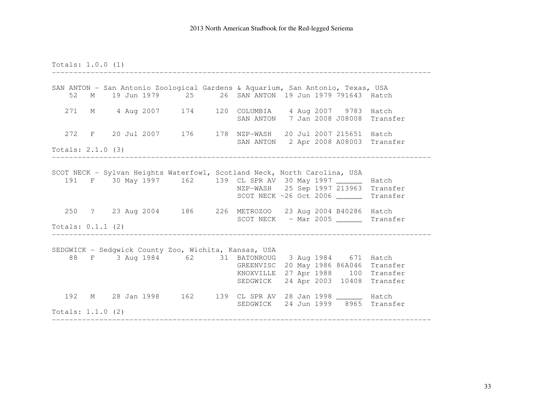Totals: 1.0.0 (1) ---------------------------------------------------------------------------------------- SAN ANTON - San Antonio Zoological Gardens & Aquarium, San Antonio, Texas, USA 52 M 19 Jun 1979 25 26 SAN ANTON 19 Jun 1979 791643 Hatch 271 M 4 Aug 2007 174 120 COLUMBIA 4 Aug 2007 9783 Hatch SAN ANTON 7 Jan 2008 J08008 Transfer 272 F 20 Jul 2007 176 178 NZP-WASH 20 Jul 2007 215651 Hatch SAN ANTON 2 Apr 2008 A08003 Transfer Totals: 2.1.0 (3) ---------------------------------------------------------------------------------------- SCOT NECK - Sylvan Heights Waterfowl, Scotland Neck, North Carolina, USA 191 F 30 May 1997 162 139 CL SPR AV 30 May 1997 \_\_\_\_\_\_ Hatch NZP-WASH 25 Sep 1997 213963 Transfer SCOT NECK ~26 Oct 2006 \_\_\_\_\_\_ Transfer 250 ? 23 Aug 2004 186 226 METROZOO 23 Aug 2004 B40286 Hatch SCOT NECK ~ Mar 2005 \_\_\_\_\_\_ Transfer Totals: 0.1.1 (2) ---------------------------------------------------------------------------------------- SEDGWICK - Sedgwick County Zoo, Wichita, Kansas, USA 88 F 3 Aug 1984 62 31 BATONROUG 3 Aug 1984 671 Hatch GREENVISC 20 May 1986 86A046 Transfer KNOXVILLE 27 Apr 1988 100 Transfer SEDGWICK 24 Apr 2003 10408 Transfer 192 M 28 Jan 1998 162 139 CL SPR AV 28 Jan 1998 \_\_\_\_\_\_ Hatch SEDGWICK 24 Jun 1999 8965 Transfer Totals: 1.1.0 (2) ----------------------------------------------------------------------------------------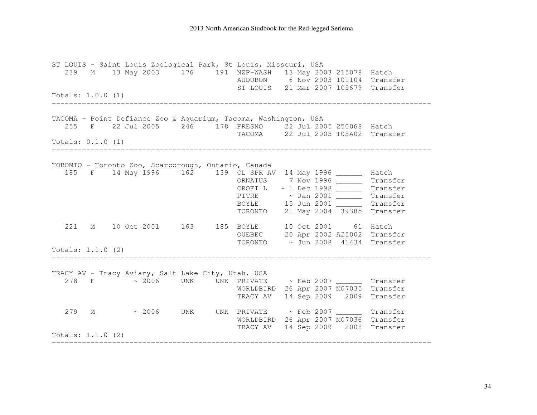#### 2013 North American Studbook for the Red-legged Seriema

ST LOUIS - Saint Louis Zoological Park, St Louis, Missouri, USA 239 M 13 May 2003 176 191 NZP-WASH 13 May 2003 215078 Hatch AUDUBON 6 Nov 2003 101104 Transfer ST LOUIS 21 Mar 2007 105679 Transfer Totals: 1.0.0 (1) ---------------------------------------------------------------------------------------- TACOMA - Point Defiance Zoo & Aquarium, Tacoma, Washington, USA 255 F 22 Jul 2005 246 178 FRESNO 22 Jul 2005 250068 Hatch TACOMA 22 Jul 2005 T05A02 Transfer Totals: 0.1.0 (1) ---------------------------------------------------------------------------------------- TORONTO - Toronto Zoo, Scarborough, Ontario, Canada 185 F 14 May 1996 162 139 CL SPR AV 14 May 1996 \_\_\_\_\_\_ Hatch ORNATUS 7 Nov 1996 \_\_\_\_\_\_ Transfer CROFT L ~ 1 Dec 1998 \_\_\_\_\_\_ Transfer PITRE  $\begin{array}{r} \sim \text{ Jan 2001 } \quad \text{ } \quad \text{ } \quad \text{ } \quad \text{ } \quad \text{ } \quad \text{ } \quad \text{ } \quad \text{ } \quad \text{ } \quad \text{ } \quad \text{ } \quad \text{ } \quad \text{ } \quad \text{ } \quad \text{ } \quad \text{ } \quad \text{ } \quad \text{ } \quad \text{ } \quad \text{ } \quad \text{ } \quad \text{ } \quad \text{ } \quad \text{ } \quad \text{ } \quad \text{ } \quad \text{ } \quad \text{ } \quad \text{ } \quad \text{ } \quad \text{ } \quad \text{ } \quad \text$  TORONTO 21 May 2004 39385 Transfer 221 M 10 Oct 2001 163 185 BOYLE 10 Oct 2001 61 Hatch QUEBEC 20 Apr 2002 A25002 Transfer TORONTO ~ Jun 2008 41434 Transfer Totals: 1.1.0 (2) ---------------------------------------------------------------------------------------- TRACY AV - Tracy Aviary, Salt Lake City, Utah, USA 278 F ~ 2006 UNK UNK PRIVATE ~ Feb 2007 \_\_\_\_\_\_ Transfer WORLDBIRD 26 Apr 2007 M07035 Transfer TRACY AV 14 Sep 2009 2009 Transfer 279 M ~ 2006 UNK UNK PRIVATE ~ Feb 2007 \_\_\_\_\_\_ Transfer WORLDBIRD 26 Apr 2007 M07036 Transfer TRACY AV 14 Sep 2009 2008 Transfer Totals: 1.1.0 (2) ----------------------------------------------------------------------------------------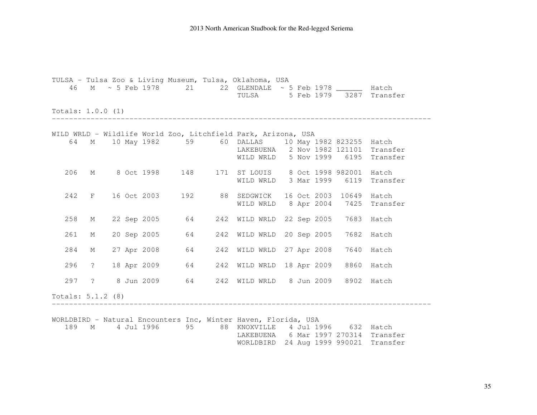2013 North American Studbook for the Red-legged Seriema

TULSA - Tulsa Zoo & Living Museum, Tulsa, Oklahoma, USA 46 M ~ 5 Feb 1978 21 22 GLENDALE ~ 5 Feb 1978 \_\_\_\_\_\_ Hatch TULSA 5 Feb 1979 3287 Transfer Totals: 1.0.0 (1) ---------------------------------------------------------------------------------------- WILD WRLD - Wildlife World Zoo, Litchfield Park, Arizona, USA 64 M 10 May 1982 59 60 DALLAS 10 May 1982 823255 Hatch LAKEBUENA 2 Nov 1982 121101 Transfer WILD WRLD 5 Nov 1999 6195 Transfer 206 M 8 Oct 1998 148 171 ST LOUIS 8 Oct 1998 982001 Hatch WILD WRLD 3 Mar 1999 6119 Transfer 242 F 16 Oct 2003 192 88 SEDGWICK 16 Oct 2003 10649 Hatch WILD WRLD 8 Apr 2004 7425 Transfer 258 M 22 Sep 2005 64 242 WILD WRLD 22 Sep 2005 7683 Hatch 261 M 20 Sep 2005 64 242 WILD WRLD 20 Sep 2005 7682 Hatch 284 M 27 Apr 2008 64 242 WILD WRLD 27 Apr 2008 7640 Hatch 296 ? 18 Apr 2009 64 242 WILD WRLD 18 Apr 2009 8860 Hatch 297 ? 8 Jun 2009 64 242 WILD WRLD 8 Jun 2009 8902 Hatch Totals: 5.1.2 (8) ---------------------------------------------------------------------------------------- WORLDBIRD - Natural Encounters Inc, Winter Haven, Florida, USA 189 M 4 Jul 1996 95 88 KNOXVILLE 4 Jul 1996 632 Hatch LAKEBUENA 6 Mar 1997 270314 Transfer WORLDBIRD 24 Aug 1999 990021 Transfer

35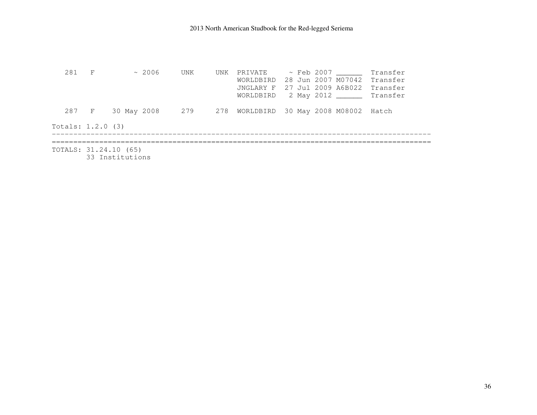281 F ~ 2006 UNK UNK PRIVATE ~ Feb 2007 \_\_\_\_\_\_\_ Transfer WORLDBIRD 28 Jun 2007 M07042 Transfer JNGLARY F 27 Jul 2009 A6B022 Transfer WORLDBIRD 2 May 2012 \_\_\_\_\_\_ Transfer 287 F 30 May 2008 279 278 WORLDBIRD 30 May 2008 M08002 Hatch Totals: 1.2.0 (3) ---------------------------------------------------------------------------------------- ======================================================================================== TOTALS: 31.24.10 (65) 33 Institutions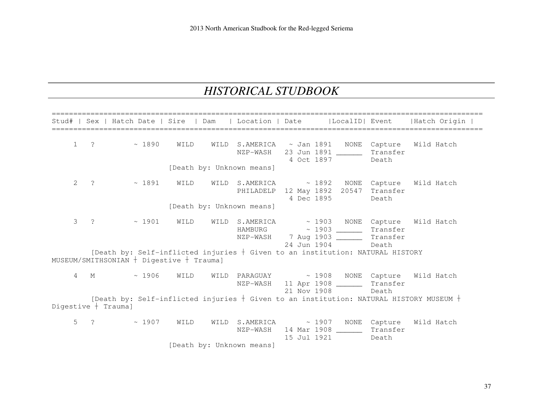# *HISTORICAL STUDBOOK*

|                       |                       |                         | Stud#   Sex   Hatch Date   Sire   Dam        |      | Location   Date           |             | LocalID  Event                                                                                                                                                                                                       |                   | lHatch Origin                                                                              |
|-----------------------|-----------------------|-------------------------|----------------------------------------------|------|---------------------------|-------------|----------------------------------------------------------------------------------------------------------------------------------------------------------------------------------------------------------------------|-------------------|--------------------------------------------------------------------------------------------|
| $\mathbf 1$           |                       | $\frac{1890}{ }$        | WILD                                         |      |                           |             | WILD S.AMERICA ~ Jan 1891 NONE Capture Wild Hatch<br>NZP-WASH 23 Jun 1891<br>4 Oct 1897                                                                                                                              | Transfer<br>Death |                                                                                            |
|                       |                       |                         |                                              |      | [Death by: Unknown means] |             |                                                                                                                                                                                                                      |                   |                                                                                            |
| $\mathbf{2}^{\prime}$ | $\ddot{?}$            | $\sim 1891$             | WILD                                         |      |                           | 4 Dec 1895  | WILD S.AMERICA ~ 1892 NONE Capture<br>PHILADELP 12 May 1892 20547 Transfer                                                                                                                                           | Death             | Wild Hatch                                                                                 |
|                       |                       |                         |                                              |      | [Death by: Unknown means] |             |                                                                                                                                                                                                                      |                   |                                                                                            |
| 3                     | $\overline{?}$        | $\sim 1901$             | WILD                                         |      |                           |             | WILD S.AMERICA ~ 1903 NONE Capture Wild Hatch<br>HAMBURG ~ 1903 Transfer<br>NZP-WASH 7 Aug 1903 _________ Transfer<br>24 Jun 1904<br>[Death by: Self-inflicted injuries $+$ Given to an institution: NATURAL HISTORY | Death             |                                                                                            |
|                       |                       |                         | MUSEUM/SMITHSONIAN $+$ Digestive $+$ Trauma] |      |                           |             |                                                                                                                                                                                                                      |                   |                                                                                            |
|                       |                       |                         | 4 M ~ 1906 WILD                              |      |                           |             | WILD PARAGUAY $\sim$ 1908 NONE Capture Wild Hatch<br>NZP-WASH 11 Apr 1908 ________ Transfer<br>21 Nov 1908                                                                                                           | Death             |                                                                                            |
|                       | Digestive $+$ Trauma] |                         |                                              |      |                           |             |                                                                                                                                                                                                                      |                   | [Death by: Self-inflicted injuries $+$ Given to an institution: NATURAL HISTORY MUSEUM $+$ |
|                       |                       | $5 \t? \t \t \sim 1907$ | WILD                                         | WILD | NZP-WASH                  | 15 Jul 1921 | S.AMERICA ~ 1907 NONE Capture<br>14 Mar 1908 _______ Transfer                                                                                                                                                        | Death             | Wild Hatch                                                                                 |
|                       |                       |                         |                                              |      | [Death by: Unknown means] |             |                                                                                                                                                                                                                      |                   |                                                                                            |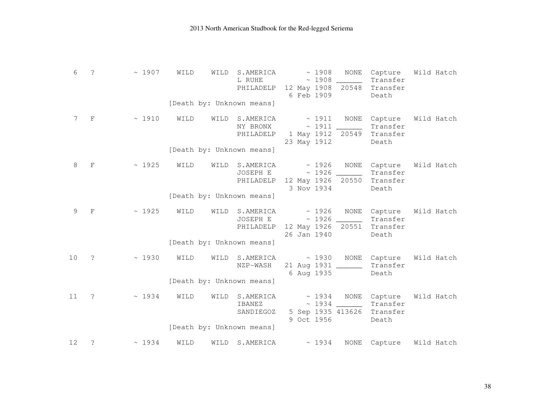| 6  | ?              | $\sim 1907$ | WILD | WILD | S.AMERICA<br>L RUHE<br>PHILADELP                                 | 6 Feb 1909                 | ~1908<br>~1908 | NONE<br>12 May 1908 20548 | Capture<br>Transfer<br>Transfer<br>Death | Wild Hatch |
|----|----------------|-------------|------|------|------------------------------------------------------------------|----------------------------|----------------|---------------------------|------------------------------------------|------------|
|    |                |             |      |      | [Death by: Unknown means]                                        |                            |                |                           |                                          |            |
| 7  | $\mathbf{F}$   | $\sim 1910$ | WILD | WILD | S.AMERICA<br>NY BRONX<br>PHILADELP                               | $\sim$ 1911<br>23 May 1912 | ~1911          | NONE<br>1 May 1912 20549  | Capture<br>Transfer<br>Transfer<br>Death | Wild Hatch |
|    |                |             |      |      | [Death by: Unknown means]                                        |                            |                |                           |                                          |            |
| 8  | $\mathbf F$    | ~1925       | WILD | WILD | S.AMERICA<br>JOSEPH E<br>PHILADELP 12 May 1926 20550             | 3 Nov 1934                 | ~1926          | NONE<br>$\sim$ 1926 _____ | Capture<br>Transfer<br>Transfer<br>Death | Wild Hatch |
|    |                |             |      |      | [Death by: Unknown means]                                        |                            |                |                           |                                          |            |
| 9  | $_{\rm F}$     | ~1925       | WILD | WILD | $S.AMERICA \sim 1926$<br>JOSEPH E<br>PHILADELP 12 May 1926 20551 | 26 Jan 1940                |                | NONE                      | Capture<br>Transfer<br>Transfer<br>Death | Wild Hatch |
|    |                |             |      |      | [Death by: Unknown means]                                        |                            |                |                           |                                          |            |
| 10 | $\ddot{\cdot}$ | ~1930       | WILD | WILD | S.AMERICA<br>NZP-WASH                                            | 6 Aug 1935                 | $\sim 1930$    | 21 Aug 1931 ______        | NONE Capture<br>Transfer<br>Death        | Wild Hatch |
|    |                |             |      |      | [Death by: Unknown means]                                        |                            |                |                           |                                          |            |
| 11 | $\cdot$        | ~1934       | WILD | WILD | S.AMERICA<br>IBANEZ<br>SANDIEGOZ                                 | $\sim 1934$<br>9 Oct 1956  |                | NONE<br>5 Sep 1935 413626 | Capture<br>Transfer<br>Transfer<br>Death | Wild Hatch |
|    |                |             |      |      | [Death by: Unknown means]                                        |                            |                |                           |                                          |            |
| 12 | $\tilde{S}$    | ~1934       | WILD | WILD | S.AMERICA                                                        |                            | ~1934          | NONE                      | Capture                                  | Wild Hatch |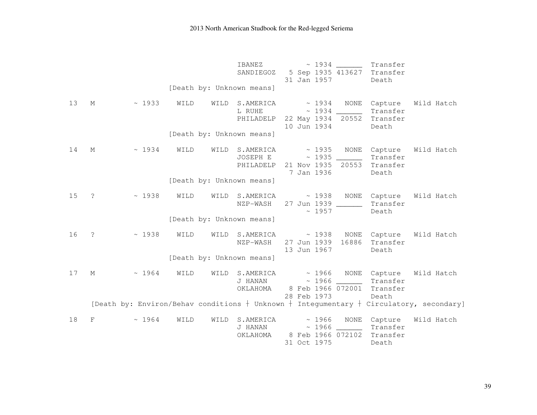|    |             |              |      |      | IBANEZ<br>SANDIEGOZ<br>[Death by: Unknown means] |  | ~1934<br>31 Jan 1957                              | 5 Sep 1935 413627                | Transfer<br>Transfer<br>Death                 |                                                                                               |
|----|-------------|--------------|------|------|--------------------------------------------------|--|---------------------------------------------------|----------------------------------|-----------------------------------------------|-----------------------------------------------------------------------------------------------|
| 13 | M           | $~\sim~1933$ | WILD | WILD | S.AMERICA<br>L RUHE<br>PHILADELP                 |  | $\sim 1934$<br>10 Jun 1934                        | NONE<br>22 May 1934 20552        | Capture<br>Transfer<br>Transfer<br>Death      | Wild Hatch                                                                                    |
|    |             |              |      |      | [Death by: Unknown means]                        |  |                                                   |                                  |                                               |                                                                                               |
| 14 | M           | ~1934        | WILD |      | WILD S.AMERICA<br>JOSEPH E<br>PHILADELP          |  | $\sim 1935$<br>~1935<br>21 Nov 1935<br>7 Jan 1936 | 20553                            | NONE Capture<br>Transfer<br>Transfer<br>Death | Wild Hatch                                                                                    |
|    |             |              |      |      | [Death by: Unknown means]                        |  |                                                   |                                  |                                               |                                                                                               |
| 15 | $\tilde{ }$ | ~1938        | WILD | WILD | S.AMERICA<br>NZP-WASH                            |  | ~1938<br>~1957                                    | NONE<br>27 Jun 1939 _____        | Capture<br>Transfer<br>Death                  | Wild Hatch                                                                                    |
|    |             |              |      |      | [Death by: Unknown means]                        |  |                                                   |                                  |                                               |                                                                                               |
| 16 | $\tilde{S}$ | ~1938        | WILD | WILD | S.AMERICA<br>NZP-WASH                            |  | ~1938<br>27 Jun 1939<br>13 Jun 1967               | NONE<br>16886                    | Capture<br>Transfer<br>Death                  | Wild Hatch                                                                                    |
|    |             |              |      |      | [Death by: Unknown means]                        |  |                                                   |                                  |                                               |                                                                                               |
| 17 | М           | ~1964        | WILD | WILD | S.AMERICA<br>J HANAN<br>OKLAHOMA                 |  |                                                   | $\sim 1966$<br>8 Feb 1966 072001 | ~ 1966 NONE Capture<br>Transfer<br>Transfer   | Wild Hatch                                                                                    |
|    |             |              |      |      |                                                  |  | 28 Feb 1973                                       |                                  | Death                                         | [Death by: Environ/Behav conditions $+$ Unknown $+$ Integumentary $+$ Circulatory, secondary] |
| 18 | F           | ~1964        | WILD | WILD | S.AMERICA<br>J HANAN<br>OKLAHOMA                 |  | ~1966<br>~1966<br>31 Oct 1975                     | NONE<br>8 Feb 1966 072102        | Capture<br>Transfer<br>Transfer<br>Death      | Wild Hatch                                                                                    |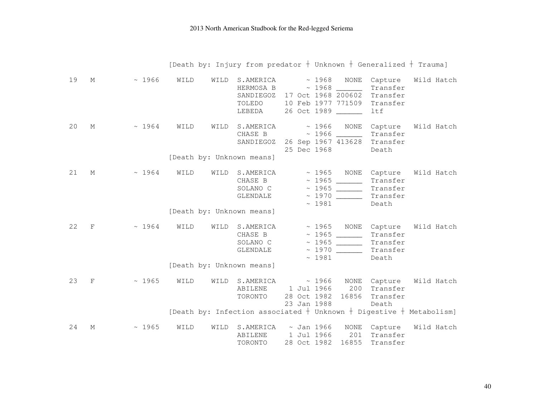|    |            |             |      |      | [Death by: Injury from predator $+$ Unknown $+$ Generalized $+$ Trauma]                                      |                           |       |                                        |                                                      |            |  |
|----|------------|-------------|------|------|--------------------------------------------------------------------------------------------------------------|---------------------------|-------|----------------------------------------|------------------------------------------------------|------------|--|
| 19 | М          | $\sim 1966$ | WILD | WILD | S.AMERICA<br>HERMOSA B<br>SANDIEGOZ 17 Oct 1968 200602<br>TOLEDO<br>LEBEDA                                   | 26 Oct 1989 _____         |       | $\sim 1968$ NONE<br>10 Feb 1977 771509 | Capture<br>Transfer<br>Transfer<br>Transfer<br>ltf   | Wild Hatch |  |
| 20 | М          | $\sim 1964$ | WILD | WILD | $S.AMERICA \sim 1966$<br>CHASE B<br>SANDIEGOZ 26 Sep 1967 413628<br>[Death by: Unknown means]                | 25 Dec 1968               |       | NONE                                   | Capture<br>Transfer<br>Transfer<br>Death             | Wild Hatch |  |
| 21 | М          | $\sim 1964$ | WILD | WILD | $S.AMERICA \sim 1965$ NONE<br>CHASE B $\sim$ 1965 _______<br>SOLANO C $\sim$ 1965<br>GLENDALE                |                           |       | $\sim 1981$                            | Capture<br>Transfer<br>Transfer<br>Transfer<br>Death | Wild Hatch |  |
|    |            |             |      |      | [Death by: Unknown means]                                                                                    |                           |       |                                        |                                                      |            |  |
| 22 | F          | $\sim 1964$ | WILD | WILD | S.AMERICA ~ 1965 NONE Capture<br>CHASE B $\sim$ 1965 _________<br>SOLANO C $\sim$ 1965 _________<br>GLENDALE |                           | ~1981 |                                        | Transfer<br>Transfer<br>Transfer<br>Death            | Wild Hatch |  |
|    |            |             |      |      | [Death by: Unknown means]                                                                                    |                           |       |                                        |                                                      |            |  |
| 23 | $_{\rm F}$ | $\sim 1965$ | WILD | WILD | S.AMERICA<br>ABILENE<br>TORONTO                                                                              | 1 Jul 1966<br>23 Jan 1988 | ~1966 | 200<br>28 Oct 1982 16856               | NONE Capture<br>Transfer<br>Transfer<br>Death        | Wild Hatch |  |
|    |            |             |      |      | [Death by: Infection associated $+$ Unknown $+$ Digestive $+$ Metabolism]                                    |                           |       |                                        |                                                      |            |  |
| 24 | М          | $\sim 1965$ | WILD | WILD | $S.AMERICA \sim Jan 1966$<br>ABILENE<br>TORONTO                                                              | 1 Jul 1966<br>28 Oct 1982 |       | NONE<br>201<br>16855                   | Capture<br>Transfer<br>Transfer                      | Wild Hatch |  |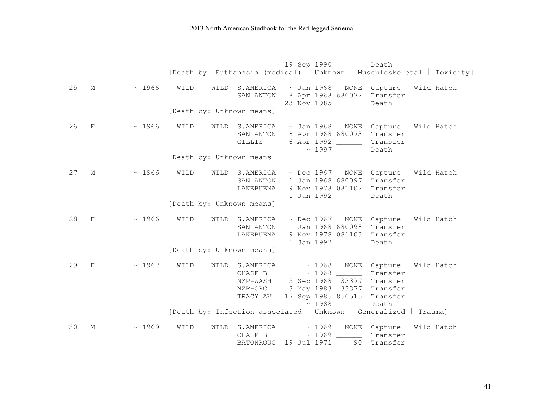|    |             |       |      |      |                                                                         |  | 19 Sep 1990                   |                                                                                   | Death                                                            | [Death by: Euthanasia (medical) $+$ Unknown $+$ Musculoskeletal $+$ Toxicity] |
|----|-------------|-------|------|------|-------------------------------------------------------------------------|--|-------------------------------|-----------------------------------------------------------------------------------|------------------------------------------------------------------|-------------------------------------------------------------------------------|
| 25 | М           | ~1966 | WILD | WILD | S.AMERICA<br>SAN ANTON                                                  |  | $\sim$ Jan 1968               | NONE<br>8 Apr 1968 680072                                                         | Capture<br>Transfer                                              | Wild Hatch                                                                    |
|    |             |       |      |      | [Death by: Unknown means]                                               |  | 23 Nov 1985                   |                                                                                   | Death                                                            |                                                                               |
| 26 | $\mathbf F$ | ~1966 | WILD | WILD | S.AMERICA<br>SAN ANTON<br>GILLIS                                        |  | ~1997                         | $\sim$ Jan 1968 NONE<br>8 Apr 1968 680073<br>6 Apr 1992                           | Capture<br>Transfer<br>Transfer<br>Death                         | Wild Hatch                                                                    |
|    |             |       |      |      | [Death by: Unknown means]                                               |  |                               |                                                                                   |                                                                  |                                                                               |
| 27 | $M_{\odot}$ | ~1966 | WILD | WILD | S.AMERICA<br>SAN ANTON<br>LAKEBUENA                                     |  | 1 Jan 1992                    | $\sim$ Dec 1967 NONE<br>1 Jan 1968 680097<br>9 Nov 1978 081102                    | Capture<br>Transfer<br>Transfer<br>Death                         | Wild Hatch                                                                    |
|    |             |       |      |      | [Death by: Unknown means]                                               |  |                               |                                                                                   |                                                                  |                                                                               |
| 28 | $_{\rm F}$  | ~1966 | WILD | WILD | S.AMERICA<br>SAN ANTON<br>LAKEBUENA                                     |  | $\sim$ Dec 1967<br>1 Jan 1992 | NONE<br>1 Jan 1968 680098<br>9 Nov 1978 081103                                    | Capture<br>Transfer<br>Transfer<br>Death                         | Wild Hatch                                                                    |
|    |             |       |      |      | [Death by: Unknown means]                                               |  |                               |                                                                                   |                                                                  |                                                                               |
| 29 | $_{\rm F}$  | ~1967 | WILD | WILD | S.AMERICA<br>CHASE B<br>NZP-WASH<br>NZP-CRC<br>TRACY AV                 |  | $\sim 1968$<br>~1988          | NONE<br>$\sim 1968$<br>5 Sep 1968 33377<br>3 May 1983 33377<br>17 Sep 1985 850515 | Capture<br>Transfer<br>Transfer<br>Transfer<br>Transfer<br>Death | Wild Hatch                                                                    |
|    |             |       |      |      | [Death by: Infection associated $+$ Unknown $+$ Generalized $+$ Trauma] |  |                               |                                                                                   |                                                                  |                                                                               |
| 30 | М           | ~1969 | WILD | WILD | S.AMERICA<br>CHASE B<br><b>BATONROUG</b>                                |  | ~1969<br>~1969<br>19 Jul 1971 | NONE<br>90                                                                        | Capture<br>Transfer<br>Transfer                                  | Wild Hatch                                                                    |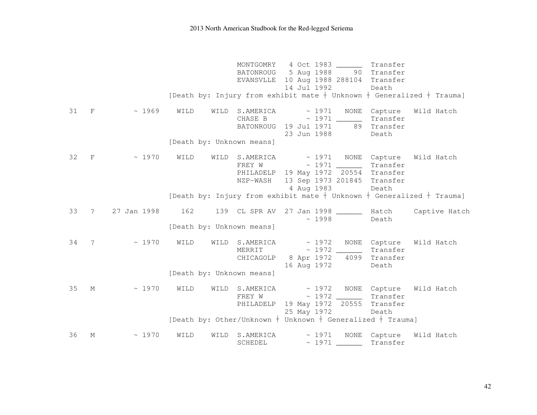|    |               |                  |                                                                             |                | MONTGOMRY 4 Oct 1983                         |             | Transfer     |               |
|----|---------------|------------------|-----------------------------------------------------------------------------|----------------|----------------------------------------------|-------------|--------------|---------------|
|    |               |                  |                                                                             |                | BATONROUG 5 Aug 1988 90 Transfer             |             |              |               |
|    |               |                  |                                                                             |                | EVANSVLLE 10 Aug 1988 288104 Transfer        |             |              |               |
|    |               |                  |                                                                             |                | 14 Jul 1992                                  |             | Death        |               |
|    |               |                  | [Death by: Injury from exhibit mate $+$ Unknown $+$ Generalized $+$ Trauma] |                |                                              |             |              |               |
| 31 | $\mathbf{F}$  | $\sim 1969$ WILD |                                                                             |                | WILD S.AMERICA ~ 1971                        |             | NONE Capture | Wild Hatch    |
|    |               |                  |                                                                             |                | CHASE B $\sim$ 1971 $\_\_\_\_\_\_\$ Transfer |             |              |               |
|    |               |                  |                                                                             |                | BATONROUG 19 Jul 1971 89 Transfer            |             |              |               |
|    |               |                  |                                                                             |                | 23 Jun 1988                                  |             | Death        |               |
|    |               |                  | [Death by: Unknown means]                                                   |                |                                              |             |              |               |
| 32 | $_{\rm F}$    | $\sim 1970$      | WILD                                                                        | WILD S.AMERICA | ~ 1971 NONE Capture                          |             |              | Wild Hatch    |
|    |               |                  |                                                                             | FREY W         | $\sim$ 1971 ________ Transfer                |             |              |               |
|    |               |                  |                                                                             |                | PHILADELP 19 May 1972 20554 Transfer         |             |              |               |
|    |               |                  |                                                                             | NZP-WASH       | 13 Sep 1973 201845 Transfer<br>4 Aug 1983    |             | Death        |               |
|    |               |                  | [Death by: Injury from exhibit mate $+$ Unknown $+$ Generalized $+$ Trauma] |                |                                              |             |              |               |
|    |               |                  |                                                                             |                |                                              |             |              |               |
| 33 | $\ddot{?}$    | 27 Jan 1998      | 162 139 CL SPR AV 27 Jan 1998 _______ Hatch                                 |                |                                              |             |              | Captive Hatch |
|    |               |                  | [Death by: Unknown means]                                                   |                |                                              | $\sim 1998$ | Death        |               |
|    |               |                  |                                                                             |                |                                              |             |              |               |
| 34 | $\tilde{ }$ ? | $\sim 1970$      | WILD                                                                        |                | WILD S.AMERICA ~ 1972 NONE Capture           |             |              | Wild Hatch    |
|    |               |                  |                                                                             |                | MERRIT ~ 1972 Transfer                       |             |              |               |
|    |               |                  |                                                                             |                | CHICAGOLP 8 Apr 1972 4099 Transfer           |             |              |               |
|    |               |                  |                                                                             |                | 16 Aug 1972                                  |             | Death        |               |
|    |               |                  | [Death by: Unknown means]                                                   |                |                                              |             |              |               |
| 35 | М             | $\sim 1970$      | WILD                                                                        |                | WILD S.AMERICA ~ 1972 NONE Capture           |             |              | Wild Hatch    |
|    |               |                  |                                                                             |                | FREY W ~ 1972 _________ Transfer             |             |              |               |
|    |               |                  |                                                                             |                | PHILADELP 19 May 1972 20555 Transfer         |             |              |               |
|    |               |                  |                                                                             |                | 25 May 1972 Death                            |             |              |               |
|    |               |                  | [Death by: Other/Unknown $+$ Unknown $+$ Generalized $+$ Trauma]            |                |                                              |             |              |               |
| 36 | М             | ~1970            | WILD<br>WILD                                                                |                | $S.AMERICA \sim 1971$                        |             | NONE Capture | Wild Hatch    |
|    |               |                  |                                                                             | SCHEDEL        | ~1971                                        |             | Transfer     |               |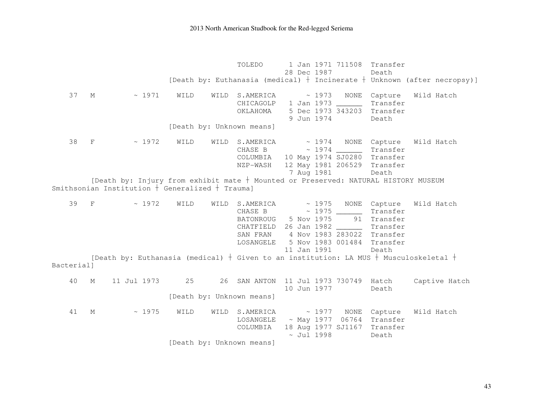TOLEDO 1 Jan 1971 711508 Transfer 28 Dec 1987 Death [Death by: Euthanasia (medical)  $\dagger$  Incinerate  $\dagger$  Unknown (after necropsy)] 37 M ~ 1971 WILD WILD S.AMERICA ~ 1973 NONE Capture Wild Hatch CHICAGOLP 1 Jan 1973 Transfer OKLAHOMA 5 Dec 1973 343203 Transfer 9 Jun 1974 Death [Death by: Unknown means] 38 F ~ 1972 WILD WILD S.AMERICA ~ 1974 NONE Capture Wild Hatch CHASE B  $\sim$  1974 Transfer COLUMBIA 10 May 1974 SJ0280 Transfer NZP-WASH 12 May 1981 206529 Transfer 7 Aug 1981 Death [Death by: Injury from exhibit mate  $\dagger$  Mounted or Preserved: NATURAL HISTORY MUSEUM Smithsonian Institution  $\frac{1}{\sqrt{2}}$  Generalized  $\frac{1}{\sqrt{2}}$  Trauma] 39 F ~ 1972 WILD WILD S.AMERICA ~ 1975 NONE Capture Wild Hatch CHASE B  $\sim$  1975  $\sim$  Transfer BATONROUG 5 Nov 1975 91 Transfer Transfer CHATFIELD 26 Jan 1982 SAN FRAN 4 Nov 1983 283022 Transfer LOSANGELE 5 Nov 1983 001484 Transfer 11 Jan 1991 Death [Death by: Euthanasia (medical)  $+$  Given to an institution: LA MUS  $+$  Musculoskeletal  $+$ Bacterial] 40 M 11 Jul 1973 25 26 SAN ANTON 11 Jul 1973 730749 Hatch Captive Hatch 10 Jun 1977 Death [Death by: Unknown means] 41 M ~ 1975 WILD WILD S.AMERICA ~ 1977 NONE Capture Wild Hatch LOSANGELE ~ May 1977 06764 Transfer COLUMBIA 18 Aug 1977 SJ1167 Transfer ~ Jul 1998 Death [Death by: Unknown means]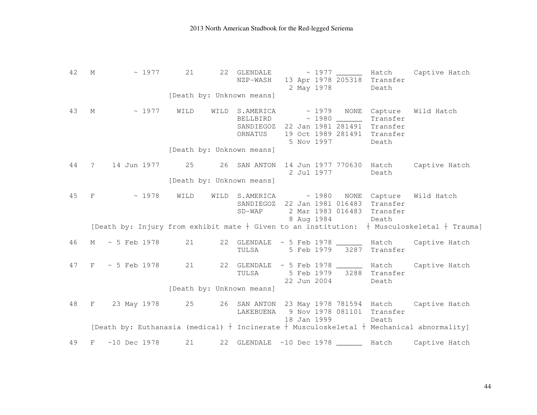| 42   | М            | $\sim 1977$                                                                                    | 21   |      | 22 GLENDALE<br>NZP-WASH                                | $\sim 1977$ | 13 Apr 1978 205318 Transfer<br>2 May 1978                                                                              | Death             | _________ Hatch Captive Hatch                                                                    |
|------|--------------|------------------------------------------------------------------------------------------------|------|------|--------------------------------------------------------|-------------|------------------------------------------------------------------------------------------------------------------------|-------------------|--------------------------------------------------------------------------------------------------|
|      |              |                                                                                                |      |      | [Death by: Unknown means]                              |             |                                                                                                                        |                   |                                                                                                  |
| 43   |              | $M \sim 1977$                                                                                  | WILD |      | WILD S.AMERICA<br>ORNATUS<br>[Death by: Unknown means] |             | ~ 1979 NONE Capture<br>SANDIEGOZ 22 Jan 1981 281491 Transfer<br>19 Oct 1989 281491 Transfer<br>5 Nov 1997              | Transfer<br>Death | Wild Hatch                                                                                       |
|      |              |                                                                                                |      |      |                                                        |             |                                                                                                                        |                   |                                                                                                  |
| 44 ? |              | 14 Jun 1977                                                                                    |      |      | 25 26 SAN ANTON                                        |             | 14 Jun 1977 770630 Hatch<br>2 Jul 1977                                                                                 | Death             | Captive Hatch                                                                                    |
|      |              |                                                                                                |      |      | [Death by: Unknown means]                              |             |                                                                                                                        |                   |                                                                                                  |
| 45   | $\mathbf{F}$ | ~1978                                                                                          | WILD | WILD |                                                        | 8 Aug 1984  | S.AMERICA ~ 1980 NONE Capture Wild Hatch<br>SANDIEGOZ 22 Jan 1981 016483 Transfer<br>SD-WAP 2 Mar 1983 016483 Transfer | Death             |                                                                                                  |
|      |              |                                                                                                |      |      |                                                        |             |                                                                                                                        |                   | [Death by: Injury from exhibit mate $+$ Given to an institution: $+$ Musculoskeletal $+$ Trauma] |
| 46   | M            | $~5$ Feb 1978                                                                                  | 21   |      | TULSA                                                  |             | 22 GLENDALE ~ 5 Feb 1978 _______ Hatch<br>5 Feb 1979 3287 Transfer                                                     |                   | Captive Hatch                                                                                    |
|      |              | 47 F ~ 5 Feb 1978 21                                                                           |      |      | TULSA                                                  |             | 22 GLENDALE ~ 5 Feb 1978 ________ Hatch<br>5 Feb 1979 3288 Transfer<br>22 Jun 2004                                     | Death             | Captive Hatch                                                                                    |
|      |              |                                                                                                |      |      | [Death by: Unknown means]                              |             |                                                                                                                        |                   |                                                                                                  |
| 48   |              | F 23 May 1978 25 26 SAN ANTON 23 May 1978 781594 Hatch Captive Hatch                           |      |      | LAKEBUENA                                              |             | 9 Nov 1978 081101 Transfer<br>18 Jan 1999                                                                              | Death             |                                                                                                  |
|      |              | [Death by: Euthanasia (medical) $+$ Incinerate $+$ Musculoskeletal $+$ Mechanical abnormality] |      |      |                                                        |             |                                                                                                                        |                   |                                                                                                  |
| 49   | $_{\rm F}$   | $~10$ Dec 1978                                                                                 | 21   |      |                                                        |             | 22 GLENDALE ~10 Dec 1978 ________ Hatch                                                                                |                   | Captive Hatch                                                                                    |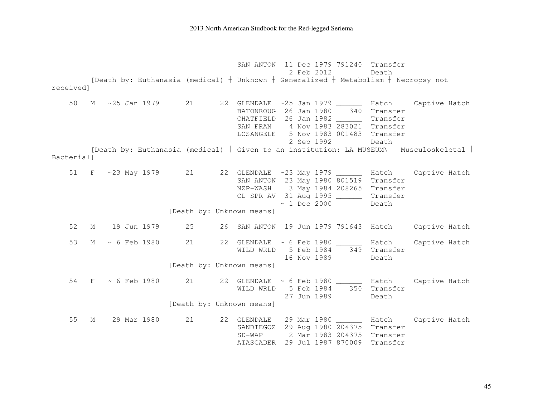SAN ANTON 11 Dec 1979 791240 Transfer 2 Feb 2012 Death [Death by: Euthanasia (medical)  $\dagger$  Unknown  $\dagger$  Generalized  $\dagger$  Metabolism  $\dagger$  Necropsy not received] 50 M ~25 Jan 1979 21 22 GLENDALE ~25 Jan 1979 Hatch Captive Hatch BATONROUG 26 Jan 1980 340 Transfer CHATFIELD 26 Jan 1982 \_\_\_\_\_\_ Transfer SAN FRAN 4 Nov 1983 283021 Transfer LOSANGELE 5 Nov 1983 001483 Transfer 2 Sep 1992 Death [Death by: Euthanasia (medical)  $+$  Given to an institution: LA MUSEUM\  $+$  Musculoskeletal  $+$ Bacterial] 51 F ~23 May 1979 21 22 GLENDALE ~23 May 1979 \_\_\_\_\_\_ Hatch Captive Hatch SAN ANTON 23 May 1980 801519 Transfer NZP-WASH 3 May 1984 208265 Transfer CL SPR AV 31 Aug 1995 \_\_\_\_\_\_ Transfer  $\sim$  1 Dec 2000 Death [Death by: Unknown means] 52 M 19 Jun 1979 25 26 SAN ANTON 19 Jun 1979 791643 Hatch Captive Hatch 53 M ~ 6 Feb 1980 21 22 GLENDALE ~ 6 Feb 1980 \_\_\_\_\_\_ Hatch Captive Hatch WILD WRLD 5 Feb 1984 349 Transfer 16 Nov 1989 Death [Death by: Unknown means] 54 F ~ 6 Feb 1980 21 22 GLENDALE ~ 6 Feb 1980 \_\_\_\_\_\_ Hatch Captive Hatch WILD WRLD 5 Feb 1984 350 Transfer 27 Jun 1989 Death [Death by: Unknown means] 55 M 29 Mar 1980 21 22 GLENDALE 29 Mar 1980 Hatch Captive Hatch SANDIEGOZ 29 Aug 1980 204375 Transfer SD-WAP 2 Mar 1983 204375 Transfer ATASCADER 29 Jul 1987 870009 Transfer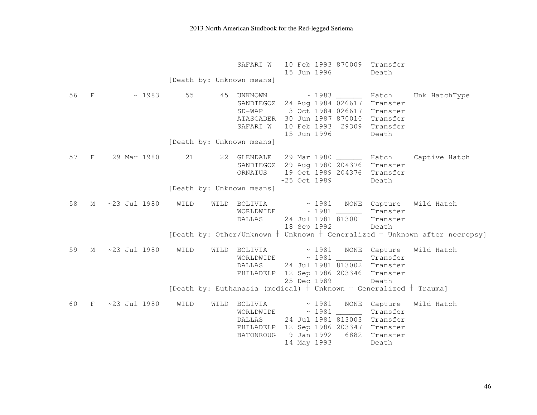|    |                     |      | SAFARI W                                                                |                | 10 Feb 1993 870009 Transfer<br>15 Jun 1996                                                                                                                                                                                                                                                                                                                                                                                                                                                                                                                                                                                                                                                                                                   | Death |                                                                                                                                      |
|----|---------------------|------|-------------------------------------------------------------------------|----------------|----------------------------------------------------------------------------------------------------------------------------------------------------------------------------------------------------------------------------------------------------------------------------------------------------------------------------------------------------------------------------------------------------------------------------------------------------------------------------------------------------------------------------------------------------------------------------------------------------------------------------------------------------------------------------------------------------------------------------------------------|-------|--------------------------------------------------------------------------------------------------------------------------------------|
|    |                     |      | [Death by: Unknown means]                                               |                |                                                                                                                                                                                                                                                                                                                                                                                                                                                                                                                                                                                                                                                                                                                                              |       |                                                                                                                                      |
|    | 56 F $\sim$ 1983    | 55   | [Death by: Unknown means]                                               | 15 Jun 1996    | SANDIEGOZ 24 Aug 1984 026617 Transfer<br>SD-WAP 3 Oct 1984 026617 Transfer<br>ATASCADER 30 Jun 1987 870010 Transfer<br>SAFARI W 10 Feb 1993 29309 Transfer                                                                                                                                                                                                                                                                                                                                                                                                                                                                                                                                                                                   | Death | 45 UNKNOWN ~ 1983 _______ Hatch Unk HatchType                                                                                        |
|    | 57 F 29 Mar 1980 21 |      | ORNATUS<br>[Death by: Unknown means]                                    | $~25$ Oct 1989 | SANDIEGOZ 29 Aug 1980 204376 Transfer<br>19 Oct 1989 204376 Transfer                                                                                                                                                                                                                                                                                                                                                                                                                                                                                                                                                                                                                                                                         | Death | 22 GLENDALE 29 Mar 1980 _______ Hatch Captive Hatch                                                                                  |
| 58 | M ~23 Jul 1980 WILD |      |                                                                         |                | $WORLDWIDE \qquad \sim 1981 \qquad \qquad \text{Transfer}$<br>DALLAS 24 Jul 1981 813001 Transfer<br>18 Sep 1992                                                                                                                                                                                                                                                                                                                                                                                                                                                                                                                                                                                                                              | Death | WILD BOLIVIA $\sim$ 1981 NONE Capture Wild Hatch<br>[Death by: Other/Unknown $+$ Unknown $+$ Generalized $+$ Unknown after necropsy] |
| 59 | M ~23 Jul 1980      | WILD | WILD BOLIVIA $\sim$ 1981 NONE Capture                                   | 25 Dec 1989    | $WORLDWIDE \qquad \sim 1981 \qquad \qquad \text{Transfer}$<br>DALLAS 24 Jul 1981 813002 Transfer<br>PHILADELP 12 Sep 1986 203346 Transfer                                                                                                                                                                                                                                                                                                                                                                                                                                                                                                                                                                                                    | Death | Wild Hatch                                                                                                                           |
|    |                     |      | [Death by: Euthanasia (medical) $+$ Unknown $+$ Generalized $+$ Trauma] |                |                                                                                                                                                                                                                                                                                                                                                                                                                                                                                                                                                                                                                                                                                                                                              |       |                                                                                                                                      |
| 60 | F ~23 Jul 1980      | WILD | BATONROUG                                                               | 14 May 1993    | $WORLDWIDE \longrightarrow 1981 \underline{\hspace{2cm}} \underline{\hspace{2cm}} \underline{\hspace{2cm}} \underline{\hspace{2cm}} \underline{\hspace{2cm}} \underline{\hspace{2cm}} \underline{\hspace{2cm}} \underline{\hspace{2cm}} \underline{\hspace{2cm}} \underline{\hspace{2cm}} \underline{\hspace{2cm}} \underline{\hspace{2cm}} \underline{\hspace{2cm}} \underline{\hspace{2cm}} \underline{\hspace{2cm}} \underline{\hspace{2cm}} \underline{\hspace{2cm}} \underline{\hspace{2cm}} \underline{\hspace{2cm}} \underline{\hspace{2cm}} \underline{\hspace{2cm}} \underline{\hspace{2cm}} \underline{\hspace{2cm}} \$<br>DALLAS 24 Jul 1981 813003 Transfer<br>PHILADELP 12 Sep 1986 203347 Transfer<br>9 Jan 1992 6882 Transfer | Death | WILD BOLIVIA $\sim$ 1981 NONE Capture Wild Hatch                                                                                     |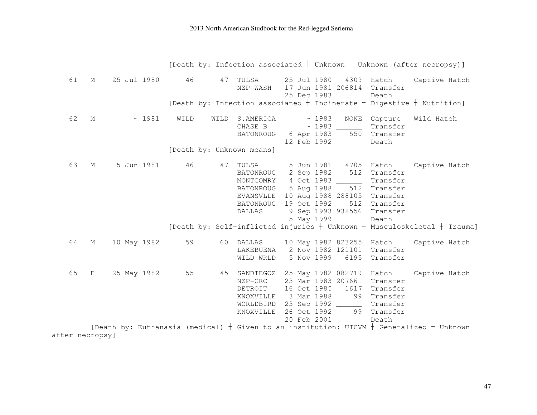|                 |             |             |       |      |      |                                                                                                                  |  |                                                                     |                                                                              |                                                                                        | [Death by: Infection associated + Unknown + Unknown (after necropsy)]                           |
|-----------------|-------------|-------------|-------|------|------|------------------------------------------------------------------------------------------------------------------|--|---------------------------------------------------------------------|------------------------------------------------------------------------------|----------------------------------------------------------------------------------------|-------------------------------------------------------------------------------------------------|
| 61              | $M_{\odot}$ | 25 Jul 1980 |       | 46   | 47   | TULSA<br>NZP-WASH                                                                                                |  | 25 Jul 1980<br>25 Dec 1983                                          | 4309<br>17 Jun 1981 206814                                                   | Hatch<br>Transfer<br>Death                                                             | Captive Hatch                                                                                   |
|                 |             |             |       |      |      |                                                                                                                  |  |                                                                     |                                                                              |                                                                                        | [Death by: Infection associated $\dagger$ Incinerate $\dagger$ Digestive $\dagger$ Nutrition]   |
| 62              | М           |             | ~1981 | WILD | WILD | S.AMERICA<br>CHASE B<br><b>BATONROUG</b><br>[Death by: Unknown means]                                            |  | ~1983<br>6 Apr 1983<br>12 Feb 1992                                  | NONE<br>550                                                                  | Capture<br>Transfer<br>Transfer<br>Death                                               | Wild Hatch                                                                                      |
| 63              | М           | 5 Jun 1981  |       | 46   | 47   | TULSA<br>BATONROUG<br>MONTGOMRY 4 Oct 1983<br><b>BATONROUG</b><br>EVANSVLLE<br><b>BATONROUG</b><br><b>DALLAS</b> |  | 5 Jun 1981<br>2 Sep 1982<br>5 Aug 1988<br>19 Oct 1992<br>5 May 1999 | 4705<br>512<br>512<br>10 Aug 1988 288105<br>512<br>9 Sep 1993 938556         | Hatch<br>Transfer<br>Transfer<br>Transfer<br>Transfer<br>Transfer<br>Transfer<br>Death | Captive Hatch<br>[Death by: Self-inflicted injuries $+$ Unknown $+$ Musculoskeletal $+$ Trauma] |
| 64              | М           | 10 May 1982 |       | 59   | 60   | DALLAS<br>LAKEBUENA<br>WILD WRLD                                                                                 |  | 5 Nov 1999                                                          | 10 May 1982 823255 Hatch<br>2 Nov 1982 121101<br>6195                        | Transfer<br>Transfer                                                                   | Captive Hatch                                                                                   |
| 65              | $_{\rm F}$  | 25 May 1982 |       | 55   | 45   | SANDIEGOZ<br>NZP-CRC<br>DETROIT<br>KNOXVILLE<br>WORLDBIRD<br>KNOXVILLE                                           |  | 16 Oct 1985<br>3 Mar 1988<br>26 Oct 1992<br>20 Feb 2001             | 25 May 1982 082719<br>23 Mar 1983 207661<br>1617<br>99<br>23 Sep 1992 ______ | Hatch<br>Transfer<br>Transfer<br>Transfer<br>Transfer<br>99 Transfer<br>Death          | Captive Hatch                                                                                   |
| after necropsy] |             |             |       |      |      |                                                                                                                  |  |                                                                     |                                                                              |                                                                                        | [Death by: Euthanasia (medical) + Given to an institution: UTCVM + Generalized + Unknown        |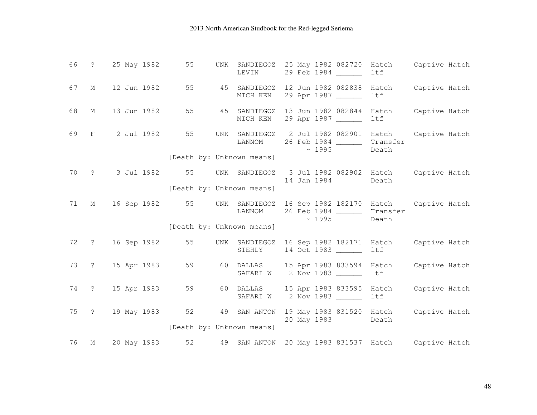|    |             | 66 ? 25 May 1982    | 55                        | UNK SANDIEGOZ<br>LEVIN   | 25 May 1982 082720 Hatch Captive Hatch<br>29 Feb 1984 ______                                                         | ltf          |                     |
|----|-------------|---------------------|---------------------------|--------------------------|----------------------------------------------------------------------------------------------------------------------|--------------|---------------------|
| 67 | $M_{\odot}$ | 12 Jun 1982         | 55                        | 45 SANDIEGOZ<br>MICH KEN | 12 Jun 1982 082838<br>29 Apr 1987                                                                                    | ltf          | Hatch Captive Hatch |
| 68 | M           | 13 Jun 1982         | 55 7                      | 45 SANDIEGOZ<br>MICH KEN | 13 Jun 1982 082844<br>29 Apr 1987                                                                                    | ltf          | Hatch Captive Hatch |
| 69 |             | F 2 Jul 1982        | 55                        | UNK SANDIEGOZ<br>LANNOM  | 2 Jul 1982 082901 Hatch Captive Hatch<br>26 Feb 1984 _________ Transfer<br>$\sim 1995$                               | Death        |                     |
|    |             |                     | [Death by: Unknown means] |                          |                                                                                                                      |              |                     |
|    |             | 70 ? 3 Jul 1982 55  |                           | UNK SANDIEGOZ            | 3 Jul 1982 082902 Hatch Captive Hatch<br>14 Jan 1984                                                                 | Death        |                     |
|    |             |                     | [Death by: Unknown means] |                          |                                                                                                                      |              |                     |
| 71 | M           |                     |                           | LANNOM                   | 16 Sep 1982 55 UNK SANDIEGOZ 16 Sep 1982 182170 Hatch Captive Hatch<br>26 Feb 1984 _________ Transfer<br>$\sim 1995$ | Death        |                     |
|    |             |                     | [Death by: Unknown means] |                          |                                                                                                                      |              |                     |
|    |             | 72 ? 16 Sep 1982    | 55                        | STEHLY                   | UNK SANDIEGOZ 16 Sep 1982 182171 Hatch Captive Hatch<br>14 Oct 1983 ______                                           | ltf          |                     |
|    |             | 73 ? 15 Apr 1983    | 59 3                      |                          | 60 DALLAS 15 Apr 1983 833594 Hatch<br>SAFARI W 2 Nov 1983                                                            | ltf          | Captive Hatch       |
|    |             | 74 ? 15 Apr 1983    | 59 30                     |                          | 60 DALLAS 15 Apr 1983 833595<br>SAFARI W 2 Nov 1983                                                                  | Hatch<br>ltf | Captive Hatch       |
|    |             | 75 ? 19 May 1983 52 | [Death by: Unknown means] |                          | 49 SAN ANTON 19 May 1983 831520 Hatch<br>20 May 1983                                                                 | Death        | Captive Hatch       |
|    |             |                     |                           |                          |                                                                                                                      |              |                     |
| 76 | М           | 20 May 1983         | 52                        |                          | 49 SAN ANTON 20 May 1983 831537 Hatch Captive Hatch                                                                  |              |                     |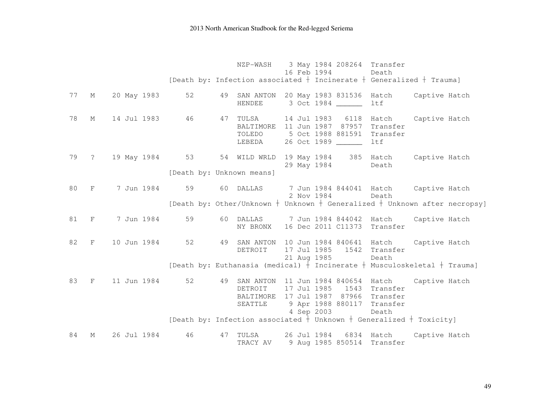|    |              |                                                                      |    |                           | 16 Feb 1994 | NZP-WASH 3 May 1984 208264 Transfer                                                                                                                                    | Death |  |
|----|--------------|----------------------------------------------------------------------|----|---------------------------|-------------|------------------------------------------------------------------------------------------------------------------------------------------------------------------------|-------|--|
|    |              |                                                                      |    |                           |             | [Death by: Infection associated $+$ Incinerate $+$ Generalized $+$ Trauma]                                                                                             |       |  |
|    |              | 77 M 20 May 1983 52                                                  |    | HENDEE                    |             | 49 SAN ANTON 20 May 1983 831536 Hatch Captive Hatch<br>3 Oct 1984 ______                                                                                               | ltf   |  |
| 78 |              | M 14 Jul 1983 46 47 TULSA 14 Jul 1983 6118 Hatch Captive Hatch       |    | TOLEDO                    |             | BALTIMORE 11 Jun 1987 87957 Transfer<br>5 Oct 1988 881591 Transfer<br>LEBEDA 26 Oct 1989 _______                                                                       | ltf   |  |
|    |              | 79 ? 19 May 1984 53 54 WILD WRLD 19 May 1984 385 Hatch Captive Hatch |    | [Death by: Unknown means] |             | 29 May 1984                                                                                                                                                            | Death |  |
|    |              |                                                                      |    |                           |             |                                                                                                                                                                        |       |  |
|    |              | 80 F 7 Jun 1984                                                      |    |                           | 2 Nov 1984  | 59 60 DALLAS 7 Jun 1984 844041 Hatch Captive Hatch                                                                                                                     | Death |  |
|    |              |                                                                      |    |                           |             | [Death by: Other/Unknown $+$ Unknown $+$ Generalized $+$ Unknown after necropsy]                                                                                       |       |  |
|    |              | 81 F 7 Jun 1984                                                      |    |                           |             | 59 60 DALLAS 7 Jun 1984 844042 Hatch Captive Hatch<br>NY BRONX 16 Dec 2011 C11373 Transfer                                                                             |       |  |
|    | 82 F         | 10 Jun 1984                                                          | 52 | DETROIT                   | 21 Aug 1985 | 49 SAN ANTON 10 Jun 1984 840641 Hatch Captive Hatch<br>17 Jul 1985 1542 Transfer                                                                                       | Death |  |
|    |              |                                                                      |    |                           |             | [Death by: Euthanasia (medical) $+$ Incinerate $+$ Musculoskeletal $+$ Trauma]                                                                                         |       |  |
| 83 | $\mathbf{F}$ | 11 Jun 1984                                                          | 52 |                           | 4 Sep 2003  | 49 SAN ANTON 11 Jun 1984 840654 Hatch Captive Hatch<br>DETROIT 17 Jul 1985 1543 Transfer<br>BALTIMORE 17 Jul 1987 87966 Transfer<br>SEATTLE 9 Apr 1988 880117 Transfer | Death |  |
|    |              |                                                                      |    |                           |             | [Death by: Infection associated $\frac{1}{1}$ Unknown $+$ Generalized $+$ Toxicity]                                                                                    |       |  |
| 84 | М            | 26 Jul 1984                                                          | 46 | 47 TULSA<br>TRACY AV      |             | 26 Jul 1984 6834 Hatch Captive Hatch<br>9 Aug 1985 850514 Transfer                                                                                                     |       |  |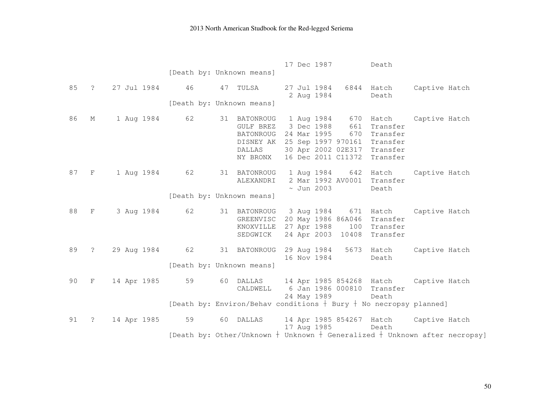|      |                |                |    |                                                                           | 17 Dec 1987<br>Death                                                                                                                                                              |                     |
|------|----------------|----------------|----|---------------------------------------------------------------------------|-----------------------------------------------------------------------------------------------------------------------------------------------------------------------------------|---------------------|
|      |                |                |    | [Death by: Unknown means]                                                 |                                                                                                                                                                                   |                     |
| 85   | $\overline{?}$ | 27 Jul 1984 46 |    | 47 TULSA                                                                  | 27 Jul 1984<br>6844 Hatch<br>2 Aug 1984<br>Death                                                                                                                                  | Captive Hatch       |
|      |                |                |    | [Death by: Unknown means]                                                 |                                                                                                                                                                                   |                     |
| 86   | М              | 1 Aug 1984 62  |    | 31 BATONROUG<br>GULF BREZ<br>BATONROUG<br>DISNEY AK<br>DALLAS<br>NY BRONX | 1 Aug 1984<br>670<br>3 Dec 1988<br>661<br>Transfer<br>24 Mar 1995<br>670<br>Transfer<br>25 Sep 1997 970161 Transfer<br>30 Apr 2002 02E317 Transfer<br>16 Dec 2011 C11372 Transfer | Hatch Captive Hatch |
| 87 F |                | 1 Aug 1984 62  |    | 31 BATONROUG<br>ALEXANDRI                                                 | 1 Aug 1984 642 Hatch<br>2 Mar 1992 AV0001 Transfer<br>$\sim$ Jun 2003<br>Death                                                                                                    | Captive Hatch       |
|      |                |                |    | [Death by: Unknown means]                                                 |                                                                                                                                                                                   |                     |
| 88   | $\mathbf{F}$   | 3 Aug 1984 62  |    | 31 BATONROUG<br>GREENVISC<br>KNOXVILLE<br>SEDGWICK                        | 3 Aug 1984 671 Hatch Captive Hatch<br>20 May 1986 86A046<br>Transfer<br>27 Apr 1988 100 Transfer<br>24 Apr 2003 10408 Transfer                                                    |                     |
| 89   | $\ddot{?}$     | 29 Aug 1984 62 |    | 31 BATONROUG                                                              | 5673 Hatch<br>29 Aug 1984<br>16 Nov 1984<br>Death                                                                                                                                 | Captive Hatch       |
|      |                |                |    | [Death by: Unknown means]                                                 |                                                                                                                                                                                   |                     |
| 90   | F              | 14 Apr 1985    | 59 | 60 DALLAS<br>CALDWELL                                                     | 14 Apr 1985 854268 Hatch Captive Hatch<br>6 Jan 1986 000810 Transfer<br>24 May 1989<br>Death                                                                                      |                     |
|      |                |                |    |                                                                           | [Death by: Environ/Behav conditions $+$ Bury $+$ No necropsy planned]                                                                                                             |                     |
| 91   | $\ddot{?}$     | 14 Apr 1985    | 59 | 60 DALLAS                                                                 | 14 Apr 1985 854267 Hatch<br>17 Aug 1985<br>Death                                                                                                                                  | Captive Hatch       |
|      |                |                |    |                                                                           | [Death by: Other/Unknown $+$ Unknown $+$ Generalized $+$ Unknown after necropsy]                                                                                                  |                     |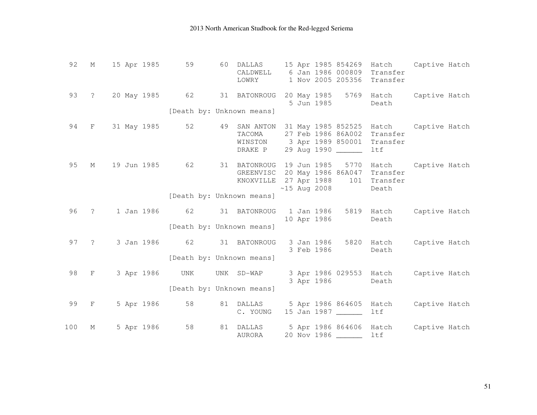| 92  | М              | 15 Apr 1985    | 59  | DALLAS<br>60<br>CALDWELL<br>LOWRY         | 15 Apr 1985 854269<br>6 Jan 1986 000809<br>1 Nov 2005 205356 Transfer                                               | Captive Hatch<br>Hatch<br>Transfer                   |
|-----|----------------|----------------|-----|-------------------------------------------|---------------------------------------------------------------------------------------------------------------------|------------------------------------------------------|
| 93  | $\ddot{?}$     | 20 May 1985 62 |     | 31 BATONROUG<br>[Death by: Unknown means] | 20 May 1985<br>5 Jun 1985                                                                                           | 5769 Hatch<br>Captive Hatch<br>Death                 |
| 94  | $_{\rm F}$     | 31 May 1985    | 52  | 49<br>SAN ANTON<br>TACOMA<br>DRAKE P      | 31 May 1985 852525 Hatch<br>27 Feb 1986 86A002 Transfer<br>WINSTON 3 Apr 1989 850001 Transfer<br>29 Aug 1990 ______ | Captive Hatch<br>ltf                                 |
| 95  | М              | 19 Jun 1985    | 62  | KNOXVILLE<br>[Death by: Unknown means]    | 31 BATONROUG 19 Jun 1985<br>GREENVISC 20 May 1986 86A047 Transfer<br>27 Apr 1988<br>$~15$ Aug 2008                  | 5770 Hatch<br>Captive Hatch<br>101 Transfer<br>Death |
| 96  | $\ddot{\cdot}$ | 1 Jan 1986 62  |     | 31 BATONROUG<br>[Death by: Unknown means] | 1 Jan 1986<br>10 Apr 1986                                                                                           | 5819 Hatch<br>Captive Hatch<br>Death                 |
| 97  | $\ddot{ }$     | 3 Jan 1986 62  |     | 31 BATONROUG<br>[Death by: Unknown means] | 3 Jan 1986<br>3 Feb 1986                                                                                            | 5820 Hatch<br>Captive Hatch<br>Death                 |
| 98  | F              | 3 Apr 1986     | UNK | UNK SD-WAP<br>[Death by: Unknown means]   | 3 Apr 1986 029553 Hatch<br>3 Apr 1986                                                                               | Captive Hatch<br>Death                               |
| 99  | $\mathbf F$    | 5 Apr 1986     | 58  | 81 DALLAS<br>C. YOUNG                     | 5 Apr 1986 864605 Hatch<br>15 Jan 1987 ______                                                                       | Captive Hatch<br>ltf                                 |
| 100 | М              | 5 Apr 1986     | 58  | 81<br>DALLAS<br>AURORA                    | 5 Apr 1986 864606 Hatch<br>20 Nov 1986                                                                              | Captive Hatch<br>ltf                                 |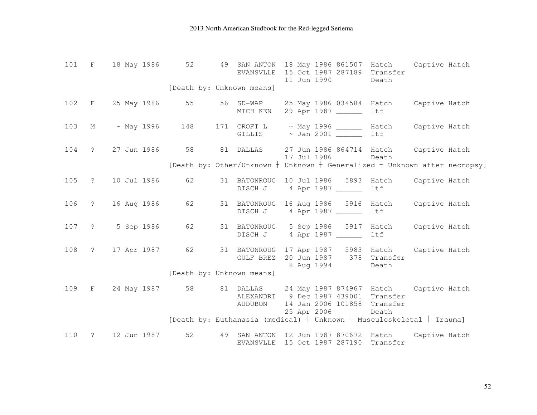|     | 101 F 18 May 1986 52                                                   | [Death by: Unknown means] | EVANSVLLE |             | 49 SAN ANTON 18 May 1986 861507 Hatch Captive Hatch<br>15 Oct 1987 287189 Transfer<br>11 Jun 1990     | Death |  |
|-----|------------------------------------------------------------------------|---------------------------|-----------|-------------|-------------------------------------------------------------------------------------------------------|-------|--|
|     |                                                                        |                           |           |             |                                                                                                       |       |  |
|     | 102 F 25 May 1986 55 56 SD-WAP 25 May 1986 034584 Hatch Captive Hatch  |                           | MICH KEN  |             | 29 Apr 1987 ______                                                                                    | ltf   |  |
|     | 103 M ~ May 1996 148 171 CROFT L ~ May 1996 ______ Hatch Captive Hatch |                           |           |             | GILLIS ~ Jan 2001 _______                                                                             | ltf   |  |
|     | 104 ? 27 Jun 1986 58 81 DALLAS 27 Jun 1986 864714 Hatch Captive Hatch  |                           |           | 17 Jul 1986 |                                                                                                       | Death |  |
|     |                                                                        |                           |           |             | [Death by: Other/Unknown $+$ Unknown $+$ Generalized $+$ Unknown after necropsy]                      |       |  |
|     | 105 ? 10 Jul 1986 62                                                   |                           |           |             | 31 BATONROUG 10 Jul 1986 5893 Hatch Captive Hatch<br>DISCH J 4 Apr 1987                               | ltf   |  |
|     | 106 ? 16 Aug 1986                                                      | 62                        |           |             | 31 BATONROUG 16 Aug 1986 5916 Hatch Captive Hatch<br>DISCH J 4 Apr 1987                               | ltf   |  |
|     | 107 ? 5 Sep 1986                                                       | 62                        |           |             | 31 BATONROUG 5 Sep 1986 5917 Hatch Captive Hatch                                                      | ltf   |  |
|     | 108 ? 17 Apr 1987 62                                                   |                           |           |             | 31 BATONROUG 17 Apr 1987 5983 Hatch Captive Hatch<br>GULF BREZ 20 Jun 1987 378 Transfer<br>8 Aug 1994 | Death |  |
|     |                                                                        | [Death by: Unknown means] |           |             |                                                                                                       |       |  |
|     | 109 F 24 May 1987 58 81 DALLAS 24 May 1987 874967 Hatch Captive Hatch  |                           | AUDUBON   |             | ALEXANDRI 9 Dec 1987 439001 Transfer<br>14 Jan 2006 101858 Transfer                                   |       |  |
|     |                                                                        |                           |           |             | 25 Apr 2006<br>[Death by: Euthanasia (medical) $+$ Unknown $+$ Musculoskeletal $+$ Trauma]            | Death |  |
|     |                                                                        |                           |           |             |                                                                                                       |       |  |
| 110 | ? 12 Jun 1987                                                          | 52                        |           |             | 49 SAN ANTON 12 Jun 1987 870672 Hatch Captive Hatch<br>EVANSVLLE 15 Oct 1987 287190 Transfer          |       |  |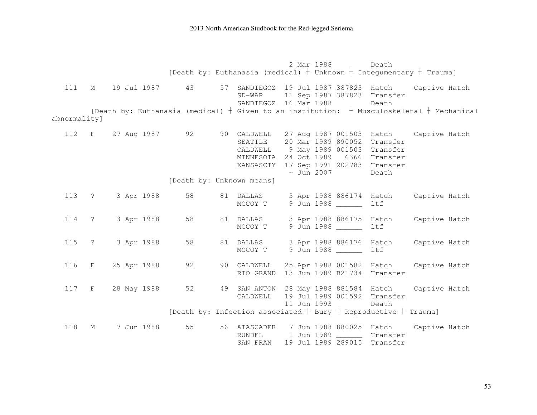2 Mar 1988 Death [Death by: Euthanasia (medical)  $\dagger$  Unknown  $\dagger$  Integumentary  $\dagger$  Trauma] 111 M 19 Jul 1987 43 57 SANDIEGOZ 19 Jul 1987 387823 Hatch Captive Hatch SD-WAP 11 Sep 1987 387823 Transfer SANDIEGOZ 16 Mar 1988 Death [Death by: Euthanasia (medical)  $\dagger$  Given to an institution:  $\dagger$  Musculoskeletal  $\dagger$  Mechanical abnormality] 112 F 27 Aug 1987 92 90 CALDWELL 27 Aug 1987 001503 Hatch Captive Hatch SEATTLE 20 Mar 1989 890052 Transfer CALDWELL 9 May 1989 001503 Transfer MINNESOTA 24 Oct 1989 6366 Transfer KANSASCTY 17 Sep 1991 202783 Transfer ~ Jun 2007 Death [Death by: Unknown means] 113 ? 3 Apr 1988 58 81 DALLAS 3 Apr 1988 886174 Hatch Captive Hatch MCCOY T 9 Jun 1988 ltf 114 ? 3 Apr 1988 58 81 DALLAS 3 Apr 1988 886175 Hatch Captive Hatch MCCOY T 9 Jun 1988 \_\_\_\_\_\_ ltf 115 ? 3 Apr 1988 58 81 DALLAS 3 Apr 1988 886176 Hatch Captive Hatch MCCOY T 9 Jun 1988 ltf 116 F 25 Apr 1988 92 90 CALDWELL 25 Apr 1988 001582 Hatch Captive Hatch RIO GRAND 13 Jun 1989 B21734 Transfer 117 F 28 May 1988 52 49 SAN ANTON 28 May 1988 881584 Hatch Captive Hatch CALDWELL 19 Jul 1989 001592 Transfer 11 Jun 1993 Death [Death by: Infection associated  $\dagger$  Bury  $\dagger$  Reproductive  $\dagger$  Trauma] 118 M 7 Jun 1988 55 56 ATASCADER 7 Jun 1988 880025 Hatch Captive Hatch RUNDEL 1 Jun 1989 Transfer SAN FRAN 19 Jul 1989 289015 Transfer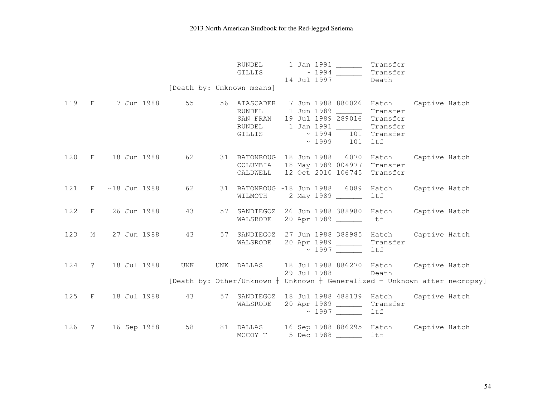|  |                      | [Death by: Unknown means] | RUNDEL<br>GILLIS | 1 Jan 1991 ______<br>$\sim 1994$<br>14 Jul 1997                                                                                                   | Transfer<br>Transfer<br>Death                                                                                                                  |
|--|----------------------|---------------------------|------------------|---------------------------------------------------------------------------------------------------------------------------------------------------|------------------------------------------------------------------------------------------------------------------------------------------------|
|  |                      |                           | GILLIS           | RUNDEL 1 Jun 1989 _______<br>SAN FRAN 19 Jul 1989 289016 Transfer<br>RUNDEL 1 Jan 1991 _______<br>$\sim$ 1994 101 Transfer<br>$\sim 1999$ 101 ltf | 119 F 7 Jun 1988 55 56 ATASCADER 7 Jun 1988 880026 Hatch Captive Hatch<br>Transfer<br>Transfer                                                 |
|  | 120 F 18 Jun 1988    | 62 — 10                   |                  | COLUMBIA 18 May 1989 004977 Transfer<br>CALDWELL 12 Oct 2010 106745 Transfer                                                                      | 31 BATONROUG 18 Jun 1988 6070 Hatch Captive Hatch                                                                                              |
|  | 121 F ~18 Jun 1988   | 62                        |                  | WILMOTH 2 May 1989 ________                                                                                                                       | 31 BATONROUG ~18 Jun 1988  6089 Hatch  Captive Hatch<br>ltf                                                                                    |
|  | 122 F 26 Jun 1988    | 43                        |                  | 57 SANDIEGOZ 26 Jun 1988 388980 Hatch<br>WALSRODE 20 Apr 1989                                                                                     | Captive Hatch<br>ltf                                                                                                                           |
|  | 123 M 27 Jun 1988 43 |                           | WALSRODE         | 20 Apr 1989 ________ Transfer<br>$\sim 1997$                                                                                                      | 57 SANDIEGOZ 27 Jun 1988 388985 Hatch Captive Hatch<br>ltf                                                                                     |
|  | 124 ? 18 Jul 1988    | UNK                       |                  | 29 Jul 1988                                                                                                                                       | UNK DALLAS 18 Jul 1988 886270 Hatch Captive Hatch<br>Death<br>[Death by: Other/Unknown $+$ Unknown $+$ Generalized $+$ Unknown after necropsy] |
|  | 125 F 18 Jul 1988    | 43                        |                  | WALSRODE 20 Apr 1989 _______ Transfer<br>$\sim 1997$                                                                                              | 57 SANDIEGOZ 18 Jul 1988 488139 Hatch Captive Hatch<br>ltf                                                                                     |
|  | 126 ? 16 Sep 1988    |                           | MCCOY T          | 5 Dec 1988 _______ ltf                                                                                                                            | 58 81 DALLAS 16 Sep 1988 886295 Hatch Captive Hatch                                                                                            |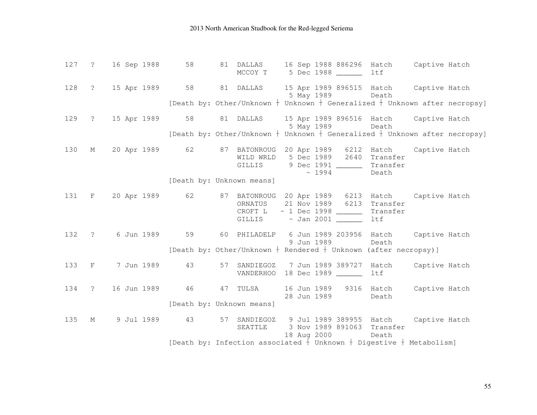|     | 127 ? 16 Sep 1988 | MCCOY T                   | 58 81 DALLAS 16 Sep 1988 886296 Hatch Captive Hatch<br>5 Dec 1988 _______ ltf                                                                                                                                          |       |  |
|-----|-------------------|---------------------------|------------------------------------------------------------------------------------------------------------------------------------------------------------------------------------------------------------------------|-------|--|
|     |                   |                           | 128 ? 15 Apr 1989 58 81 DALLAS 15 Apr 1989 896515 Hatch Captive Hatch<br>5 May 1989 Death                                                                                                                              |       |  |
|     |                   |                           | [Death by: Other/Unknown $+$ Unknown $+$ Generalized $+$ Unknown after necropsy]                                                                                                                                       |       |  |
|     |                   |                           | 129 ? 15 Apr 1989 58 81 DALLAS 15 Apr 1989 896516 Hatch Captive Hatch<br>5 May 1989 Death                                                                                                                              |       |  |
|     |                   |                           | [Death by: Other/Unknown $+$ Unknown $+$ Generalized $+$ Unknown after necropsy]                                                                                                                                       |       |  |
|     |                   |                           | 130 M 20 Apr 1989 62 87 BATONROUG 20 Apr 1989 6212 Hatch Captive Hatch<br>WILD WRLD 5 Dec 1989 2640 Transfer<br>GILLIS 9 Dec 1991 ________ Transfer<br>$\sim 1994$                                                     | Death |  |
|     |                   | [Death by: Unknown means] |                                                                                                                                                                                                                        |       |  |
|     |                   |                           | 131 F 20 Apr 1989 62 87 BATONROUG 20 Apr 1989 6213 Hatch Captive Hatch<br>ORNATUS 21 Nov 1989 6213 Transfer<br>CROFT $L \sim 1$ Dec 1998 ________ Transfer<br>GILLIS $\sim$ Jan 2001 $\frac{1}{\sqrt{1-\frac{1}{2}}}\$ | ltf   |  |
|     |                   |                           | 132 ? 6 Jun 1989 59 60 PHILADELP 6 Jun 1989 203956 Hatch Captive Hatch<br>9 Jun 1989 Death<br>[Death by: Other/Unknown + Rendered + Unknown (after necropsy)]                                                          |       |  |
|     |                   |                           |                                                                                                                                                                                                                        |       |  |
|     |                   |                           | 133 F 7 Jun 1989 43 57 SANDIEGOZ 7 Jun 1989 389727 Hatch Captive Hatch<br>VANDERHOO 18 Dec 1989                                                                                                                        | ltf   |  |
|     |                   | [Death by: Unknown means] | 134 ? 16 Jun 1989 46 47 TULSA 16 Jun 1989 9316 Hatch Captive Hatch<br>28 Jun 1989                                                                                                                                      | Death |  |
|     |                   |                           |                                                                                                                                                                                                                        |       |  |
| 135 |                   |                           | M 9 Jul 1989 43 57 SANDIEGOZ 9 Jul 1989 389955 Hatch Captive Hatch<br>SEATTLE 3 Nov 1989 891063 Transfer<br>18 Aug 2000                                                                                                | Death |  |
|     |                   |                           | [Death by: Infection associated $+$ Unknown $+$ Digestive $+$ Metabolism]                                                                                                                                              |       |  |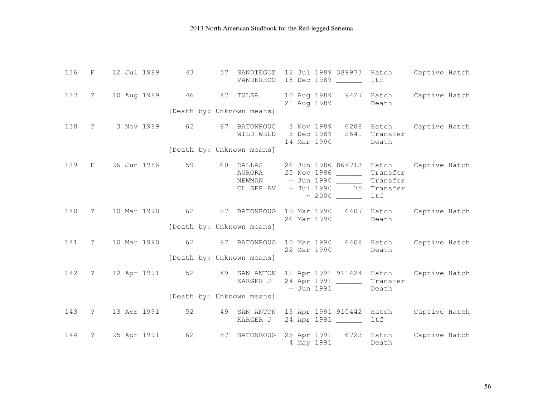| 136 | $\mathbf{F}$                  | 12 Jul 1989       | 43 | 57<br>SANDIEGOZ                               | 12 Jul 1989 389973<br>VANDERHOO 18 Dec 1989                                                                                                         | ltf                    | Hatch Captive Hatch      |
|-----|-------------------------------|-------------------|----|-----------------------------------------------|-----------------------------------------------------------------------------------------------------------------------------------------------------|------------------------|--------------------------|
|     |                               |                   |    | 137 ? 10 Aug 1989 46 47 TULSA                 | 10 Aug 1989 9427 Hatch Captive Hatch<br>21 Aug 1989                                                                                                 | Death                  |                          |
|     |                               |                   |    | [Death by: Unknown means]                     |                                                                                                                                                     |                        |                          |
|     |                               |                   |    | 138 ? 3 Nov 1989 62 87 BATONROUG<br>WILD WRLD | 3 Nov 1989<br>5 Dec 1989<br>14 Mar 1990                                                                                                             | 2641 Transfer<br>Death | 6288 Hatch Captive Hatch |
|     |                               |                   |    | [Death by: Unknown means]                     |                                                                                                                                                     |                        |                          |
| 139 | $\mathbf{F}$ and $\mathbf{F}$ |                   |    | 26 Jun 1986 59 60 DALLAS<br>AURORA            | 26 Jun 1986 864713 Hatch Captive Hatch<br>20 Nov 1986 ________ Transfer<br>NEWMAN $\sim$ Jun 1990 Transfer<br>CL SPR AV $\sim$ Jul 1990 75 Transfer | ltf                    |                          |
| 140 | $\overline{?}$                | 10 Mar 1990 62    |    | [Death by: Unknown means]                     | 87 BATONROUG 10 Mar 1990<br>26 Mar 1990                                                                                                             | Death                  | 6407 Hatch Captive Hatch |
| 141 | $\overline{?}$                |                   |    | 10 Mar 1990 62 87 BATONROUG                   | 10 Mar 1990 6408 Hatch Captive Hatch<br>22 Mar 1990                                                                                                 | Death                  |                          |
|     |                               |                   |    | [Death by: Unknown means]                     |                                                                                                                                                     |                        |                          |
|     |                               |                   |    | KARGER J                                      | 142 ? 12 Apr 1991 52 49 SAN ANTON 12 Apr 1991 911424 Hatch Captive Hatch<br>24 Apr 1991 ________ Transfer<br>$\sim$ Jun 1991                        | Death                  |                          |
|     |                               |                   |    | [Death by: Unknown means]                     |                                                                                                                                                     |                        |                          |
|     |                               | 143 ? 13 Apr 1991 |    |                                               | 52 49 SAN ANTON 13 Apr 1991 910442 Hatch<br>KARGER J 24 Apr 1991 ______                                                                             | ltf                    | Captive Hatch            |
| 144 |                               | ? 25 Apr 1991 62  |    |                                               | 87 BATONROUG 25 Apr 1991 6723 Hatch Captive Hatch<br>4 May 1991                                                                                     | Death                  |                          |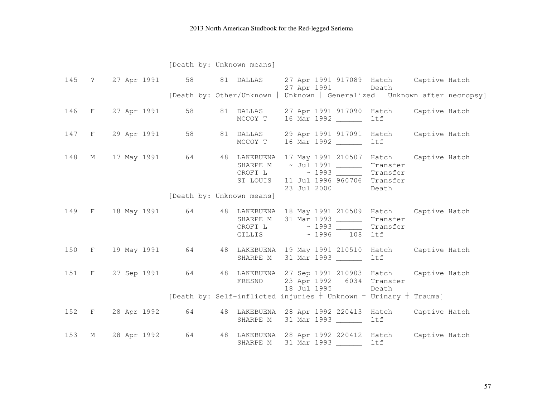[Death by: Unknown means]

|     |                   |                           |  | 145 ? 27 Apr 1991 58 81 DALLAS 27 Apr 1991 917089 Hatch Captive Hatch<br>27 Apr 1991 Death                                                                                                                        |  |
|-----|-------------------|---------------------------|--|-------------------------------------------------------------------------------------------------------------------------------------------------------------------------------------------------------------------|--|
|     |                   |                           |  | [Death by: Other/Unknown $+$ Unknown $+$ Generalized $+$ Unknown after necropsy]                                                                                                                                  |  |
|     |                   |                           |  | 146 F 27 Apr 1991 58 81 DALLAS 27 Apr 1991 917090 Hatch Captive Hatch<br>MCCOY T 16 Mar 1992 ________ ltf                                                                                                         |  |
|     | 147 F 29 Apr 1991 |                           |  | 58 81 DALLAS 29 Apr 1991 917091 Hatch Captive Hatch<br>MCCOY T 16 Mar 1992 _______ ltf                                                                                                                            |  |
|     |                   |                           |  | 148 M 17 May 1991 64 48 LAKEBUENA 17 May 1991 210507 Hatch Captive Hatch<br>SHARPE M ~ Jul 1991 _______<br>Transfer<br>CROFT L ~ 1993<br>Transfer<br>ST LOUIS 11 Jul 1996 960706 Transfer<br>23 Jul 2000<br>Death |  |
|     |                   | [Death by: Unknown means] |  |                                                                                                                                                                                                                   |  |
|     |                   |                           |  | 149 F 18 May 1991 64 48 LAKEBUENA 18 May 1991 210509 Hatch Captive Hatch<br>SHARPE M 31 Mar 1993<br>Transfer<br>CROFT L $\sim$ 1993 ______<br>Transfer<br>GILLIS ~ 1996 108 ltf                                   |  |
|     |                   |                           |  | 150 F 19 May 1991 64 48 LAKEBUENA 19 May 1991 210510 Hatch Captive Hatch<br>SHARPE M 31 Mar 1993 _______ ltf                                                                                                      |  |
|     |                   |                           |  | 151 F 27 Sep 1991 64 48 LAKEBUENA 27 Sep 1991 210903 Hatch Captive Hatch<br>FRESNO 23 Apr 1992 6034 Transfer<br>18 Jul 1995<br>Death                                                                              |  |
|     |                   |                           |  | [Death by: Self-inflicted injuries $+$ Unknown $+$ Urinary $+$ Trauma]                                                                                                                                            |  |
|     |                   |                           |  | 152 F 28 Apr 1992 64 48 LAKEBUENA 28 Apr 1992 220413 Hatch Captive Hatch<br>SHARPE M 31 Mar 1993<br>ltf                                                                                                           |  |
| 153 | M 28 Apr 1992     |                           |  | 64 48 LAKEBUENA 28 Apr 1992 220412 Hatch Captive Hatch<br>SHARPE M 31 Mar 1993 _______ ltf                                                                                                                        |  |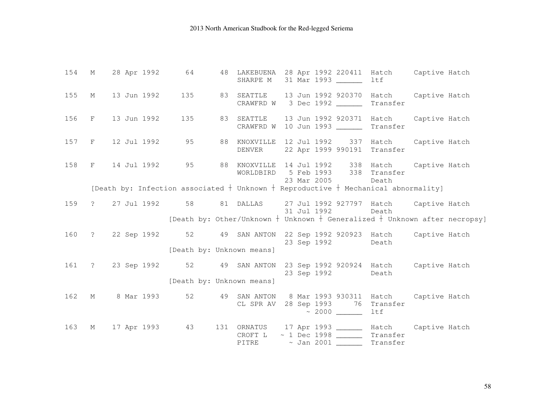|  | 154 M 28 Apr 1992 64 48 LAKEBUENA 28 Apr 1992 220411 Hatch Captive Hatch                 |                           | SHARPE M 31 Mar 1993                                                                             |             |                   | ltf                                          |  |
|--|------------------------------------------------------------------------------------------|---------------------------|--------------------------------------------------------------------------------------------------|-------------|-------------------|----------------------------------------------|--|
|  | 155 M 13 Jun 1992 135 83 SEATTLE 13 Jun 1992 920370 Hatch Captive Hatch                  |                           | CRAWFRD W 3 Dec 1992 ________ Transfer                                                           |             |                   |                                              |  |
|  | 156 F 13 Jun 1992                                                                        |                           | 135 83 SEATTLE 13 Jun 1992 920371 Hatch Captive Hatch<br>CRAWFRD W 10 Jun 1993 ________ Transfer |             |                   |                                              |  |
|  | 157 F 12 Jul 1992 95 88 KNOXVILLE 12 Jul 1992 337 Hatch Captive Hatch                    |                           | DENVER 22 Apr 1999 990191 Transfer                                                               |             |                   |                                              |  |
|  | 158 F 14 Jul 1992 95 88 KNOXVILLE 14 Jul 1992 338 Hatch Captive Hatch                    |                           | WORLDBIRD 5 Feb 1993 338 Transfer<br>23 Mar 2005 Death                                           |             |                   |                                              |  |
|  | [Death by: Infection associated $+$ Unknown $+$ Reproductive $+$ Mechanical abnormality] |                           |                                                                                                  |             |                   |                                              |  |
|  | 159 ? 27 Jul 1992 58 81 DALLAS 27 Jul 1992 927797 Hatch Captive Hatch                    |                           |                                                                                                  | 31 Jul 1992 |                   | Death                                        |  |
|  |                                                                                          |                           | [Death by: Other/Unknown $+$ Unknown $+$ Generalized $+$ Unknown after necropsy]                 |             |                   |                                              |  |
|  | 160 ? 22 Sep 1992 52 49 SAN ANTON 22 Sep 1992 920923 Hatch Captive Hatch                 |                           |                                                                                                  |             | 23 Sep 1992       | Death                                        |  |
|  |                                                                                          | [Death by: Unknown means] |                                                                                                  |             |                   |                                              |  |
|  | 161 ? 23 Sep 1992 52 49 SAN ANTON 23 Sep 1992 920924 Hatch Captive Hatch                 |                           |                                                                                                  |             | 23 Sep 1992 Death |                                              |  |
|  |                                                                                          | [Death by: Unknown means] |                                                                                                  |             |                   |                                              |  |
|  | 162 M 8 Mar 1993                                                                         |                           | 52 49 SAN ANTON 8 Mar 1993 930311 Hatch Captive Hatch<br>CL SPR AV 28 Sep 1993 76 Transfer       |             |                   | ltf                                          |  |
|  | 163 M 17 Apr 1993 43 131 ORNATUS 17 Apr 1993 181ch Captive Hatch                         |                           | CROFT L<br>PITRE ~ Jan 2001 ________ Transfer                                                    |             |                   | $\sim$ 1 Dec 1998 $\_\_\_\_\_\_\_\$ Transfer |  |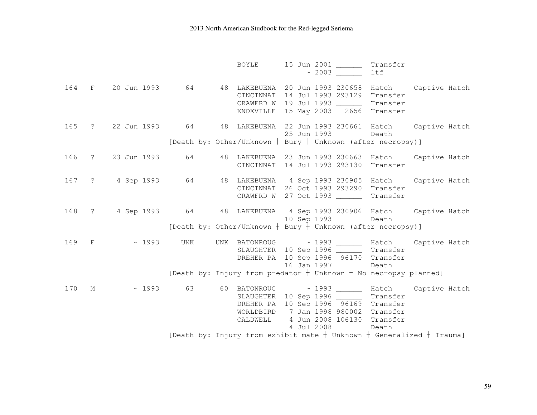|     |                     | BOYLE                 | 15 Jun 2001 ________ Transfer                                                                                                                              | ltf                                                                                                                                              |  |
|-----|---------------------|-----------------------|------------------------------------------------------------------------------------------------------------------------------------------------------------|--------------------------------------------------------------------------------------------------------------------------------------------------|--|
|     |                     |                       | CINCINNAT 14 Jul 1993 293129 Transfer<br>CRAWFRD W 19 Jul 1993 _________ Transfer<br>KNOXVILLE 15 May 2003 2656 Transfer                                   | 164 F 20 Jun 1993 64 48 LAKEBUENA 20 Jun 1993 230658 Hatch Captive Hatch                                                                         |  |
|     |                     |                       | 25 Jun 1993                                                                                                                                                | 165 ? 22 Jun 1993 64 48 LAKEBUENA 22 Jun 1993 230661 Hatch Captive Hatch<br>Death<br>[Death by: Other/Unknown + Bury + Unknown (after necropsy)] |  |
|     | 166 ? 23 Jun 1993   |                       | CINCINNAT 14 Jul 1993 293130 Transfer                                                                                                                      | 48 LAKEBUENA 23 Jun 1993 230663 Hatch Captive Hatch                                                                                              |  |
|     | 167 ? 4 Sep 1993 64 |                       | CINCINNAT 26 Oct 1993 293290 Transfer<br>CRAWFRD W 27 Oct 1993 ________ Transfer                                                                           | 48 LAKEBUENA 4 Sep 1993 230905 Hatch Captive Hatch                                                                                               |  |
|     | 168 ? 4 Sep 1993 64 |                       | 10 Sep 1993                                                                                                                                                | 48 LAKEBUENA 4 Sep 1993 230906 Hatch Captive Hatch<br>Death<br>[Death by: Other/Unknown + Bury + Unknown (after necropsy)]                       |  |
|     | 169 F<br>~ 1993 UNK |                       | SLAUGHTER 10 Sep 1996 ________ Transfer<br>DREHER PA 10 Sep 1996 96170 Transfer<br>16 Jan 1997                                                             | UNK BATONROUG ~ 1993 ______ Hatch Captive Hatch<br>Death<br>[Death by: Injury from predator $\dagger$ Unknown $\dagger$ No necropsy planned]     |  |
| 170 | $M_{\rm H}$         | WORLDBIRD<br>CALDWELL | SLAUGHTER 10 Sep 1996 _________ Transfer<br>DREHER PA 10 Sep 1996 96169 Transfer<br>7 Jan 1998 980002 Transfer<br>4 Jun 2008 106130 Transfer<br>4 Jul 2008 | $\sim$ 1993 63 60 BATONROUG $\sim$ 1993 $\_\_\_\_\$ Hatch Captive Hatch<br>Death                                                                 |  |
|     |                     |                       |                                                                                                                                                            | [Death by: Injury from exhibit mate $+$ Unknown $+$ Generalized $+$ Trauma]                                                                      |  |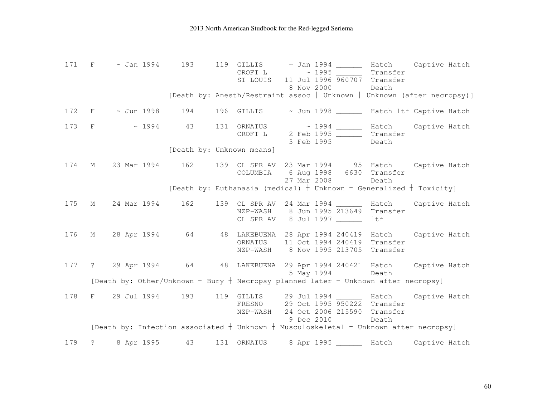|     |             |            |    |                           | CROFT L $\sim$ 1995 ______ | Transfer<br>ST LOUIS 11 Jul 1996 960707 Transfer                                         | 171 F $\sim$ Jan 1994 193 119 GILLIS $\sim$ Jan 1994 $\sim$ Hatch Captive Hatch                                               |
|-----|-------------|------------|----|---------------------------|----------------------------|------------------------------------------------------------------------------------------|-------------------------------------------------------------------------------------------------------------------------------|
|     |             |            |    |                           | 8 Nov 2000                 | Death                                                                                    | [Death by: Anesth/Restraint assoc $+$ Unknown $+$ Unknown (after necropsy)]                                                   |
|     |             |            |    |                           |                            |                                                                                          | 172 F ~ Jun 1998 194 196 GILLIS ~ Jun 1998 Match 1tf Captive Hatch                                                            |
|     |             |            |    |                           | 3 Feb 1995                 | Death                                                                                    | 173 F $\sim$ 1994 43 131 ORNATUS $\sim$ 1994 $\sim$ Hatch Captive Hatch Captive Hatch CROFT L 2 Feb 1995 $\sim$ 1994 Transfer |
|     |             |            |    | [Death by: Unknown means] |                            |                                                                                          |                                                                                                                               |
| 174 |             |            |    | COLUMBIA                  | 27 Mar 2008                | 6 Aug 1998 6630 Transfer<br>Death                                                        | M 23 Mar 1994 162 139 CL SPR AV 23 Mar 1994 95 Hatch Captive Hatch                                                            |
|     |             |            |    |                           |                            |                                                                                          | [Death by: Euthanasia (medical) $+$ Unknown $+$ Generalized $+$ Toxicity]                                                     |
| 175 |             |            |    |                           | CL SPR AV 8 Jul 1997       | NZP-WASH 8 Jun 1995 213649 Transfer<br>ltf                                               | M 24 Mar 1994 162 139 CL SPR AV 24 Mar 1994 ______ Hatch Captive Hatch                                                        |
|     |             |            |    |                           |                            | ORNATUS 11 Oct 1994 240419 Transfer<br>NZP-WASH 8 Nov 1995 213705 Transfer               | 176 M 28 Apr 1994 64 48 LAKEBUENA 28 Apr 1994 240419 Hatch Captive Hatch                                                      |
|     |             |            |    |                           | 5 May 1994                 | Death                                                                                    | 177 ? 29 Apr 1994 64 48 LAKEBUENA 29 Apr 1994 240421 Hatch Captive Hatch                                                      |
|     |             |            |    |                           |                            | [Death by: Other/Unknown $+$ Bury $+$ Necropsy planned later $+$ Unknown after necropsy] |                                                                                                                               |
| 178 |             |            |    |                           | 9 Dec 2010                 | FRESNO 29 Oct 1995 950222 Transfer<br>NZP-WASH 24 Oct 2006 215590 Transfer<br>Death      | F 29 Jul 1994 193 119 GILLIS 29 Jul 1994 ______ Hatch Captive Hatch                                                           |
|     |             |            |    |                           |                            |                                                                                          | [Death by: Infection associated $\dagger$ Unknown $\dagger$ Musculoskeletal $\dagger$ Unknown after necropsy]                 |
| 179 | $\tilde{S}$ | 8 Apr 1995 | 43 | 131 ORNATUS               |                            |                                                                                          | 8 Apr 1995 ________ Hatch Captive Hatch                                                                                       |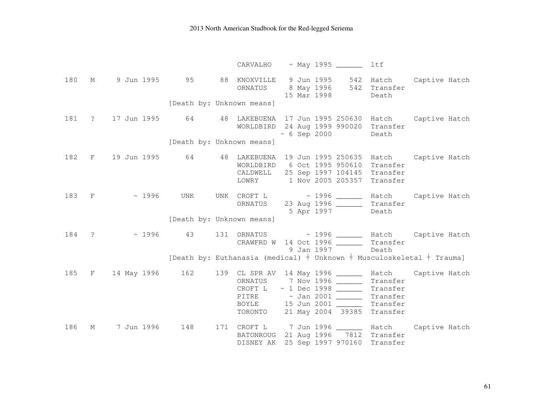|     |             |                  |     | CARVALHO                                                                    | ~ May 1995 _______                                                                                                                                                                         | ltf      |                                                                                           |
|-----|-------------|------------------|-----|-----------------------------------------------------------------------------|--------------------------------------------------------------------------------------------------------------------------------------------------------------------------------------------|----------|-------------------------------------------------------------------------------------------|
| 180 | $M_{\odot}$ |                  |     | ORNATUS                                                                     | 8 May 1996 542 Transfer<br>15 Mar 1998                                                                                                                                                     | Death    | 9 Jun 1995 95 88 KNOXVILLE 9 Jun 1995 542 Hatch Captive Hatch                             |
|     |             |                  |     | [Death by: Unknown means]                                                   |                                                                                                                                                                                            |          |                                                                                           |
| 181 |             |                  |     | ? 17 Jun 1995 64 48 LAKEBUENA 17 Jun 1995 250630 Hatch Captive Hatch        | WORLDBIRD 24 Aug 1999 990020 Transfer<br>$\sim$ 6 Sep 2000 Death                                                                                                                           |          |                                                                                           |
|     |             |                  |     | [Death by: Unknown means]                                                   |                                                                                                                                                                                            |          |                                                                                           |
| 182 |             |                  |     | F 19 Jun 1995 64 48 LAKEBUENA 19 Jun 1995 250635 Hatch Captive Hatch        | WORLDBIRD 6 Oct 1995 950610 Transfer<br>CALDWELL 25 Sep 1997 104145 Transfer<br>LOWRY 1 Nov 2005 205357 Transfer                                                                           |          |                                                                                           |
|     |             | 183 F ~ 1996 UNK |     | [Death by: Unknown means]                                                   | 5 Apr 1997                                                                                                                                                                                 | Death    | UNK CROFT L $\sim$ 1996 ______ Hatch Captive Hatch<br>ORNATUS 23 Aug 1996 ______ Transfer |
|     |             |                  |     | 184 ? ~ 1996 43 131 ORNATUS ~ 1996 ______ Hatch Captive Hatch               | CRAWFRD W 14 Oct 1996 _________ Transfer<br>9 Jan 1997                                                                                                                                     | Death    |                                                                                           |
|     |             |                  |     | [Death by: Euthanasia (medical) $+$ Unknown $+$ Musculoskeletal $+$ Trauma] |                                                                                                                                                                                            |          |                                                                                           |
|     |             |                  |     | 185 F 14 May 1996 162 139 CL SPR AV 14 May 1996 _______ Hatch Captive Hatch | ORNATUS 7 Nov 1996 ______<br>CROFT $L \sim 1$ Dec 1998 ________ Transfer<br>PITRE ~ Jan 2001 _______ Transfer<br>BOYLE 15 Jun 2001 ________ Transfer<br>TORONTO 21 May 2004 39385 Transfer | Transfer |                                                                                           |
| 186 | М           | 7 Jun 1996       | 148 | 171 CROFT L  7 Jun 1996 _______ Hatch Captive Hatch<br>DISNEY AK            | BATONROUG 21 Aug 1996 7812 Transfer<br>25 Sep 1997 970160 Transfer                                                                                                                         |          |                                                                                           |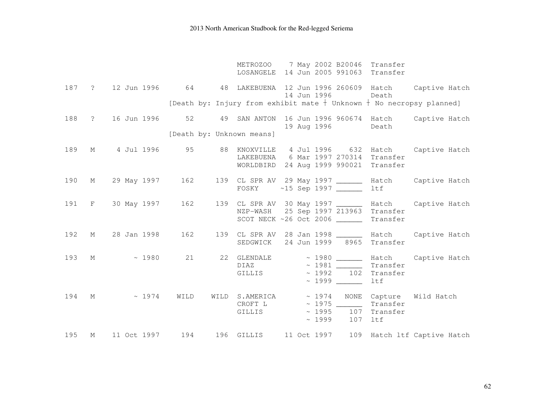|     |   |                      |      | METROZOO 7 May 2002 B20046 Transfer<br>LOSANGELE 14 Jun 2005 991063 Transfer      |             |                   |                                 |                                                                                                                                                      |
|-----|---|----------------------|------|-----------------------------------------------------------------------------------|-------------|-------------------|---------------------------------|------------------------------------------------------------------------------------------------------------------------------------------------------|
|     |   |                      |      |                                                                                   | 14 Jun 1996 |                   | Death                           | 187 ? 12 Jun 1996 64 48 LAKEBUENA 12 Jun 1996 260609 Hatch Captive Hatch<br>[Death by: Injury from exhibit mate $+$ Unknown $+$ No necropsy planned] |
|     |   |                      |      |                                                                                   |             |                   |                                 |                                                                                                                                                      |
|     |   | 188 ? 16 Jun 1996 52 |      |                                                                                   |             | 19 Aug 1996 Death |                                 | 49 SAN ANTON 16 Jun 1996 960674 Hatch Captive Hatch                                                                                                  |
|     |   |                      |      | [Death by: Unknown means]                                                         |             |                   |                                 |                                                                                                                                                      |
| 189 |   |                      |      | LAKEBUENA 6 Mar 1997 270314 Transfer<br>WORLDBIRD 24 Aug 1999 990021 Transfer     |             |                   |                                 | M 4 Jul 1996 95 88 KNOXVILLE 4 Jul 1996 632 Hatch Captive Hatch                                                                                      |
| 190 |   |                      |      | FOSKY ~15 Sep 1997 _______                                                        |             |                   | ltf                             | M 29 May 1997 162 139 CL SPR AV 29 May 1997 ________ Hatch Captive Hatch                                                                             |
|     |   |                      |      | NZP-WASH 25 Sep 1997 213963 Transfer<br>SCOT NECK ~26 Oct 2006 _________ Transfer |             |                   |                                 | 191 F 30 May 1997 162 139 CL SPR AV 30 May 1997 _______ Hatch Captive Hatch                                                                          |
| 192 |   |                      |      | SEDGWICK 24 Jun 1999 8965 Transfer                                                |             |                   |                                 | M 28 Jan 1998 162 139 CL SPR AV 28 Jan 1998 _______ Hatch Captive Hatch                                                                              |
|     |   | 193 M ~ 1980 21      |      | $DIAZ$ $\sim$ 1981 $\sim$ Transfer<br>GILLIS                                      |             |                   | $\sim$ 1992 102 Transfer<br>ltf | 22 GLENDALE ~ 1980 _______ Hatch Captive Hatch                                                                                                       |
|     |   | $194$ M $\sim 1974$  | WILD | CROFT L $\sim$ 1975 Transfer<br>GILLIS                                            |             | $~1999$ 107 ltf   | $\sim 1995$ 107 Transfer        | WILD S.AMERICA ~ 1974 NONE Capture Wild Hatch                                                                                                        |
| 195 | М |                      |      |                                                                                   |             |                   |                                 | 11 Oct 1997 194 196 GILLIS 11 Oct 1997 109 Hatch 1tf Captive Hatch                                                                                   |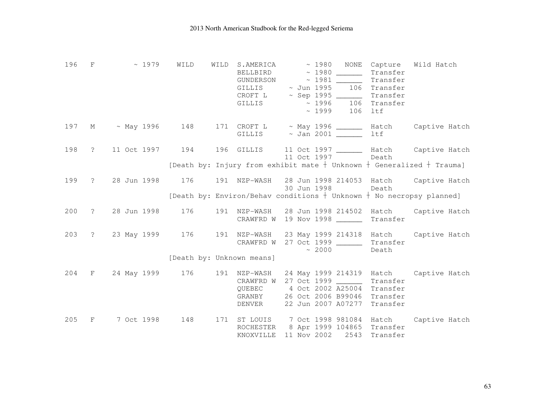| 196 F |              | $\sim$ 1979                                                               | WILD                      | WILD | S.AMERICA<br>BELLBIRD<br>GILLIS<br>CROFT L<br>GILLIS |             | $\sim$ 1980 NONE<br>$\sim$ 1980 ________ Transfer<br>GUNDERSON ~ 1981 _______ Transfer<br>$\sim$ Jun 1995 106 Transfer<br>$\sim$ Sep 1995 _________ Transfer<br>$\sim 1996$ 106 Transfer<br>$\sim 1999$ 106 ltf | Capture | Wild Hatch                                                                                                                      |
|-------|--------------|---------------------------------------------------------------------------|---------------------------|------|------------------------------------------------------|-------------|-----------------------------------------------------------------------------------------------------------------------------------------------------------------------------------------------------------------|---------|---------------------------------------------------------------------------------------------------------------------------------|
|       |              | 197 M ~ May 1996 148 171 CROFT L ~ May 1996 _______ Hatch Captive Hatch   |                           |      |                                                      |             |                                                                                                                                                                                                                 | ltf     |                                                                                                                                 |
|       |              | 198 ? 11 Oct 1997 194 196 GILLIS 11 Oct 1997 ______ Hatch Captive Hatch   |                           |      |                                                      |             | 11 Oct 1997 Death                                                                                                                                                                                               |         | [Death by: Injury from exhibit mate $+$ Unknown $+$ Generalized $+$ Trauma]                                                     |
| 199   |              | ? 28 Jun 1998                                                             | 176                       |      |                                                      | 30 Jun 1998 |                                                                                                                                                                                                                 | Death   | 191 NZP-WASH 28 Jun 1998 214053 Hatch Captive Hatch<br>[Death by: Environ/Behav conditions $+$ Unknown $+$ No necropsy planned] |
| 200   | $\mathbb{R}$ | 28 Jun 1998                                                               |                           |      |                                                      |             | CRAWFRD W 19 Nov 1998 Transfer                                                                                                                                                                                  |         | 176 191 NZP-WASH 28 Jun 1998 214502 Hatch Captive Hatch                                                                         |
| 203   |              | ? 23 May 1999 176 191 NZP-WASH 23 May 1999 214318 Hatch Captive Hatch     |                           |      |                                                      |             | CRAWFRD W 27 Oct 1999 ________ Transfer<br>$\sim$ 2000                                                                                                                                                          | Death   |                                                                                                                                 |
|       |              |                                                                           | [Death by: Unknown means] |      |                                                      |             |                                                                                                                                                                                                                 |         |                                                                                                                                 |
|       |              | 204 F 24 May 1999 176 191 NZP-WASH 24 May 1999 214319 Hatch Captive Hatch |                           |      |                                                      |             | CRAWFRD W 27 Oct 1999 _________ Transfer<br>QUEBEC 4 Oct 2002 A25004 Transfer<br>GRANBY 26 Oct 2006 B99046 Transfer<br>DENVER 22 Jun 2007 A07277 Transfer                                                       |         |                                                                                                                                 |
| 205   | F            | 7 Oct 1998 148                                                            |                           |      | KNOXVILLE                                            |             | ROCHESTER 8 Apr 1999 104865 Transfer<br>11 Nov 2002 2543 Transfer                                                                                                                                               |         | 171 ST LOUIS 7 Oct 1998 981084 Hatch Captive Hatch                                                                              |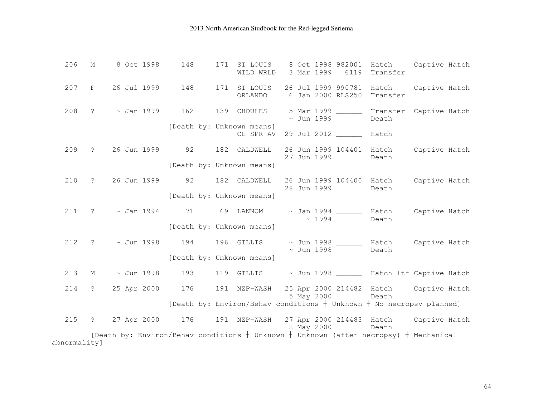| 206 | М            | 8 Oct 1998 | 148 | 171 ST LOUIS<br>WILD WRLD              | 8 Oct 1998 982001<br>3 Mar 1999<br>6119                                               | Hatch<br>Captive Hatch<br>Transfer                                                          |  |  |  |  |
|-----|--------------|------------|-----|----------------------------------------|---------------------------------------------------------------------------------------|---------------------------------------------------------------------------------------------|--|--|--|--|
| 207 |              |            |     | ORLANDO                                | F 26 Jul 1999 148 171 ST LOUIS 26 Jul 1999 990781 Hatch<br>6 Jan 2000 RLS250 Transfer | Captive Hatch                                                                               |  |  |  |  |
| 208 |              |            |     | ? ~ Jan 1999 162 139 CHOULES           | $\sim$ Jun 1999                                                                       | 5 Mar 1999 ________ Transfer Captive Hatch<br>Death                                         |  |  |  |  |
|     |              |            |     | [Death by: Unknown means]<br>CL SPR AV | 29 Jul 2012 _________ Hatch                                                           |                                                                                             |  |  |  |  |
| 209 |              |            |     | ? 26 Jun 1999 92 182 CALDWELL          | 27 Jun 1999 Death                                                                     | 26 Jun 1999 104401 Hatch Captive Hatch                                                      |  |  |  |  |
|     |              |            |     | [Death by: Unknown means]              |                                                                                       |                                                                                             |  |  |  |  |
| 210 |              |            |     | ? 26 Jun 1999 92 182 CALDWELL          | 28 Jun 1999 Death                                                                     | 26 Jun 1999 104400 Hatch Captive Hatch                                                      |  |  |  |  |
|     |              |            |     | [Death by: Unknown means]              |                                                                                       |                                                                                             |  |  |  |  |
| 211 |              |            |     |                                        | $\sim 1994$                                                                           | ? ~ Jan 1994 71 69 LANNOM ~ Jan 1994 _______ Hatch Captive Hatch<br>Death                   |  |  |  |  |
|     |              |            |     | [Death by: Unknown means]              |                                                                                       |                                                                                             |  |  |  |  |
| 212 |              |            |     |                                        | $\sim$ Jun 1998                                                                       | ? ~ Jun 1998 194 196 GILLIS ~ Jun 1998 _______ Hatch Captive Hatch<br>Death                 |  |  |  |  |
|     |              |            |     | [Death by: Unknown means]              |                                                                                       |                                                                                             |  |  |  |  |
| 213 |              |            |     |                                        |                                                                                       | M ~ Jun 1998 193 119 GILLIS ~ Jun 1998 _____ Hatch ltf Captive Hatch                        |  |  |  |  |
| 214 |              |            |     |                                        | 5 May 2000 Death                                                                      | ? 25 Apr 2000 176 191 NZP-WASH 25 Apr 2000 214482 Hatch Captive Hatch                       |  |  |  |  |
|     |              |            |     |                                        |                                                                                       | [Death by: Environ/Behav conditions $+$ Unknown $+$ No necropsy planned]                    |  |  |  |  |
| 215 |              |            |     |                                        | 2 May 2000 Death                                                                      | ? 27 Apr 2000 176 191 NZP-WASH 27 Apr 2000 214483 Hatch Captive Hatch                       |  |  |  |  |
|     |              |            |     |                                        |                                                                                       | [Death by: Environ/Behav conditions $+$ Unknown $+$ Unknown (after necropsy) $+$ Mechanical |  |  |  |  |
|     | abnormality] |            |     |                                        |                                                                                       |                                                                                             |  |  |  |  |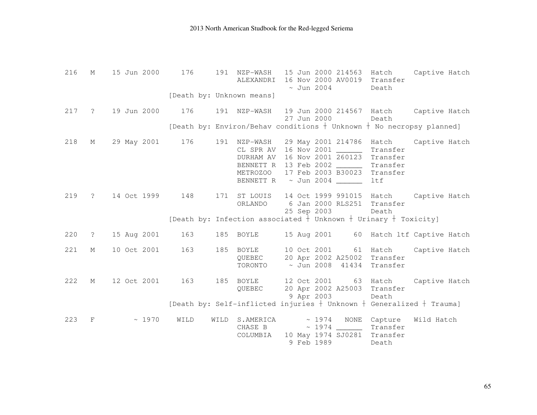| 216 | М              | 15 Jun 2000       | 176  | NZP-WASH<br>191<br>ALEXANDRI | 15 Jun 2000 214563<br>16 Nov 2000 AV0019 Transfer<br>$\sim$ Jun 2004                                                                                                                                                           | Captive Hatch<br>Hatch<br>Death                                            |
|-----|----------------|-------------------|------|------------------------------|--------------------------------------------------------------------------------------------------------------------------------------------------------------------------------------------------------------------------------|----------------------------------------------------------------------------|
|     |                |                   |      | [Death by: Unknown means]    |                                                                                                                                                                                                                                |                                                                            |
| 217 |                | ? 19 Jun 2000 176 |      |                              | 27 Jun 2000                                                                                                                                                                                                                    | 191 NZP-WASH 19 Jun 2000 214567 Hatch Captive Hatch<br>Death               |
|     |                |                   |      |                              |                                                                                                                                                                                                                                | [Death by: Environ/Behav conditions $+$ Unknown $+$ No necropsy planned]   |
| 218 | М              | 29 May 2001 176   |      | 191 NZP-WASH                 | 29 May 2001 214786 Hatch<br>CL SPR AV 16 Nov 2001 ________ Transfer<br>DURHAM AV 16 Nov 2001 260123 Transfer<br>BENNETT R 13 Feb 2002 ________ Transfer<br>METROZOO 17 Feb 2003 B30023 Transfer<br>BENNETT R ~ Jun 2004 ______ | Captive Hatch<br>ltf                                                       |
| 219 | $\ddot{?}$     | 14 Oct 1999 148   |      | ORLANDO                      | 6 Jan 2000 RLS251 Transfer<br>25 Sep 2003                                                                                                                                                                                      | 171 ST LOUIS 14 Oct 1999 991015 Hatch Captive Hatch<br>Death               |
|     |                |                   |      |                              | [Death by: Infection associated $\frac{1}{1}$ Unknown $+$ Urinary $+$ Toxicity]                                                                                                                                                |                                                                            |
| 220 | $\overline{?}$ | 15 Aug 2001 163   |      | 185 BOYLE                    |                                                                                                                                                                                                                                | 15 Aug 2001 60 Hatch ltf Captive Hatch                                     |
| 221 | М              | 10 Oct 2001       | 163  | 185 BOYLE<br>QUEBEC          | 10 Oct 2001 61 Hatch<br>20 Apr 2002 A25002 Transfer<br>TORONTO ~ Jun 2008 41434 Transfer                                                                                                                                       | Captive Hatch                                                              |
| 222 | М              | 12 Oct 2001       | 163  | 185 BOYLE<br>QUEBEC          | 20 Apr 2002 A25003 Transfer<br>9 Apr 2003                                                                                                                                                                                      | 12 Oct 2001 63 Hatch Captive Hatch<br>Death                                |
|     |                |                   |      |                              |                                                                                                                                                                                                                                | [Death by: Self-inflicted injuries $+$ Unknown $+$ Generalized $+$ Trauma] |
| 223 | $_{\rm F}$     | ~1970             | WILD | WILD                         | S.AMERICA ~ 1974 NONE Capture<br>CHASE B $\sim$ 1974 $\sim$ Transfer<br>COLUMBIA 10 May 1974 SJ0281 Transfer<br>9 Feb 1989                                                                                                     | Wild Hatch<br>Death                                                        |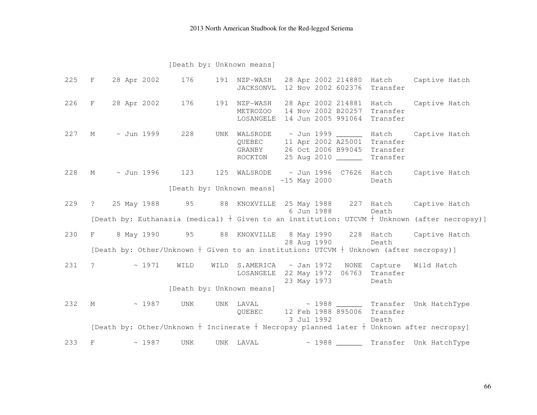#### [Death by: Unknown means]

|     |                           |                   | 225 F 28 Apr 2002 176 |  | 191 NZP-WASH<br>JACKSONVL 12 Nov 2002 602376 Transfer                                                               |                |       |             |       | 28 Apr 2002 214880 Hatch Captive Hatch                                                           |  |
|-----|---------------------------|-------------------|-----------------------|--|---------------------------------------------------------------------------------------------------------------------|----------------|-------|-------------|-------|--------------------------------------------------------------------------------------------------|--|
|     |                           |                   |                       |  | 226 F 28 Apr 2002 176 191 NZP-WASH<br>METROZOO 14 Nov 2002 B20257 Transfer<br>LOSANGELE 14 Jun 2005 991064 Transfer |                |       |             |       | 28 Apr 2002 214881 Hatch Captive Hatch                                                           |  |
| 227 |                           | M ~ Jun 1999      | 228                   |  | QUEBEC 11 Apr 2002 A25001 Transfer<br>GRANBY 26 Oct 2006 B99045 Transfer<br>ROCKTON 25 Aug 2010 _______ Transfer    |                |       |             |       | UNK WALSRODE ~ Jun 1999 _______ Hatch Captive Hatch                                              |  |
| 228 |                           |                   | M ~ Jun 1996 123      |  |                                                                                                                     | $~15$ May 2000 |       |             | Death | 125 WALSRODE ~ Jun 1996 C7626 Hatch Captive Hatch                                                |  |
|     |                           |                   |                       |  | [Death by: Unknown means]                                                                                           |                |       |             |       |                                                                                                  |  |
|     |                           |                   |                       |  |                                                                                                                     |                |       | 6 Jun 1988  | Death | 229 ? 25 May 1988 95 88 KNOXVILLE 25 May 1988 227 Hatch Captive Hatch                            |  |
|     |                           |                   |                       |  |                                                                                                                     |                |       |             |       | [Death by: Euthanasia (medical) $+$ Given to an institution: UTCVM $+$ Unknown (after necropsy)] |  |
| 230 | $F \sim 1$                |                   |                       |  |                                                                                                                     |                |       | 28 Aug 1990 | Death | 8 May 1990 95 88 KNOXVILLE 8 May 1990 228 Hatch Captive Hatch                                    |  |
|     |                           |                   |                       |  | [Death by: Other/Unknown $+$ Given to an institution: UTCVM $+$ Unknown (after necropsy)]                           |                |       |             |       |                                                                                                  |  |
| 231 |                           | $\ddot{\text{?}}$ | $\sim 1971$<br>WILD   |  | WILD S.AMERICA ~ Jan 1972 NONE Capture<br>LOSANGELE 22 May 1972 06763 Transfer                                      |                |       | 23 May 1973 | Death | Wild Hatch                                                                                       |  |
|     | [Death by: Unknown means] |                   |                       |  |                                                                                                                     |                |       |             |       |                                                                                                  |  |
| 232 | $M \sim$                  |                   | $\sim 1987$<br>UNK    |  | QUEBEC 12 Feb 1988 895006 Transfer                                                                                  | 3 Jul 1992     |       |             | Death | UNK LAVAL $\sim$ 1988 Transfer Unk HatchType                                                     |  |
|     |                           |                   |                       |  |                                                                                                                     |                |       |             |       | [Death by: Other/Unknown $+$ Incinerate $+$ Necropsy planned later $+$ Unknown after necropsy]   |  |
| 233 | F                         |                   | ~1987<br><b>UNK</b>   |  | UNK LAVAL                                                                                                           |                | ~1988 |             |       | ________ Transfer Unk HatchType                                                                  |  |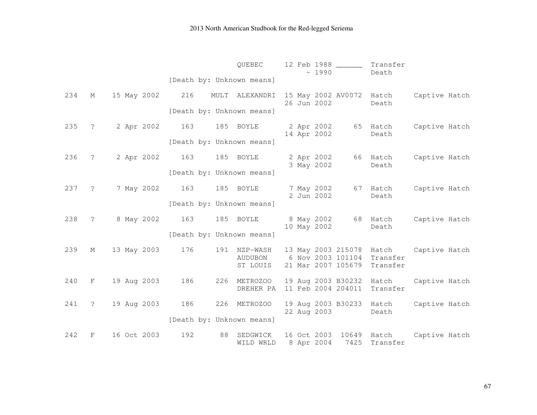|     |                      |                 |                           | QUEBEC                    | 12 Feb 1988<br>~1990                           | Transfer<br>Death                                      |               |
|-----|----------------------|-----------------|---------------------------|---------------------------|------------------------------------------------|--------------------------------------------------------|---------------|
|     |                      |                 | [Death by: Unknown means] |                           |                                                |                                                        |               |
| 234 | М                    | 15 May 2002 216 | MULT                      | ALEXANDRI                 | 15 May 2002 AV0072 Hatch<br>26 Jun 2002        | Death                                                  | Captive Hatch |
|     |                      |                 | [Death by: Unknown means] |                           |                                                |                                                        |               |
| 235 | $\ddot{\mathcal{E}}$ | 2 Apr 2002 163  | 185 BOYLE                 |                           | 2 Apr 2002<br>14 Apr 2002                      | 65 Hatch<br>Death                                      | Captive Hatch |
|     |                      |                 | [Death by: Unknown means] |                           |                                                |                                                        |               |
| 236 | $\ddot{\cdot}$       | 2 Apr 2002 163  |                           | 185 BOYLE                 | 2 Apr 2002<br>3 May 2002                       | 66 Hatch<br>Death                                      | Captive Hatch |
|     |                      |                 | [Death by: Unknown means] |                           |                                                |                                                        |               |
| 237 | $\overline{?}$       | 7 May 2002      | 163                       | 185 BOYLE                 | 7 May 2002<br>2 Jun 2002                       | 67 Hatch<br>Death                                      | Captive Hatch |
|     |                      |                 | [Death by: Unknown means] |                           |                                                |                                                        |               |
| 238 | $\ddot{?}$           | 8 May 2002      | 163                       | 185 BOYLE                 | 8 May 2002<br>10 May 2002                      | 68 Hatch<br>Death                                      | Captive Hatch |
|     |                      |                 | [Death by: Unknown means] |                           |                                                |                                                        |               |
| 239 | М                    | 13 May 2003     | 176                       | 191 NZP-WASH<br>AUDUBON   |                                                | 13 May 2003 215078 Hatch<br>6 Nov 2003 101104 Transfer | Captive Hatch |
|     |                      |                 |                           | ST LOUIS                  | 21 Mar 2007 105679 Transfer                    |                                                        |               |
| 240 | F                    | 19 Aug 2003     | 186                       | 226 METROZOO<br>DREHER PA | 19 Aug 2003 B30232 Hatch<br>11 Feb 2004 204011 | Transfer                                               | Captive Hatch |
| 241 | $\tilde{z}$          | 19 Aug 2003     | 186                       | 226 METROZOO              | 19 Aug 2003 B30233 Hatch                       |                                                        | Captive Hatch |
|     |                      |                 | [Death by: Unknown means] |                           | 22 Aug 2003                                    | Death                                                  |               |
| 242 | F                    | 16 Oct 2003     | 192<br>88                 | SEDGWICK<br>WILD WRLD     | 16 Oct 2003<br>8 Apr 2004                      | 10649 Hatch<br>7425<br>Transfer                        | Captive Hatch |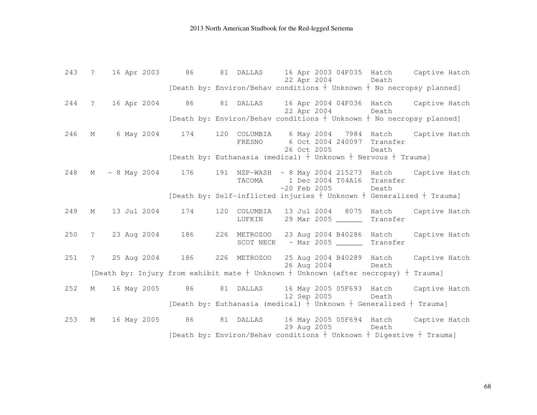243 ? 16 Apr 2003 86 81 DALLAS 16 Apr 2003 04F035 Hatch Captive Hatch 22 Apr 2004 Death [Death by: Environ/Behav conditions  $\dagger$  Unknown  $\dagger$  No necropsy planned] 244 ? 16 Apr 2004 86 81 DALLAS 16 Apr 2004 04F036 Hatch Captive Hatch 22 Apr 2004 Death [Death by: Environ/Behav conditions  $\dagger$  Unknown  $\dagger$  No necropsy planned] 246 M 6 May 2004 174 120 COLUMBIA 6 May 2004 7984 Hatch Captive Hatch FRESNO 6 Oct 2004 240097 Transfer 26 Oct 2005 Death [Death by: Euthanasia (medical)  $\dagger$  Unknown  $\dagger$  Nervous  $\dagger$  Trauma] 248 M ~ 8 May 2004 176 191 NZP-WASH ~ 8 May 2004 215273 Hatch Captive Hatch TACOMA 1 Dec 2004 T04A16 Transfer ~20 Feb 2005 Death [Death by: Self-inflicted injuries  $\dagger$  Unknown  $\dagger$  Generalized  $\dagger$  Trauma] 249 M 13 Jul 2004 174 120 COLUMBIA 13 Jul 2004 8075 Hatch Captive Hatch LUFKIN 29 Mar 2005 \_\_\_\_\_\_ Transfer 250 ? 23 Aug 2004 186 226 METROZOO 23 Aug 2004 B40286 Hatch Captive Hatch SCOT NECK ~ Mar 2005 \_\_\_\_\_\_\_ Transfer 251 ? 25 Aug 2004 186 226 METROZOO 25 Aug 2004 B40289 Hatch Captive Hatch 26 Aug 2004 Death [Death by: Injury from exhibit mate  $\dagger$  Unknown  $\dagger$  Unknown (after necropsy)  $\dagger$  Trauma] 252 M 16 May 2005 86 81 DALLAS 16 May 2005 05F693 Hatch Captive Hatch 12 Sep 2005 Death [Death by: Euthanasia (medical)  $\dagger$  Unknown  $\dagger$  Generalized  $\dagger$  Trauma] 253 M 16 May 2005 86 81 DALLAS 16 May 2005 05F694 Hatch Captive Hatch 29 Aug 2005 Death [Death by: Environ/Behav conditions  $\frac{1}{2}$  Unknown  $\frac{1}{2}$  Digestive  $\frac{1}{2}$  Trauma]

68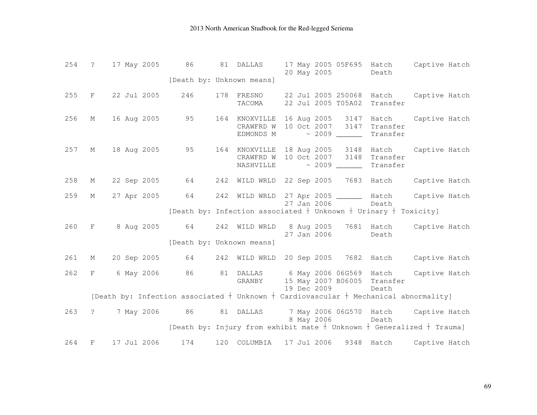|     |   | 254 ? 17 May 2005 86 |     | 81 DALLAS                 | 20 May 2005                                                           | 17 May 2005 05F695 Hatch Captive Hatch<br>Death                                                                                                |
|-----|---|----------------------|-----|---------------------------|-----------------------------------------------------------------------|------------------------------------------------------------------------------------------------------------------------------------------------|
|     |   |                      |     | [Death by: Unknown means] |                                                                       |                                                                                                                                                |
| 255 |   | F 22 Jul 2005        | 246 | 178 FRESNO<br>TACOMA      | 22 Jul 2005 T05A02 Transfer                                           | 22 Jul 2005 250068 Hatch Captive Hatch                                                                                                         |
| 256 |   |                      |     | CRAWFRD W<br>EDMONDS M    | 10 Oct 2007 3147 Transfer<br>$\sim$ 2009 Transfer                     | M 16 Aug 2005 95 164 KNOXVILLE 16 Aug 2005 3147 Hatch Captive Hatch                                                                            |
| 257 |   |                      |     | CRAWFRD W<br>NASHVILLE    | 10 Oct 2007 3148 Transfer<br>$\sim$ 2009 ________ Transfer            | M 18 Aug 2005 95 164 KNOXVILLE 18 Aug 2005 3148 Hatch Captive Hatch                                                                            |
| 258 |   |                      |     |                           |                                                                       | M 22 Sep 2005 64 242 WILD WRLD 22 Sep 2005 7683 Hatch Captive Hatch                                                                            |
| 259 | M | 27 Apr 2005 64       |     |                           | 27 Jan 2006                                                           | 242 WILD WRLD 27 Apr 2005 _______ Hatch Captive Hatch<br>Death                                                                                 |
|     |   |                      |     |                           | [Death by: Infection associated $+$ Unknown $+$ Urinary $+$ Toxicity] |                                                                                                                                                |
| 260 |   |                      |     |                           | 27 Jan 2006 Death                                                     | F 8 Aug 2005 64 242 WILD WRLD 8 Aug 2005 7681 Hatch Captive Hatch                                                                              |
|     |   |                      |     | [Death by: Unknown means] |                                                                       |                                                                                                                                                |
| 261 |   |                      |     |                           |                                                                       | M 20 Sep 2005 64 242 WILD WRLD 20 Sep 2005 7682 Hatch Captive Hatch                                                                            |
| 262 |   |                      |     |                           | GRANBY 15 May 2007 B06005 Transfer<br>19 Dec 2009 Death               | F 6 May 2006 86 81 DALLAS 6 May 2006 06G569 Hatch Captive Hatch                                                                                |
|     |   |                      |     |                           |                                                                       | [Death by: Infection associated $+$ Unknown $+$ Cardiovascular $+$ Mechanical abnormality]                                                     |
| 263 |   |                      |     |                           | 8 May 2006 Death                                                      | ? 7 May 2006 86 81 DALLAS 7 May 2006 06G570 Hatch Captive Hatch<br>[Death by: Injury from exhibit mate $+$ Unknown $+$ Generalized $+$ Trauma] |
|     |   |                      |     |                           |                                                                       |                                                                                                                                                |
| 264 | F | 17 Jul 2006          | 174 |                           | 120 COLUMBIA 17 Jul 2006                                              | 9348 Hatch Captive Hatch                                                                                                                       |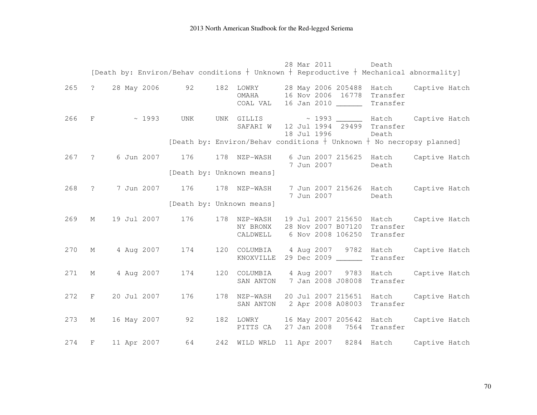|     |                   |             |             |                             |                                      |  | 28 Mar 2011 | Death                                                         |                                                                    | [Death by: Environ/Behav conditions $+$ Unknown $+$ Reproductive $+$ Mechanical abnormality] |
|-----|-------------------|-------------|-------------|-----------------------------|--------------------------------------|--|-------------|---------------------------------------------------------------|--------------------------------------------------------------------|----------------------------------------------------------------------------------------------|
| 265 | $\ddot{?}$        |             |             | 28 May 2006 92 182          | LOWRY<br>OMAHA<br>COAL VAL           |  |             | 16 Jan 2010 ______                                            | 28 May 2006 205488 Hatch<br>16 Nov 2006 16778 Transfer<br>Transfer | Captive Hatch                                                                                |
| 266 | $\mathbf{F}$      |             | $\sim 1993$ | UNK                         |                                      |  | 18 Jul 1996 |                                                               | SAFARI W 12 Jul 1994 29499 Transfer<br>Death                       | UNK GILLIS ~ 1993 _______ Hatch Captive Hatch                                                |
|     |                   |             |             |                             |                                      |  |             |                                                               |                                                                    | [Death by: Environ/Behav conditions $+$ Unknown $+$ No necropsy planned]                     |
| 267 | $\ddot{\text{?}}$ |             |             | 6 Jun 2007 176 178 NZP-WASH |                                      |  | 7 Jun 2007  |                                                               | 6 Jun 2007 215625 Hatch<br>Death                                   | Captive Hatch                                                                                |
|     |                   |             |             |                             | [Death by: Unknown means]            |  |             |                                                               |                                                                    |                                                                                              |
| 268 | $\ddot{?}$        |             |             | 7 Jun 2007 176              | 178 NZP-WASH                         |  | 7 Jun 2007  |                                                               | Death                                                              | 7 Jun 2007 215626 Hatch Captive Hatch                                                        |
|     |                   |             |             |                             | [Death by: Unknown means]            |  |             |                                                               |                                                                    |                                                                                              |
| 269 | М                 | 19 Jul 2007 |             | 176                         | 178 NZP-WASH<br>NY BRONX<br>CALDWELL |  |             | 19 Jul 2007 215650<br>28 Nov 2007 B07120<br>6 Nov 2008 106250 | Hatch<br>Transfer<br>Transfer                                      | Captive Hatch                                                                                |
| 270 | М                 |             | 4 Aug 2007  | 174                         | KNOXVILLE                            |  |             | 29 Dec 2009 ______                                            | Transfer                                                           | 120 COLUMBIA 4 Aug 2007 9782 Hatch Captive Hatch                                             |
| 271 | М                 |             | 4 Aug 2007  | 174                         | 120 COLUMBIA<br>SAN ANTON            |  | 4 Aug 2007  | 7 Jan 2008 J08008                                             | 9783 Hatch<br>Transfer                                             | Captive Hatch                                                                                |
| 272 | F                 | 20 Jul 2007 |             | 176                         | 178 NZP-WASH                         |  |             |                                                               | 20 Jul 2007 215651 Hatch<br>SAN ANTON 2 Apr 2008 A08003 Transfer   | Captive Hatch                                                                                |
| 273 | М                 | 16 May 2007 |             | 92                          | 182 LOWRY<br>PITTS CA                |  | 27 Jan 2008 |                                                               | 16 May 2007 205642 Hatch<br>7564 Transfer                          | Captive Hatch                                                                                |
| 274 | F                 | 11 Apr 2007 |             | 64                          | 242 WILD WRLD 11 Apr 2007            |  |             |                                                               |                                                                    | 8284 Hatch Captive Hatch                                                                     |

70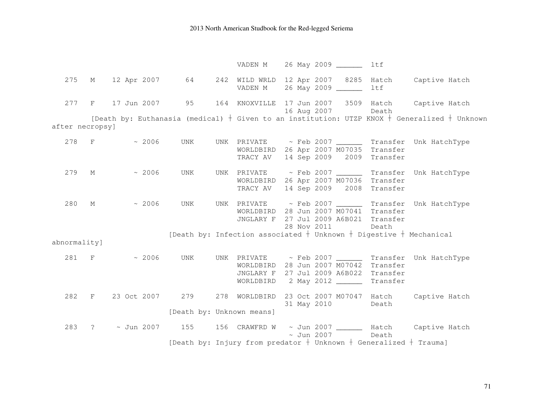VADEN M 26 May 2009 \_\_\_\_\_\_ ltf 275 M 12 Apr 2007 64 242 WILD WRLD 12 Apr 2007 8285 Hatch Captive Hatch VADEN M 26 May 2009 \_\_\_\_\_\_ ltf 277 F 17 Jun 2007 95 164 KNOXVILLE 17 Jun 2007 3509 Hatch Captive Hatch 16 Aug 2007 Death [Death by: Euthanasia (medical)  $+$  Given to an institution: UTZP KNOX  $+$  Generalized  $+$  Unknown after necropsy]  $278$  F  $\sim$  2006 UNK UNK PRIVATE  $\sim$  Feb 2007 Transfer Unk HatchType WORLDBIRD 26 Apr 2007 M07035 Transfer TRACY AV 14 Sep 2009 2009 Transfer 279 M  $\sim$  2006 UNK UNK PRIVATE  $\sim$  Feb 2007 \_\_\_\_\_\_ Transfer Unk HatchType WORLDBIRD 26 Apr 2007 M07036 Transfer TRACY AV 14 Sep 2009 2008 Transfer 280 M ~ 2006 UNK UNK PRIVATE ~ Feb 2007 Transfer Unk HatchType WORLDBIRD 28 Jun 2007 M07041 Transfer JNGLARY F 27 Jul 2009 A6B021 Transfer 28 Nov 2011 Death [Death by: Infection associated  $\frac{1}{2}$  Unknown  $\frac{1}{2}$  Digestive  $\frac{1}{2}$  Mechanical abnormality] 281 F  $\sim$  2006 UNK UNK PRIVATE  $\sim$  Feb 2007 Transfer Unk HatchType WORLDBIRD 28 Jun 2007 M07042 Transfer JNGLARY F 27 Jul 2009 A6B022 Transfer WORLDBIRD 2 May 2012 \_\_\_\_\_\_ Transfer 282 F 23 Oct 2007 279 278 WORLDBIRD 23 Oct 2007 M07047 Hatch Captive Hatch 31 May 2010 Death [Death by: Unknown means] 283 ? ~ Jun 2007 155 156 CRAWFRD W ~ Jun 2007 \_\_\_\_\_\_\_ Hatch Captive Hatch ~ Jun 2007 Death [Death by: Injury from predator  $\dagger$  Unknown  $\dagger$  Generalized  $\dagger$  Trauma]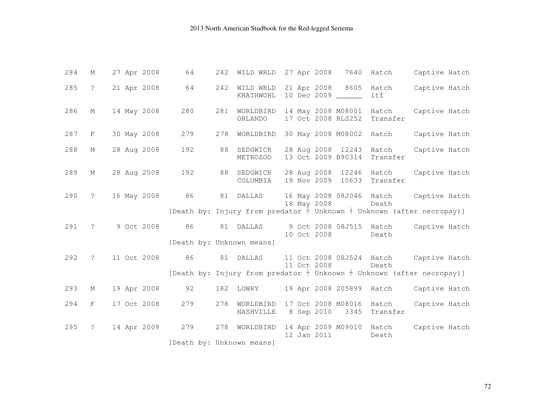| 284 | М              | 27 Apr 2008 | 64  | 242                                                                                              |             | WILD WRLD 27 Apr 2008 7640 Hatch                       |                   | Captive Hatch                          |
|-----|----------------|-------------|-----|--------------------------------------------------------------------------------------------------|-------------|--------------------------------------------------------|-------------------|----------------------------------------|
| 285 | $\overline{?}$ | 21 Apr 2008 | 64  | 242 WILD WRLD<br>KRATHWOHL                                                                       |             | 21 Apr 2008 8605 Hatch<br>10 Dec 2009 ______           | ltf               | Captive Hatch                          |
| 286 | М              | 14 May 2008 | 280 | 281<br>WORLDBIRD<br>ORLANDO                                                                      |             | 14 May 2008 M08001 Hatch<br>17 Oct 2008 RLS252         | Transfer          | Captive Hatch                          |
| 287 | F              | 30 May 2008 | 279 | 278<br>WORLDBIRD                                                                                 |             | 30 May 2008 M08002 Hatch                               |                   | Captive Hatch                          |
| 288 | M              | 28 Aug 2008 | 192 | 88<br>SEDGWICK<br><b>METROZOO</b>                                                                |             | 28 Aug 2008 12243 Hatch<br>13 Oct 2009 B90314 Transfer |                   | Captive Hatch                          |
| 289 | М              | 28 Aug 2008 | 192 | 88 SEDGWICK<br>COLUMBIA                                                                          |             | 28 Aug 2008 12246 Hatch<br>19 Nov 2009 10633           | Transfer          | Captive Hatch                          |
| 290 | $\ddot{?}$     | 16 May 2008 | 86  | 81 DALLAS<br>[Death by: Injury from predator $\frac{1}{1}$ Unknown $+$ Unknown (after necropsy)] | 18 May 2008 |                                                        | Death             | 16 May 2008 08J046 Hatch Captive Hatch |
|     |                |             |     |                                                                                                  |             |                                                        |                   |                                        |
| 291 | $\mathcal{P}$  | 9 Oct 2008  | 86  | 81 DALLAS                                                                                        | 10 Oct 2008 | 9 Oct 2008 08J515 Hatch                                | Death             | Captive Hatch                          |
|     |                |             |     | [Death by: Unknown means]                                                                        |             |                                                        |                   |                                        |
| 292 | $\ddot{?}$     | 11 Oct 2008 | 86  | 81 DALLAS                                                                                        | 11 Oct 2008 |                                                        | Death             | 11 Oct 2008 08J524 Hatch Captive Hatch |
|     |                |             |     | [Death by: Injury from predator $+$ Unknown $+$ Unknown (after necropsy)]                        |             |                                                        |                   |                                        |
| 293 | М              | 19 Apr 2008 | 92  | 182 LOWRY                                                                                        |             | 19 Apr 2008 205899 Hatch                               |                   | Captive Hatch                          |
| 294 | F              | 17 Oct 2008 | 279 | 278<br>WORLDBIRD<br>NASHVILLE                                                                    |             | 17 Oct 2008 M08016<br>8 Sep 2010<br>3345               | Hatch<br>Transfer | Captive Hatch                          |
| 295 | $\ddot{\cdot}$ | 14 Apr 2009 | 279 | 278<br>WORLDBIRD                                                                                 | 12 Jan 2011 | 14 Apr 2009 M09010 Hatch                               | Death             | Captive Hatch                          |
|     |                |             |     | [Death by: Unknown means]                                                                        |             |                                                        |                   |                                        |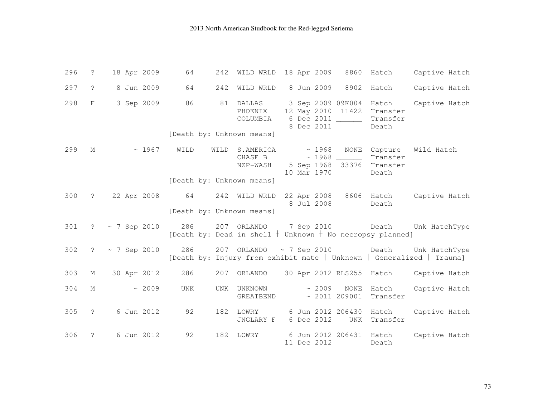| 296 | $\ddot{ }$        | 18 Apr 2009             | 64<br>242                         |                                       | WILD WRLD 18 Apr 2009                                                                                                             | 8860 Hatch                        | Captive Hatch |
|-----|-------------------|-------------------------|-----------------------------------|---------------------------------------|-----------------------------------------------------------------------------------------------------------------------------------|-----------------------------------|---------------|
| 297 | $\tilde{S}$       | 8 Jun 2009              | 242<br>64                         | WILD WRLD                             | 8 Jun 2009                                                                                                                        | 8902 Hatch                        | Captive Hatch |
| 298 | F                 | 3 Sep 2009              | 86<br>[Death by: Unknown means]   | 81 DALLAS<br>PHOENIX<br>COLUMBIA      | 3 Sep 2009 09K004 Hatch<br>12 May 2010 11422 Transfer<br>6 Dec 2011 ______<br>8 Dec 2011                                          | Transfer<br>Death                 | Captive Hatch |
| 299 | М                 | $\sim 1967$             | WILD<br>[Death by: Unknown means] | WILD S.AMERICA<br>CHASE B<br>NZP-WASH | $\sim 1968$<br>5 Sep 1968 33376 Transfer<br>10 Mar 1970                                                                           | NONE Capture<br>Transfer<br>Death | Wild Hatch    |
| 300 |                   |                         | [Death by: Unknown means]         |                                       | ? 22 Apr 2008 64 242 WILD WRLD 22 Apr 2008 8606 Hatch<br>8 Jul 2008                                                               | Death                             | Captive Hatch |
| 301 |                   | $? \sim 7$ Sep 2010 286 |                                   |                                       | 207 ORLANDO 7 Sep 2010 Death Unk HatchType<br>[Death by: Dead in shell $+$ Unknown $+$ No necropsy planned]                       |                                   |               |
| 302 | $\ddot{\text{?}}$ | ~ 7 Sep 2010            |                                   |                                       | 286 $207$ ORLANDO ~ 7 Sep 2010 Death Unk HatchType<br>[Death by: Injury from exhibit mate $+$ Unknown $+$ Generalized $+$ Trauma] |                                   |               |
| 303 | М                 | 30 Apr 2012             | 286                               |                                       | 207 ORLANDO 30 Apr 2012 RLS255 Hatch                                                                                              |                                   | Captive Hatch |
| 304 | М                 | ~2009                   | UNK<br>UNK                        | UNKNOWN<br>GREATBEND                  | $\sim 2009$<br>$\sim 2011209001$                                                                                                  | NONE<br>Hatch<br>Transfer         | Captive Hatch |
| 305 | $\ddot{?}$        | 6 Jun 2012              | 92                                | 182 LOWRY<br>JNGLARY F                | 6 Jun 2012 206430 Hatch<br>6 Dec 2012                                                                                             | UNK Transfer                      | Captive Hatch |
| 306 | $\tilde{?}$       | 6 Jun 2012              | 92<br>182                         | LOWRY                                 | 6 Jun 2012 206431 Hatch<br>11 Dec 2012                                                                                            | Death                             | Captive Hatch |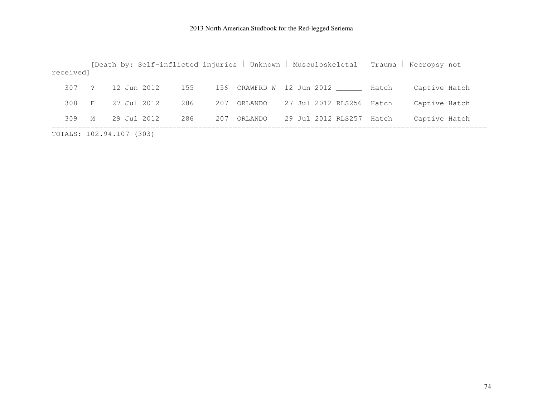| received]                |             |  |             |     |  |             | [Death by: Self-inflicted injuries $+$ Unknown $+$ Musculoskeletal $+$ Trauma $+$ Necropsy not |               |  |
|--------------------------|-------------|--|-------------|-----|--|-------------|------------------------------------------------------------------------------------------------|---------------|--|
|                          |             |  |             |     |  |             |                                                                                                |               |  |
| 307 ?                    |             |  | 12 Jun 2012 | 155 |  |             | 156 CRAWFRD W 12 Jun 2012 _______ Hatch                                                        | Captive Hatch |  |
| 308 F                    |             |  | 27 Jul 2012 | 286 |  | 207 ORLANDO | 27 Jul 2012 RLS256 Hatch                                                                       | Captive Hatch |  |
| 309                      | $M_{\odot}$ |  | 29 Jul 2012 | 286 |  | 207 ORLANDO | 29 Jul 2012 RLS257 Hatch                                                                       | Captive Hatch |  |
| TOTALS: 102.94.107 (303) |             |  |             |     |  |             |                                                                                                |               |  |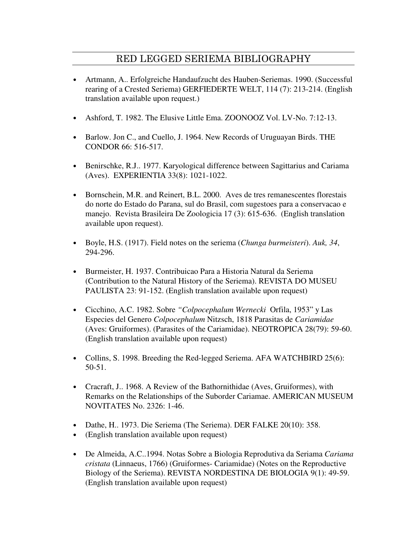## RED LEGGED SERIEMA BIBLIOGRAPHY

- Artmann, A.. Erfolgreiche Handaufzucht des Hauben-Seriemas. 1990. (Successful rearing of a Crested Seriema) GERFIEDERTE WELT, 114 (7): 213-214. (English translation available upon request.)
- Ashford, T. 1982. The Elusive Little Ema. ZOONOOZ Vol. LV-No. 7:12-13.
- Barlow. Jon C., and Cuello, J. 1964. New Records of Uruguayan Birds. THE CONDOR 66: 516-517.
- Benirschke, R.J.. 1977. Karyological difference between Sagittarius and Cariama (Aves). EXPERIENTIA 33(8): 1021-1022.
- Bornschein, M.R. and Reinert, B.L. 2000. Aves de tres remanescentes florestais do norte do Estado do Parana, sul do Brasil, com sugestoes para a conservacao e manejo. Revista Brasileira De Zoologicia 17 (3): 615-636. (English translation available upon request).
- Boyle, H.S. (1917). Field notes on the seriema (*Chunga burmeisteri*). *Auk, 34*, 294-296.
- Burmeister, H. 1937. Contribuicao Para a Historia Natural da Seriema (Contribution to the Natural History of the Seriema). REVISTA DO MUSEU PAULISTA 23: 91-152. (English translation available upon request)
- Cicchino, A.C. 1982. Sobre *"Colpocephalum Wernecki* Orfila, 1953" y Las Especies del Genero *Colpocephalum* Nitzsch, 1818 Parasitas de *Cariamidae*  (Aves: Gruiformes). (Parasites of the Cariamidae). NEOTROPICA 28(79): 59-60. (English translation available upon request)
- Collins, S. 1998. Breeding the Red-legged Seriema. AFA WATCHBIRD 25(6): 50-51.
- Cracraft, J.. 1968. A Review of the Bathornithidae (Aves, Gruiformes), with Remarks on the Relationships of the Suborder Cariamae. AMERICAN MUSEUM NOVITATES No. 2326: 1-46.
- Dathe, H.. 1973. Die Seriema (The Seriema). DER FALKE 20(10): 358.
- (English translation available upon request)
- De Almeida, A.C..1994. Notas Sobre a Biologia Reprodutiva da Seriama *Cariama cristata* (Linnaeus, 1766) (Gruiformes- Cariamidae) (Notes on the Reproductive Biology of the Seriema). REVISTA NORDESTINA DE BIOLOGIA 9(1): 49-59. (English translation available upon request)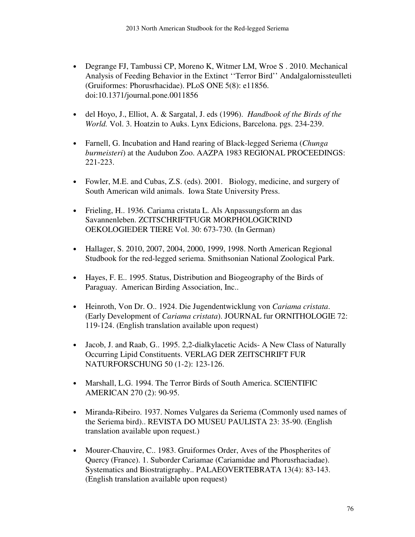- Degrange FJ, Tambussi CP, Moreno K, Witmer LM, Wroe S . 2010. Mechanical Analysis of Feeding Behavior in the Extinct ''Terror Bird'' Andalgalornissteulleti (Gruiformes: Phorusrhacidae). PLoS ONE 5(8): e11856. doi:10.1371/journal.pone.0011856
- del Hoyo, J., Elliot, A. & Sargatal, J. eds (1996). *Handbook of the Birds of the World.* Vol. 3. Hoatzin to Auks. Lynx Edicions, Barcelona. pgs. 234-239.
- Farnell, G. Incubation and Hand rearing of Black-legged Seriema (*Chunga burmeisteri*) at the Audubon Zoo. AAZPA 1983 REGIONAL PROCEEDINGS: 221-223.
- Fowler, M.E. and Cubas, Z.S. (eds). 2001. Biology, medicine, and surgery of South American wild animals. Iowa State University Press.
- Frieling, H., 1936. Cariama cristata L. Als Anpassungsform an das Savannenleben. ZCITSCHRIFTFUGR MORPHOLOGICRIND OEKOLOGIEDER TIERE Vol. 30: 673-730. (In German)
- Hallager, S. 2010, 2007, 2004, 2000, 1999, 1998. North American Regional Studbook for the red-legged seriema. Smithsonian National Zoological Park.
- Hayes, F. E.. 1995. Status, Distribution and Biogeography of the Birds of Paraguay. American Birding Association, Inc..
- Heinroth, Von Dr. O.. 1924. Die Jugendentwicklung von *Cariama cristata*. (Early Development of *Cariama cristata*). JOURNAL fur ORNITHOLOGIE 72: 119-124. (English translation available upon request)
- Jacob, J. and Raab, G., 1995. 2,2-dialkylacetic Acids- A New Class of Naturally Occurring Lipid Constituents. VERLAG DER ZEITSCHRIFT FUR NATURFORSCHUNG 50 (1-2): 123-126.
- Marshall, L.G. 1994. The Terror Birds of South America. SCIENTIFIC AMERICAN 270 (2): 90-95.
- Miranda-Ribeiro. 1937. Nomes Vulgares da Seriema (Commonly used names of the Seriema bird).. REVISTA DO MUSEU PAULISTA 23: 35-90. (English translation available upon request.)
- Mourer-Chauvire, C.. 1983. Gruiformes Order, Aves of the Phospherites of Quercy (France). 1. Suborder Cariamae (Cariamidae and Phorusrhaciadae). Systematics and Biostratigraphy.. PALAEOVERTEBRATA 13(4): 83-143. (English translation available upon request)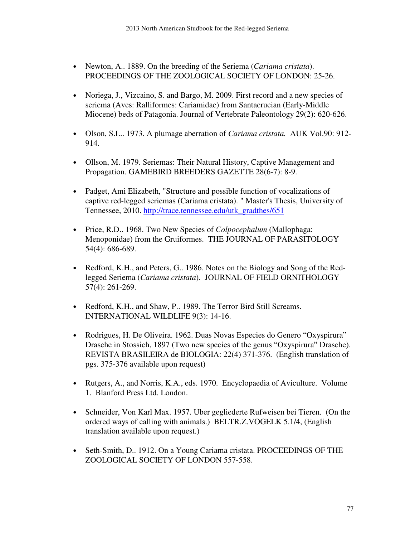- Newton, A.. 1889. On the breeding of the Seriema (*Cariama cristata*). PROCEEDINGS OF THE ZOOLOGICAL SOCIETY OF LONDON: 25-26.
- Noriega, J., Vizcaino, S. and Bargo, M. 2009. First record and a new species of seriema (Aves: Ralliformes: Cariamidae) from Santacrucian (Early-Middle Miocene) beds of Patagonia. Journal of Vertebrate Paleontology 29(2): 620-626.
- Olson, S.L.. 1973. A plumage aberration of *Cariama cristata.* AUK Vol.90: 912- 914.
- Ollson, M. 1979. Seriemas: Their Natural History, Captive Management and Propagation. GAMEBIRD BREEDERS GAZETTE 28(6-7): 8-9.
- Padget, Ami Elizabeth, "Structure and possible function of vocalizations of captive red-legged seriemas (Cariama cristata). " Master's Thesis, University of Tennessee, 2010. http://trace.tennessee.edu/utk\_gradthes/651
- Price, R.D.. 1968. Two New Species of *Colpocephalum* (Mallophaga: Menoponidae) from the Gruiformes. THE JOURNAL OF PARASITOLOGY 54(4): 686-689.
- Redford, K.H., and Peters, G.. 1986. Notes on the Biology and Song of the Redlegged Seriema (*Cariama cristata*). JOURNAL OF FIELD ORNITHOLOGY 57(4): 261-269.
- Redford, K.H., and Shaw, P.. 1989. The Terror Bird Still Screams. INTERNATIONAL WILDLIFE 9(3): 14-16.
- Rodrigues, H. De Oliveira. 1962. Duas Novas Especies do Genero "Oxyspirura" Drasche in Stossich, 1897 (Two new species of the genus "Oxyspirura" Drasche). REVISTA BRASILEIRA de BIOLOGIA: 22(4) 371-376. (English translation of pgs. 375-376 available upon request)
- Rutgers, A., and Norris, K.A., eds. 1970. Encyclopaedia of Aviculture. Volume 1. Blanford Press Ltd. London.
- Schneider, Von Karl Max. 1957. Uber gegliederte Rufweisen bei Tieren. (On the ordered ways of calling with animals.) BELTR.Z.VOGELK 5.1/4, (English translation available upon request.)
- Seth-Smith, D.. 1912. On a Young Cariama cristata. PROCEEDINGS OF THE ZOOLOGICAL SOCIETY OF LONDON 557-558.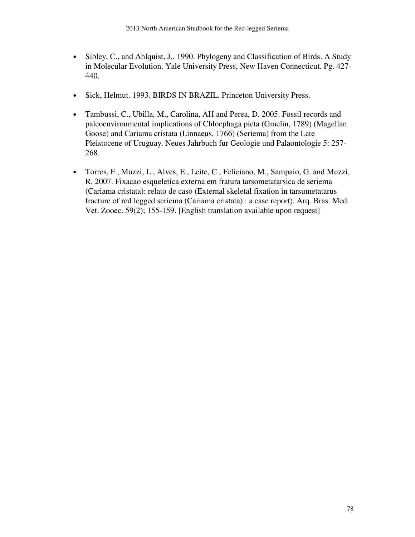- Sibley, C., and Ahlquist, J.. 1990. Phylogeny and Classification of Birds. A Study in Molecular Evolution. Yale University Press, New Haven Connecticut. Pg. 427- 440.
- Sick, Helmut. 1993. BIRDS IN BRAZIL. Princeton University Press.
- Tambussi, C., Ubilla, M., Carolina, AH and Perea, D. 2005. Fossil records and paleoenvironmental implications of Chloephaga picta (Gmelin, 1789) (Magellan Goose) and Cariama cristata (Linnaeus, 1766) (Seriema) from the Late Pleistocene of Uruguay. Neues Jahrbuch fur Geologie und Palaontologie 5: 257- 268.
- Torres, F., Muzzi, L., Alves, E., Leite, C., Feliciano, M., Sampaio, G. and Muzzi, R. 2007. Fixacao esqueletica externa em fratura tarsometatarsica de seriema (Cariama cristata): relato de caso (External skeletal fixation in tarsumetatarus fracture of red legged seriema (Cariama cristata) : a case report). Arq. Bras. Med. Vet. Zooec. 59(2); 155-159. [English translation available upon request]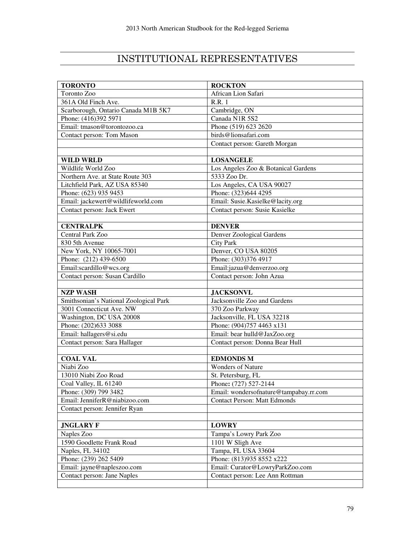# INSTITUTIONAL REPRESENTATIVES

| <b>TORONTO</b>                         | <b>ROCKTON</b>                         |  |  |  |  |
|----------------------------------------|----------------------------------------|--|--|--|--|
| Toronto Zoo                            | African Lion Safari                    |  |  |  |  |
| $\overline{361}$ A Old Finch Ave.      | <b>R.R.</b> 1                          |  |  |  |  |
| Scarborough, Ontario Canada M1B 5K7    | Cambridge, ON                          |  |  |  |  |
| Phone: (416)392 5971                   | Canada N1R 5S2                         |  |  |  |  |
| Email: tmason@torontozoo.ca            | Phone (519) 623 2620                   |  |  |  |  |
| Contact person: Tom Mason              | birds@lionsafari.com                   |  |  |  |  |
|                                        | Contact person: Gareth Morgan          |  |  |  |  |
|                                        |                                        |  |  |  |  |
| <b>WILD WRLD</b>                       | <b>LOSANGELE</b>                       |  |  |  |  |
| Wildlife World Zoo                     | Los Angeles Zoo & Botanical Gardens    |  |  |  |  |
| Northern Ave. at State Route 303       | 5333 Zoo Dr.                           |  |  |  |  |
| Litchfield Park, AZ USA 85340          | Los Angeles, CA USA 90027              |  |  |  |  |
| Phone: (623) 935 9453                  | Phone: (323)644 4295                   |  |  |  |  |
| Email: jackewert@wildlifeworld.com     | Email: Susie.Kasielke@lacity.org       |  |  |  |  |
| Contact person: Jack Ewert             | Contact person: Susie Kasielke         |  |  |  |  |
|                                        |                                        |  |  |  |  |
| <b>CENTRALPK</b>                       | <b>DENVER</b>                          |  |  |  |  |
| Central Park Zoo                       | Denver Zoological Gardens              |  |  |  |  |
| 830 5th Avenue                         | <b>City Park</b>                       |  |  |  |  |
| New York, NY 10065-7001                | Denver, CO USA 80205                   |  |  |  |  |
| Phone: (212) 439-6500                  | Phone: (303)376 4917                   |  |  |  |  |
| Email:scardillo@wcs.org                | Email:jazua@denverzoo.org              |  |  |  |  |
| Contact person: Susan Cardillo         | Contact person: John Azua              |  |  |  |  |
|                                        |                                        |  |  |  |  |
| <b>NZP WASH</b>                        | <b>JACKSONVL</b>                       |  |  |  |  |
| Smithsonian's National Zoological Park | Jacksonville Zoo and Gardens           |  |  |  |  |
| 3001 Connecticut Ave. NW               | 370 Zoo Parkway                        |  |  |  |  |
| Washington, DC USA 20008               | Jacksonville, FL USA 32218             |  |  |  |  |
| Phone: (202)633 3088                   | Phone: (904)757 4463 x131              |  |  |  |  |
| Email: hallagers@si.edu                | Email: bear hulld@JaxZoo.org           |  |  |  |  |
| Contact person: Sara Hallager          | Contact person: Donna Bear Hull        |  |  |  |  |
|                                        |                                        |  |  |  |  |
| <b>COAL VAL</b>                        | <b>EDMONDS M</b>                       |  |  |  |  |
| Niabi Zoo                              | <b>Wonders of Nature</b>               |  |  |  |  |
| 13010 Niabi Zoo Road                   | St. Petersburg, FL                     |  |  |  |  |
| Coal Valley, IL 61240                  | Phone: (727) 527-2144                  |  |  |  |  |
| Phone: (309) 799 3482                  | Email: wondersofnature@tampabay.rr.com |  |  |  |  |
| Email: JenniferR@niabizoo.com          | <b>Contact Person: Matt Edmonds</b>    |  |  |  |  |
| Contact person: Jennifer Ryan          |                                        |  |  |  |  |
|                                        |                                        |  |  |  |  |
| <b>JNGLARY F</b>                       | <b>LOWRY</b>                           |  |  |  |  |
| Naples Zoo                             | Tampa's Lowry Park Zoo                 |  |  |  |  |
| 1590 Goodlette Frank Road              | 1101 W Sligh Ave                       |  |  |  |  |
| Naples, FL 34102                       | Tampa, FL USA 33604                    |  |  |  |  |
| Phone: (239) 262 5409                  | Phone: (813)935 8552 x222              |  |  |  |  |
| Email: jayne@napleszoo.com             | Email: Curator@LowryParkZoo.com        |  |  |  |  |
| Contact person: Jane Naples            | Contact person: Lee Ann Rottman        |  |  |  |  |
|                                        |                                        |  |  |  |  |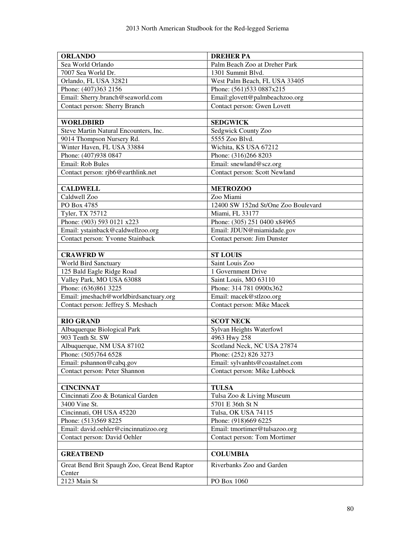| <b>ORLANDO</b>                                          | <b>DREHER PA</b>                    |  |  |  |  |
|---------------------------------------------------------|-------------------------------------|--|--|--|--|
| Sea World Orlando                                       | Palm Beach Zoo at Dreher Park       |  |  |  |  |
| 7007 Sea World Dr.                                      | 1301 Summit Blvd.                   |  |  |  |  |
| Orlando, FL USA 32821                                   | West Palm Beach, FL USA 33405       |  |  |  |  |
| Phone: (407)363 2156                                    | Phone: (561)533 0887x215            |  |  |  |  |
| Email: Sherry.branch@seaworld.com                       | Email:glovett@palmbeachzoo.org      |  |  |  |  |
| Contact person: Sherry Branch                           | Contact person: Gwen Lovett         |  |  |  |  |
|                                                         |                                     |  |  |  |  |
| <b>WORLDBIRD</b>                                        | <b>SEDGWICK</b>                     |  |  |  |  |
| Steve Martin Natural Encounters, Inc.                   | Sedgwick County Zoo                 |  |  |  |  |
| 9014 Thompson Nursery Rd.                               | 5555 Zoo Blvd.                      |  |  |  |  |
| Winter Haven, FL USA 33884                              | Wichita, KS USA 67212               |  |  |  |  |
| Phone: (407)938 0847                                    | Phone: (316)266 8203                |  |  |  |  |
| Email: Rob Bules                                        | Email: snewland@scz.org             |  |  |  |  |
| Contact person: rjb6@earthlink.net                      | Contact person: Scott Newland       |  |  |  |  |
|                                                         |                                     |  |  |  |  |
| <b>CALDWELL</b>                                         | <b>METROZOO</b>                     |  |  |  |  |
| Caldwell Zoo                                            | Zoo Miami                           |  |  |  |  |
| PO Box 4785                                             | 12400 SW 152nd St/One Zoo Boulevard |  |  |  |  |
| Tyler, TX 75712                                         | Miami, FL 33177                     |  |  |  |  |
| Phone: (903) 593 0121 x223                              | Phone: (305) 251 0400 x84965        |  |  |  |  |
| Email: ystainback@caldwellzoo.org                       | Email: JDUN@miamidade.gov           |  |  |  |  |
| Contact person: Yvonne Stainback                        | Contact person: Jim Dunster         |  |  |  |  |
|                                                         |                                     |  |  |  |  |
| <b>CRAWFRD W</b>                                        | <b>ST LOUIS</b>                     |  |  |  |  |
| World Bird Sanctuary                                    | Saint Louis Zoo                     |  |  |  |  |
| 125 Bald Eagle Ridge Road                               | 1 Government Drive                  |  |  |  |  |
| Valley Park, MO USA 63088                               | Saint Louis, MO 63110               |  |  |  |  |
| Phone: (636)861 3225                                    | Phone: 314 781 0900x362             |  |  |  |  |
| Email: jmeshach@worldbirdsanctuary.org                  | Email: macek@stlzoo.org             |  |  |  |  |
| Contact person: Jeffrey S. Meshach                      | Contact person: Mike Macek          |  |  |  |  |
|                                                         |                                     |  |  |  |  |
| <b>RIO GRAND</b>                                        | <b>SCOT NECK</b>                    |  |  |  |  |
| Albuquerque Biological Park                             | Sylvan Heights Waterfowl            |  |  |  |  |
| 903 Tenth St. SW                                        | 4963 Hwy 258                        |  |  |  |  |
| Albuquerque, NM USA 87102                               | Scotland Neck, NC USA 27874         |  |  |  |  |
| Phone: (505)764 6528                                    | Phone: (252) 826 3273               |  |  |  |  |
| Email: pshannon@cabq.gov                                | Email: sylvanhts@coastalnet.com     |  |  |  |  |
| Contact person: Peter Shannon                           | Contact person: Mike Lubbock        |  |  |  |  |
|                                                         |                                     |  |  |  |  |
| <b>CINCINNAT</b>                                        | <b>TULSA</b>                        |  |  |  |  |
| Cincinnati Zoo & Botanical Garden                       | Tulsa Zoo & Living Museum           |  |  |  |  |
| 3400 Vine St.                                           | 5701 E 36th St N                    |  |  |  |  |
| Cincinnati, OH USA 45220                                | Tulsa, OK USA 74115                 |  |  |  |  |
| Phone: (513)569 8225                                    | Phone: (918)669 6225                |  |  |  |  |
| Email: david.oehler@cincinnatizoo.org                   | Email: tmortimer@tulsazoo.org       |  |  |  |  |
| Contact person: David Oehler                            | Contact person: Tom Mortimer        |  |  |  |  |
|                                                         |                                     |  |  |  |  |
| <b>GREATBEND</b>                                        | <b>COLUMBIA</b>                     |  |  |  |  |
| Great Bend Brit Spaugh Zoo, Great Bend Raptor<br>Center | Riverbanks Zoo and Garden           |  |  |  |  |
| 2123 Main St                                            | PO Box 1060                         |  |  |  |  |
|                                                         |                                     |  |  |  |  |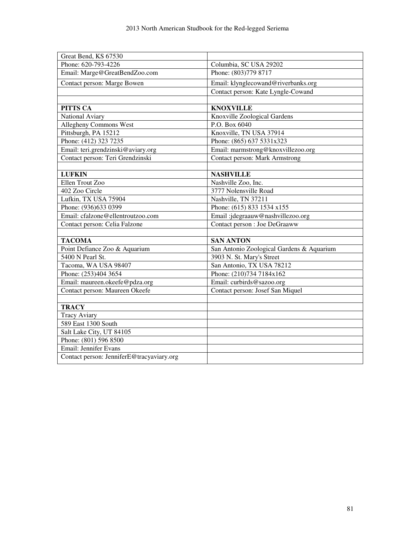| Great Bend, KS 67530                      |                                           |  |  |  |  |
|-------------------------------------------|-------------------------------------------|--|--|--|--|
| Phone: 620-793-4226                       | Columbia, SC USA 29202                    |  |  |  |  |
| Email: Marge@GreatBendZoo.com             | Phone: (803)779 8717                      |  |  |  |  |
| Contact person: Marge Bowen               | Email: klynglecowand@riverbanks.org       |  |  |  |  |
|                                           | Contact person: Kate Lyngle-Cowand        |  |  |  |  |
|                                           |                                           |  |  |  |  |
| PITTS CA                                  | <b>KNOXVILLE</b>                          |  |  |  |  |
| National Aviary                           | Knoxville Zoological Gardens              |  |  |  |  |
| Allegheny Commons West                    | P.O. Box 6040                             |  |  |  |  |
| Pittsburgh, PA 15212                      | Knoxville, TN USA 37914                   |  |  |  |  |
| Phone: (412) 323 7235                     | Phone: (865) 637 5331x323                 |  |  |  |  |
| Email: teri.grendzinski@aviary.org        | Email: marmstrong@knoxvillezoo.org        |  |  |  |  |
| Contact person: Teri Grendzinski          | Contact person: Mark Armstrong            |  |  |  |  |
|                                           |                                           |  |  |  |  |
| <b>LUFKIN</b>                             | <b>NASHVILLE</b>                          |  |  |  |  |
| Ellen Trout Zoo                           | Nashville Zoo, Inc.                       |  |  |  |  |
| 402 Zoo Circle                            | 3777 Nolensville Road                     |  |  |  |  |
| Lufkin, TX USA 75904                      | Nashville, TN 37211                       |  |  |  |  |
| Phone: (936)633 0399                      | Phone: (615) 833 1534 x155                |  |  |  |  |
| Email: cfalzone@ellentroutzoo.com         | Email:jdegraauw@nashvillezoo.org          |  |  |  |  |
| Contact person: Celia Falzone             | Contact person : Joe DeGraaww             |  |  |  |  |
|                                           |                                           |  |  |  |  |
| <b>TACOMA</b>                             | <b>SAN ANTON</b>                          |  |  |  |  |
| Point Defiance Zoo & Aquarium             | San Antonio Zoological Gardens & Aquarium |  |  |  |  |
| 5400 N Pearl St.                          | 3903 N. St. Mary's Street                 |  |  |  |  |
| Tacoma, WA USA 98407                      | San Antonio, TX USA 78212                 |  |  |  |  |
| Phone: (253)404 3654                      | Phone: (210)734 7184x162                  |  |  |  |  |
| Email: maureen.okeefe@pdza.org            | Email: curbirds@sazoo.org                 |  |  |  |  |
| Contact person: Maureen Okeefe            | Contact person: Josef San Miquel          |  |  |  |  |
|                                           |                                           |  |  |  |  |
| <b>TRACY</b>                              |                                           |  |  |  |  |
| <b>Tracy Aviary</b>                       |                                           |  |  |  |  |
| 589 East 1300 South                       |                                           |  |  |  |  |
| Salt Lake City, UT 84105                  |                                           |  |  |  |  |
| Phone: (801) 596 8500                     |                                           |  |  |  |  |
| Email: Jennifer Evans                     |                                           |  |  |  |  |
| Contact person: JenniferE@tracyaviary.org |                                           |  |  |  |  |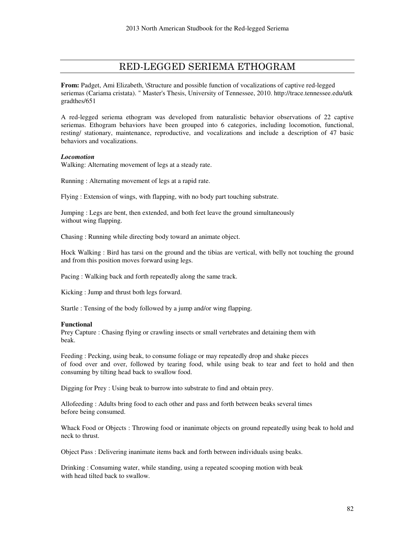### RED-LEGGED SERIEMA ETHOGRAM

**From:** Padget, Ami Elizabeth, \Structure and possible function of vocalizations of captive red-legged seriemas (Cariama cristata). " Master's Thesis, University of Tennessee, 2010. http://trace.tennessee.edu/utk gradthes/651

A red-legged seriema ethogram was developed from naturalistic behavior observations of 22 captive seriemas. Ethogram behaviors have been grouped into 6 categories, including locomotion, functional, resting/ stationary, maintenance, reproductive, and vocalizations and include a description of 47 basic behaviors and vocalizations.

#### *Locomotion*

Walking: Alternating movement of legs at a steady rate.

Running : Alternating movement of legs at a rapid rate.

Flying : Extension of wings, with flapping, with no body part touching substrate.

Jumping : Legs are bent, then extended, and both feet leave the ground simultaneously without wing flapping.

Chasing : Running while directing body toward an animate object.

Hock Walking : Bird has tarsi on the ground and the tibias are vertical, with belly not touching the ground and from this position moves forward using legs.

Pacing : Walking back and forth repeatedly along the same track.

Kicking : Jump and thrust both legs forward.

Startle : Tensing of the body followed by a jump and/or wing flapping.

#### **Functional**

Prey Capture : Chasing flying or crawling insects or small vertebrates and detaining them with beak.

Feeding : Pecking, using beak, to consume foliage or may repeatedly drop and shake pieces of food over and over, followed by tearing food, while using beak to tear and feet to hold and then consuming by tilting head back to swallow food.

Digging for Prey : Using beak to burrow into substrate to find and obtain prey.

Allofeeding : Adults bring food to each other and pass and forth between beaks several times before being consumed.

Whack Food or Objects : Throwing food or inanimate objects on ground repeatedly using beak to hold and neck to thrust.

Object Pass : Delivering inanimate items back and forth between individuals using beaks.

Drinking : Consuming water, while standing, using a repeated scooping motion with beak with head tilted back to swallow.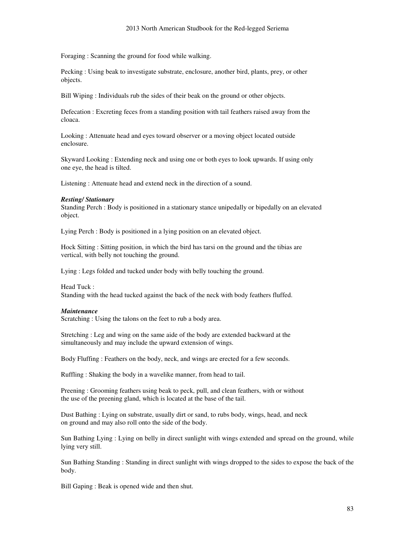Foraging : Scanning the ground for food while walking.

Pecking : Using beak to investigate substrate, enclosure, another bird, plants, prey, or other objects.

Bill Wiping : Individuals rub the sides of their beak on the ground or other objects.

Defecation : Excreting feces from a standing position with tail feathers raised away from the cloaca.

Looking : Attenuate head and eyes toward observer or a moving object located outside enclosure.

Skyward Looking : Extending neck and using one or both eyes to look upwards. If using only one eye, the head is tilted.

Listening : Attenuate head and extend neck in the direction of a sound.

#### *Resting/ Stationary*

Standing Perch : Body is positioned in a stationary stance unipedally or bipedally on an elevated object.

Lying Perch : Body is positioned in a lying position on an elevated object.

Hock Sitting : Sitting position, in which the bird has tarsi on the ground and the tibias are vertical, with belly not touching the ground.

Lying : Legs folded and tucked under body with belly touching the ground.

Head Tuck : Standing with the head tucked against the back of the neck with body feathers fluffed.

#### *Maintenance*

Scratching : Using the talons on the feet to rub a body area.

Stretching : Leg and wing on the same aide of the body are extended backward at the simultaneously and may include the upward extension of wings.

Body Fluffing : Feathers on the body, neck, and wings are erected for a few seconds.

Ruffling : Shaking the body in a wavelike manner, from head to tail.

Preening : Grooming feathers using beak to peck, pull, and clean feathers, with or without the use of the preening gland, which is located at the base of the tail.

Dust Bathing : Lying on substrate, usually dirt or sand, to rubs body, wings, head, and neck on ground and may also roll onto the side of the body.

Sun Bathing Lying : Lying on belly in direct sunlight with wings extended and spread on the ground, while lying very still.

Sun Bathing Standing : Standing in direct sunlight with wings dropped to the sides to expose the back of the body.

Bill Gaping : Beak is opened wide and then shut.